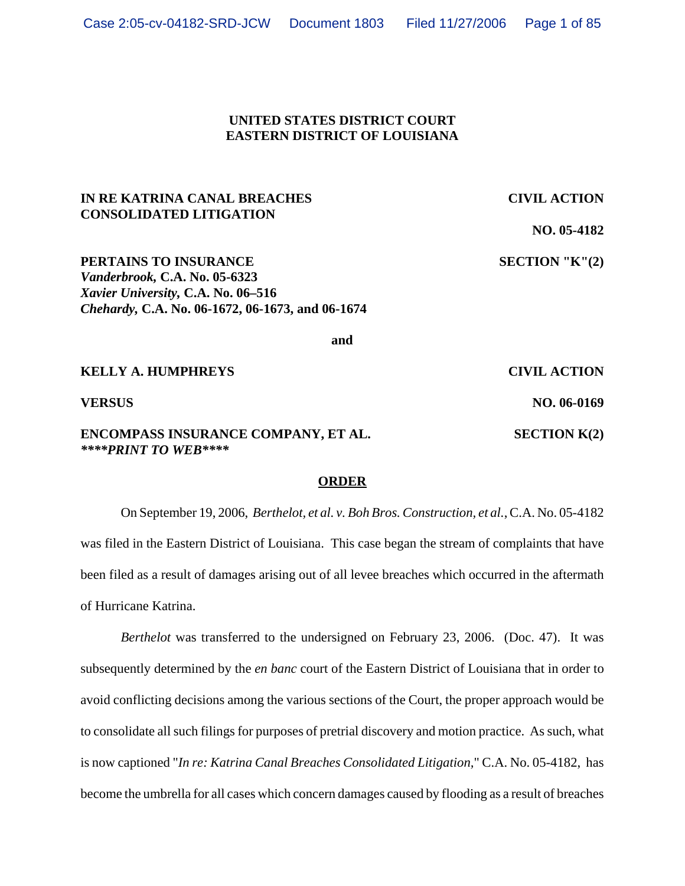### **UNITED STATES DISTRICT COURT EASTERN DISTRICT OF LOUISIANA**

# **IN RE KATRINA CANAL BREACHES CIVIL ACTION CONSOLIDATED LITIGATION**

**NO. 05-4182**

**PERTAINS TO INSURANCE** SECTION "K"(2) *Vanderbrook,* **C.A. No. 05-6323** *Xavier University,* **C.A. No. 06–516** *Chehardy,* **C.A. No. 06-1672, 06-1673, and 06-1674**

**and**

**KELLY A. HUMPHREYS** CIVIL ACTION **VERSUS** NO. 06-0169 **ENCOMPASS INSURANCE COMPANY, ET AL. SECTION K(2)** *\*\*\*\*PRINT TO WEB\*\*\*\**

#### **ORDER**

On September 19, 2006, *Berthelot, et al. v. Boh Bros. Construction, et al.*, C.A. No. 05-4182 was filed in the Eastern District of Louisiana. This case began the stream of complaints that have been filed as a result of damages arising out of all levee breaches which occurred in the aftermath of Hurricane Katrina.

*Berthelot* was transferred to the undersigned on February 23, 2006. (Doc. 47). It was subsequently determined by the *en banc* court of the Eastern District of Louisiana that in order to avoid conflicting decisions among the various sections of the Court, the proper approach would be to consolidate all such filings for purposes of pretrial discovery and motion practice. As such, what is now captioned "*In re: Katrina Canal Breaches Consolidated Litigation,*" C.A. No. 05-4182, has become the umbrella for all cases which concern damages caused by flooding as a result of breaches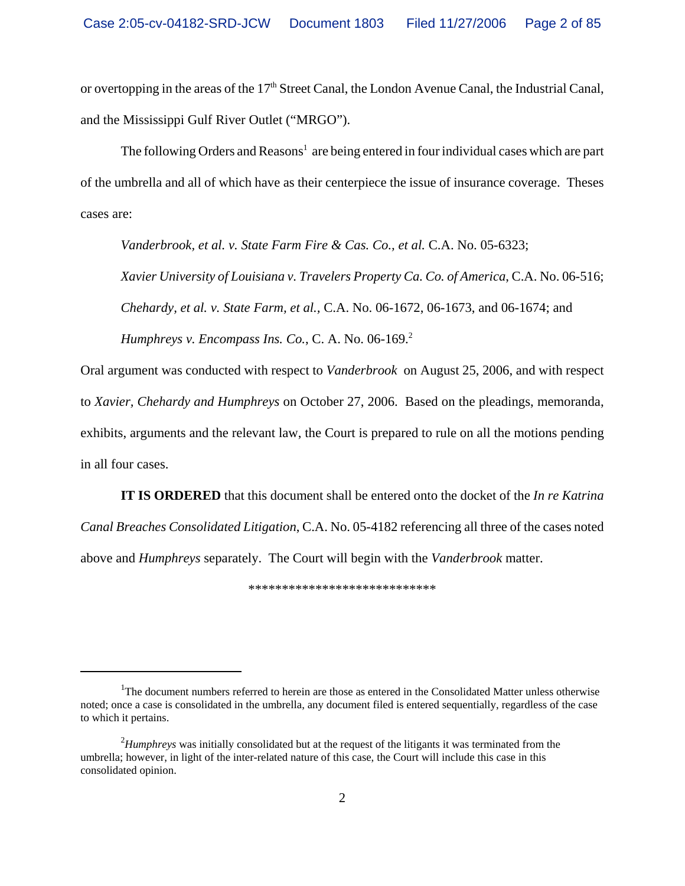or overtopping in the areas of the  $17<sup>th</sup>$  Street Canal, the London Avenue Canal, the Industrial Canal, and the Mississippi Gulf River Outlet ("MRGO").

The following Orders and Reasons<sup>1</sup> are being entered in four individual cases which are part of the umbrella and all of which have as their centerpiece the issue of insurance coverage. Theses cases are:

*Vanderbrook, et al. v. State Farm Fire & Cas. Co., et al.* C.A. No. 05-6323;

*Xavier University of Louisiana v. Travelers Property Ca. Co. of America*, C.A. No. 06-516; *Chehardy, et al. v. State Farm, et al.,* C.A. No. 06-1672, 06-1673, and 06-1674; and *Humphreys v. Encompass Ins. Co., C. A. No.* 06-169.<sup>2</sup>

Oral argument was conducted with respect to *Vanderbrook* on August 25, 2006, and with respect to *Xavier, Chehardy and Humphreys* on October 27, 2006. Based on the pleadings, memoranda, exhibits, arguments and the relevant law, the Court is prepared to rule on all the motions pending in all four cases.

**IT IS ORDERED** that this document shall be entered onto the docket of the *In re Katrina Canal Breaches Consolidated Litigation*, C.A. No. 05-4182 referencing all three of the cases noted above and *Humphreys* separately. The Court will begin with the *Vanderbrook* matter.

\*\*\*\*\*\*\*\*\*\*\*\*\*\*\*\*\*\*\*\*\*\*\*\*\*\*\*\*

<sup>&</sup>lt;sup>1</sup>The document numbers referred to herein are those as entered in the Consolidated Matter unless otherwise noted; once a case is consolidated in the umbrella, any document filed is entered sequentially, regardless of the case to which it pertains.

<sup>2</sup> *Humphreys* was initially consolidated but at the request of the litigants it was terminated from the umbrella; however, in light of the inter-related nature of this case, the Court will include this case in this consolidated opinion.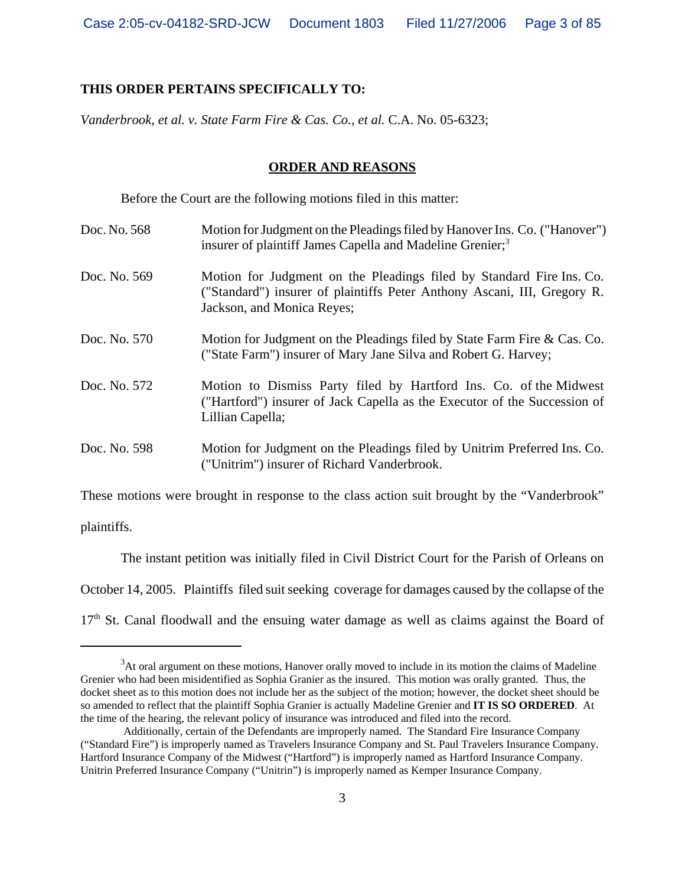### **THIS ORDER PERTAINS SPECIFICALLY TO:**

*Vanderbrook, et al. v. State Farm Fire & Cas. Co., et al.* C.A. No. 05-6323;

#### **ORDER AND REASONS**

Before the Court are the following motions filed in this matter:

- Doc. No. 568 Motion for Judgment on the Pleadings filed by Hanover Ins. Co. ("Hanover") insurer of plaintiff James Capella and Madeline Grenier;<sup>3</sup>
- Doc. No. 569 Motion for Judgment on the Pleadings filed by Standard Fire Ins. Co. ("Standard") insurer of plaintiffs Peter Anthony Ascani, III, Gregory R. Jackson, and Monica Reyes;
- Doc. No. 570 Motion for Judgment on the Pleadings filed by State Farm Fire & Cas. Co. ("State Farm") insurer of Mary Jane Silva and Robert G. Harvey;
- Doc. No. 572 Motion to Dismiss Party filed by Hartford Ins. Co. of the Midwest ("Hartford") insurer of Jack Capella as the Executor of the Succession of Lillian Capella;
- Doc. No. 598 Motion for Judgment on the Pleadings filed by Unitrim Preferred Ins. Co. ("Unitrim") insurer of Richard Vanderbrook.

These motions were brought in response to the class action suit brought by the "Vanderbrook" plaintiffs.

The instant petition was initially filed in Civil District Court for the Parish of Orleans on October 14, 2005. Plaintiffs filed suit seeking coverage for damages caused by the collapse of the 17<sup>th</sup> St. Canal floodwall and the ensuing water damage as well as claims against the Board of

 $3$ At oral argument on these motions, Hanover orally moved to include in its motion the claims of Madeline Grenier who had been misidentified as Sophia Granier as the insured. This motion was orally granted. Thus, the docket sheet as to this motion does not include her as the subject of the motion; however, the docket sheet should be so amended to reflect that the plaintiff Sophia Granier is actually Madeline Grenier and **IT IS SO ORDERED**. At the time of the hearing, the relevant policy of insurance was introduced and filed into the record.

Additionally, certain of the Defendants are improperly named. The Standard Fire Insurance Company ("Standard Fire") is improperly named as Travelers Insurance Company and St. Paul Travelers Insurance Company. Hartford Insurance Company of the Midwest ("Hartford") is improperly named as Hartford Insurance Company. Unitrin Preferred Insurance Company ("Unitrin") is improperly named as Kemper Insurance Company.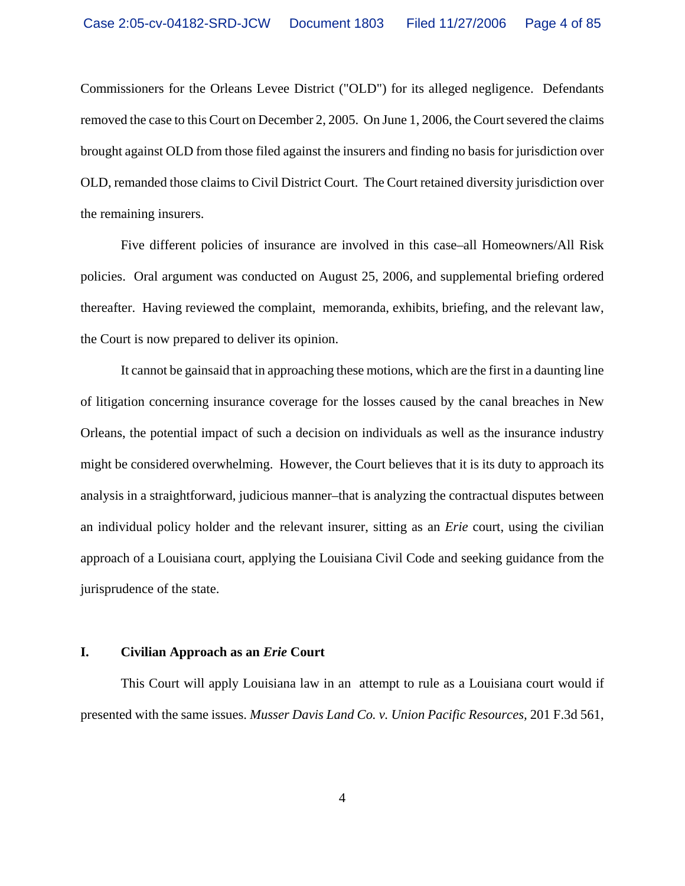Commissioners for the Orleans Levee District ("OLD") for its alleged negligence. Defendants removed the case to this Court on December 2, 2005. On June 1, 2006, the Court severed the claims brought against OLD from those filed against the insurers and finding no basis for jurisdiction over OLD, remanded those claims to Civil District Court. The Court retained diversity jurisdiction over the remaining insurers.

Five different policies of insurance are involved in this case–all Homeowners/All Risk policies. Oral argument was conducted on August 25, 2006, and supplemental briefing ordered thereafter. Having reviewed the complaint, memoranda, exhibits, briefing, and the relevant law, the Court is now prepared to deliver its opinion.

It cannot be gainsaid that in approaching these motions, which are the first in a daunting line of litigation concerning insurance coverage for the losses caused by the canal breaches in New Orleans, the potential impact of such a decision on individuals as well as the insurance industry might be considered overwhelming. However, the Court believes that it is its duty to approach its analysis in a straightforward, judicious manner–that is analyzing the contractual disputes between an individual policy holder and the relevant insurer, sitting as an *Erie* court, using the civilian approach of a Louisiana court, applying the Louisiana Civil Code and seeking guidance from the jurisprudence of the state.

#### **I. Civilian Approach as an** *Erie* **Court**

This Court will apply Louisiana law in an attempt to rule as a Louisiana court would if presented with the same issues. *Musser Davis Land Co. v. Union Pacific Resources,* 201 F.3d 561,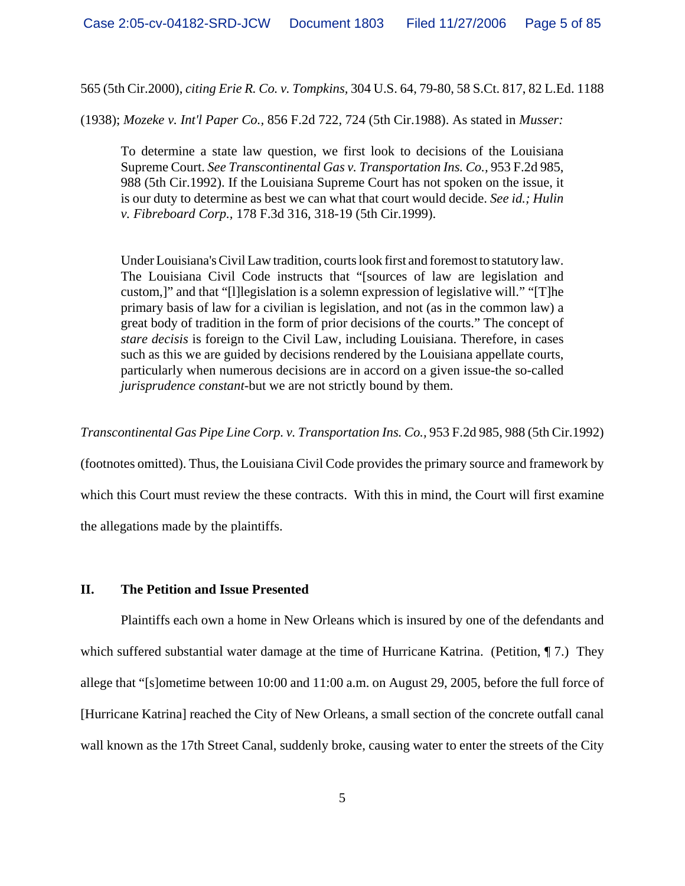565 (5th Cir.2000), *citing Erie R. Co. v. Tompkins,* 304 U.S. 64, 79-80, 58 S.Ct. 817, 82 L.Ed. 1188

(1938); *Mozeke v. Int'l Paper Co.,* 856 F.2d 722, 724 (5th Cir.1988). As stated in *Musser:*

To determine a state law question, we first look to decisions of the Louisiana Supreme Court. *See Transcontinental Gas v. Transportation Ins. Co.,* 953 F.2d 985, 988 (5th Cir.1992). If the Louisiana Supreme Court has not spoken on the issue, it is our duty to determine as best we can what that court would decide. *See id.; Hulin v. Fibreboard Corp.,* 178 F.3d 316, 318-19 (5th Cir.1999).

Under Louisiana's Civil Law tradition, courts look first and foremost to statutory law. The Louisiana Civil Code instructs that "[sources of law are legislation and custom,]" and that "[l]legislation is a solemn expression of legislative will." "[T]he primary basis of law for a civilian is legislation, and not (as in the common law) a great body of tradition in the form of prior decisions of the courts." The concept of *stare decisis* is foreign to the Civil Law, including Louisiana. Therefore, in cases such as this we are guided by decisions rendered by the Louisiana appellate courts, particularly when numerous decisions are in accord on a given issue-the so-called *jurisprudence constant*-but we are not strictly bound by them.

*Transcontinental Gas Pipe Line Corp. v. Transportation Ins. Co.,* 953 F.2d 985, 988 (5th Cir.1992)

(footnotes omitted). Thus, the Louisiana Civil Code provides the primary source and framework by which this Court must review the these contracts. With this in mind, the Court will first examine the allegations made by the plaintiffs.

### **II. The Petition and Issue Presented**

Plaintiffs each own a home in New Orleans which is insured by one of the defendants and which suffered substantial water damage at the time of Hurricane Katrina. (Petition, 17.) They allege that "[s]ometime between 10:00 and 11:00 a.m. on August 29, 2005, before the full force of [Hurricane Katrina] reached the City of New Orleans, a small section of the concrete outfall canal wall known as the 17th Street Canal, suddenly broke, causing water to enter the streets of the City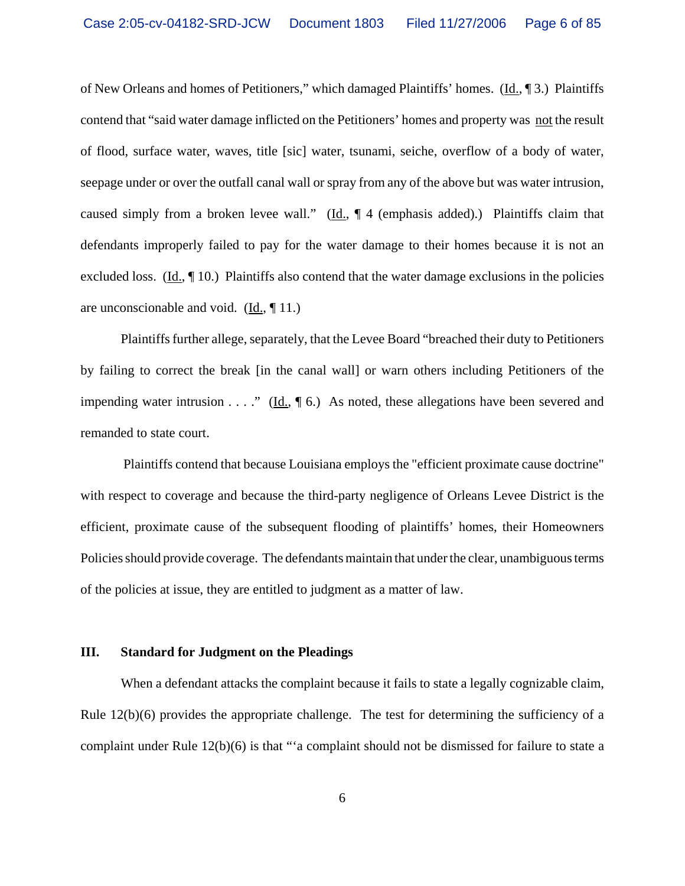of New Orleans and homes of Petitioners," which damaged Plaintiffs' homes. (Id., ¶ 3.) Plaintiffs contend that "said water damage inflicted on the Petitioners' homes and property was not the result of flood, surface water, waves, title [sic] water, tsunami, seiche, overflow of a body of water, seepage under or over the outfall canal wall or spray from any of the above but was water intrusion, caused simply from a broken levee wall." (Id.,  $\parallel$  4 (emphasis added).) Plaintiffs claim that defendants improperly failed to pay for the water damage to their homes because it is not an excluded loss. (Id.,  $\P$  10.) Plaintiffs also contend that the water damage exclusions in the policies are unconscionable and void.  $(\underline{Id}, \P 11)$ .

Plaintiffs further allege, separately, that the Levee Board "breached their duty to Petitioners by failing to correct the break [in the canal wall] or warn others including Petitioners of the impending water intrusion . . . ." (Id.,  $\P$  6.) As noted, these allegations have been severed and remanded to state court.

 Plaintiffs contend that because Louisiana employs the "efficient proximate cause doctrine" with respect to coverage and because the third-party negligence of Orleans Levee District is the efficient, proximate cause of the subsequent flooding of plaintiffs' homes, their Homeowners Policies should provide coverage. The defendants maintain that under the clear, unambiguous terms of the policies at issue, they are entitled to judgment as a matter of law.

#### **III. Standard for Judgment on the Pleadings**

When a defendant attacks the complaint because it fails to state a legally cognizable claim, Rule  $12(b)(6)$  provides the appropriate challenge. The test for determining the sufficiency of a complaint under Rule 12(b)(6) is that "'a complaint should not be dismissed for failure to state a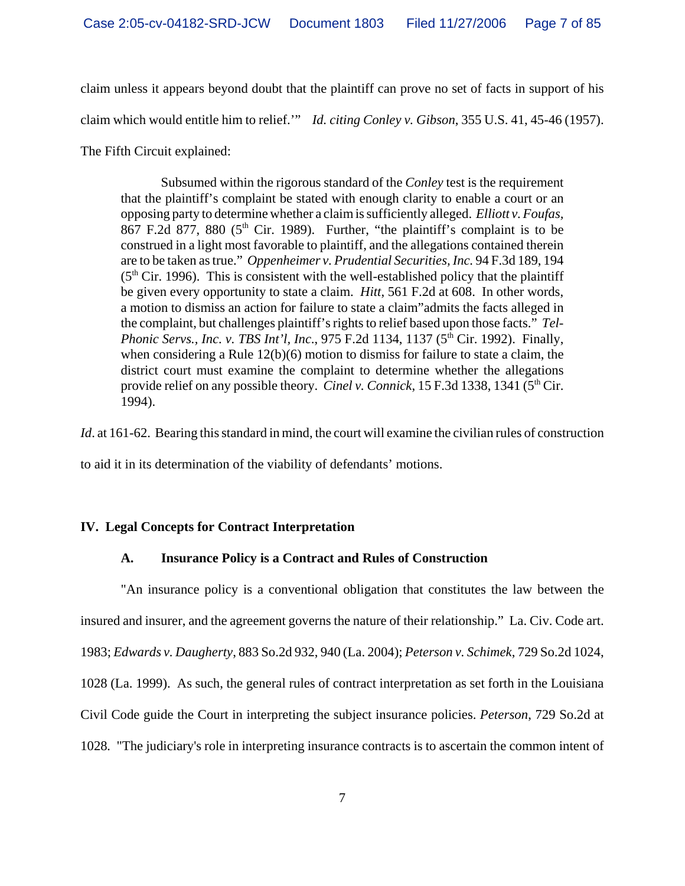claim unless it appears beyond doubt that the plaintiff can prove no set of facts in support of his claim which would entitle him to relief.'" *Id. citing Conley v. Gibson*, 355 U.S. 41, 45-46 (1957).

The Fifth Circuit explained:

Subsumed within the rigorous standard of the *Conley* test is the requirement that the plaintiff's complaint be stated with enough clarity to enable a court or an opposing party to determine whether a claim is sufficiently alleged. *Elliott v. Foufas,* 867 F.2d 877, 880 ( $5<sup>th</sup>$  Cir. 1989). Further, "the plaintiff's complaint is to be construed in a light most favorable to plaintiff, and the allegations contained therein are to be taken as true." *Oppenheimer v. Prudential Securities, Inc.* 94 F.3d 189, 194  $(5<sup>th</sup> Cir. 1996)$ . This is consistent with the well-established policy that the plaintiff be given every opportunity to state a claim. *Hitt*, 561 F.2d at 608. In other words, a motion to dismiss an action for failure to state a claim"admits the facts alleged in the complaint, but challenges plaintiff's rights to relief based upon those facts." *Tel-Phonic Servs., Inc. v. TBS Int'l, Inc.*, 975 F.2d 1134, 1137 (5<sup>th</sup> Cir. 1992). Finally, when considering a Rule 12(b)(6) motion to dismiss for failure to state a claim, the district court must examine the complaint to determine whether the allegations provide relief on any possible theory. *Cinel v. Connick*, 15 F.3d 1338, 1341 (5<sup>th</sup> Cir. 1994).

*Id.* at 161-62. Bearing this standard in mind, the court will examine the civilian rules of construction

to aid it in its determination of the viability of defendants' motions.

# **IV. Legal Concepts for Contract Interpretation**

# **A. Insurance Policy is a Contract and Rules of Construction**

"An insurance policy is a conventional obligation that constitutes the law between the insured and insurer, and the agreement governs the nature of their relationship." La. Civ. Code art. 1983; *Edwards v. Daugherty*, 883 So.2d 932, 940 (La. 2004); *Peterson v. Schimek*, 729 So.2d 1024, 1028 (La. 1999). As such, the general rules of contract interpretation as set forth in the Louisiana Civil Code guide the Court in interpreting the subject insurance policies. *Peterson*, 729 So.2d at 1028*.* "The judiciary's role in interpreting insurance contracts is to ascertain the common intent of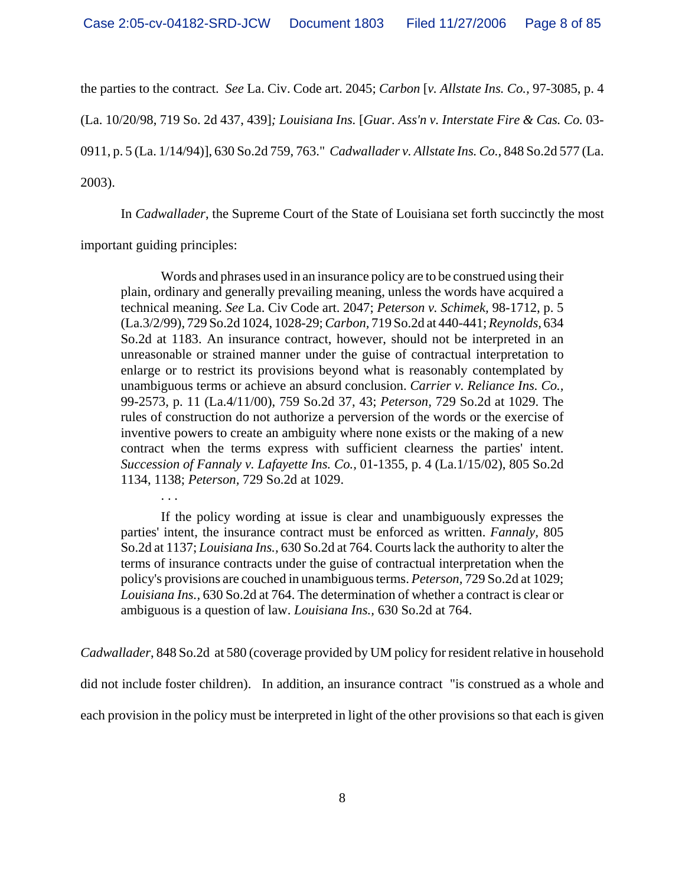the parties to the contract. *See* La. Civ. Code art. 2045; *Carbon* [*v. Allstate Ins. Co.,* 97-3085, p. 4

(La. 10/20/98, 719 So. 2d 437, 439]*; Louisiana Ins.* [*Guar. Ass'n v. Interstate Fire & Cas. Co.* 03-

0911, p. 5 (La. 1/14/94)], 630 So.2d 759, 763." *Cadwallader v. Allstate Ins. Co.*, 848 So.2d 577 (La.

2003).

In *Cadwallader*, the Supreme Court of the State of Louisiana set forth succinctly the most

important guiding principles:

. . .

Words and phrases used in an insurance policy are to be construed using their plain, ordinary and generally prevailing meaning, unless the words have acquired a technical meaning. *See* La. Civ Code art. 2047; *Peterson v. Schimek,* 98-1712, p. 5 (La.3/2/99), 729 So.2d 1024, 1028-29; *Carbon,* 719 So.2d at 440-441; *Reynolds,* 634 So.2d at 1183. An insurance contract, however, should not be interpreted in an unreasonable or strained manner under the guise of contractual interpretation to enlarge or to restrict its provisions beyond what is reasonably contemplated by unambiguous terms or achieve an absurd conclusion. *Carrier v. Reliance Ins. Co.,* 99-2573, p. 11 (La.4/11/00), 759 So.2d 37, 43; *Peterson,* 729 So.2d at 1029. The rules of construction do not authorize a perversion of the words or the exercise of inventive powers to create an ambiguity where none exists or the making of a new contract when the terms express with sufficient clearness the parties' intent. *Succession of Fannaly v. Lafayette Ins. Co.,* 01-1355, p. 4 (La.1/15/02), 805 So.2d 1134, 1138; *Peterson,* 729 So.2d at 1029.

If the policy wording at issue is clear and unambiguously expresses the parties' intent, the insurance contract must be enforced as written. *Fannaly,* 805 So.2d at 1137; *Louisiana Ins.,* 630 So.2d at 764. Courts lack the authority to alter the terms of insurance contracts under the guise of contractual interpretation when the policy's provisions are couched in unambiguous terms. *Peterson,* 729 So.2d at 1029; *Louisiana Ins.,* 630 So.2d at 764. The determination of whether a contract is clear or ambiguous is a question of law. *Louisiana Ins.,* 630 So.2d at 764.

*Cadwallader*, 848 So.2d at 580 (coverage provided by UM policy for resident relative in household did not include foster children). In addition, an insurance contract "is construed as a whole and each provision in the policy must be interpreted in light of the other provisions so that each is given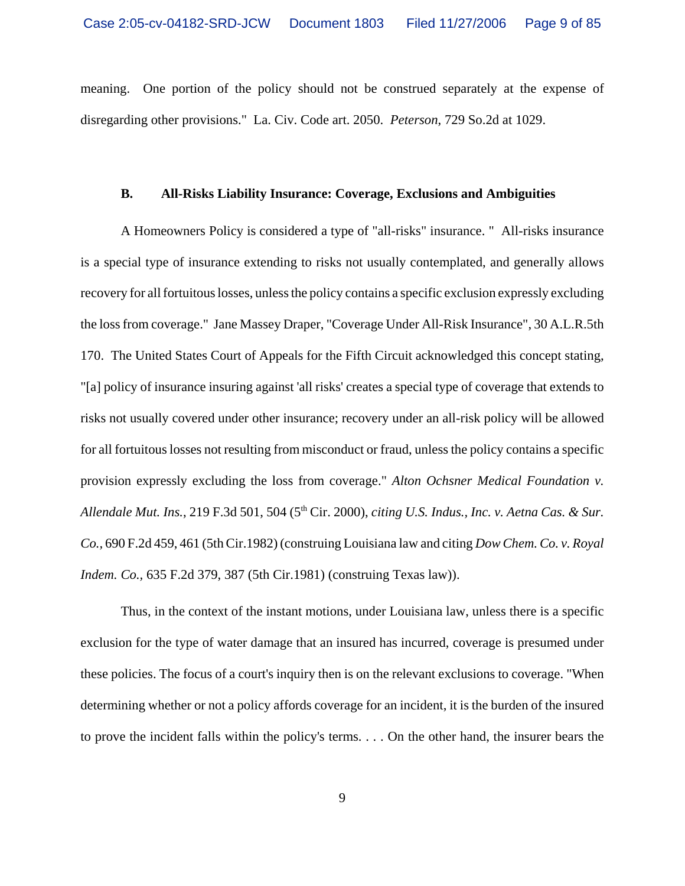meaning. One portion of the policy should not be construed separately at the expense of disregarding other provisions." La. Civ. Code art. 2050. *Peterson*, 729 So.2d at 1029.

#### **B. All-Risks Liability Insurance: Coverage, Exclusions and Ambiguities**

A Homeowners Policy is considered a type of "all-risks" insurance. " All-risks insurance is a special type of insurance extending to risks not usually contemplated, and generally allows recovery for all fortuitous losses, unless the policy contains a specific exclusion expressly excluding the loss from coverage." Jane Massey Draper, "Coverage Under All-Risk Insurance", 30 A.L.R.5th 170. The United States Court of Appeals for the Fifth Circuit acknowledged this concept stating, "[a] policy of insurance insuring against 'all risks' creates a special type of coverage that extends to risks not usually covered under other insurance; recovery under an all-risk policy will be allowed for all fortuitous losses not resulting from misconduct or fraud, unless the policy contains a specific provision expressly excluding the loss from coverage." *Alton Ochsner Medical Foundation v. Allendale Mut. Ins.*, 219 F.3d 501, 504 (5th Cir. 2000), *citing U.S. Indus., Inc. v. Aetna Cas. & Sur. Co.,* 690 F.2d 459, 461 (5th Cir.1982) (construing Louisiana law and citing *Dow Chem. Co. v. Royal Indem. Co.,* 635 F.2d 379, 387 (5th Cir.1981) (construing Texas law)).

Thus, in the context of the instant motions, under Louisiana law, unless there is a specific exclusion for the type of water damage that an insured has incurred, coverage is presumed under these policies. The focus of a court's inquiry then is on the relevant exclusions to coverage. "When determining whether or not a policy affords coverage for an incident, it is the burden of the insured to prove the incident falls within the policy's terms. . . . On the other hand, the insurer bears the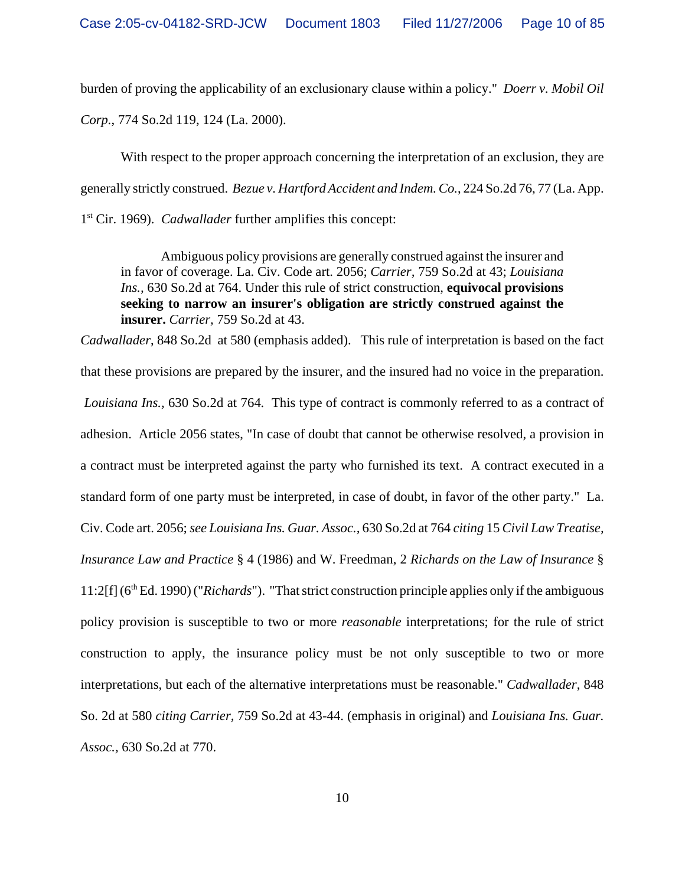burden of proving the applicability of an exclusionary clause within a policy." *Doerr v. Mobil Oil Corp.*, 774 So.2d 119, 124 (La. 2000).

With respect to the proper approach concerning the interpretation of an exclusion, they are generally strictly construed. *Bezue v. Hartford Accident and Indem. Co.*, 224 So.2d 76, 77 (La. App.

1st Cir. 1969). *Cadwallader* further amplifies this concept:

Ambiguous policy provisions are generally construed against the insurer and in favor of coverage. La. Civ. Code art. 2056; *Carrier,* 759 So.2d at 43; *Louisiana Ins.,* 630 So.2d at 764. Under this rule of strict construction, **equivocal provisions seeking to narrow an insurer's obligation are strictly construed against the insurer.** *Carrier,* 759 So.2d at 43.

*Cadwallader*, 848 So.2d at 580 (emphasis added). This rule of interpretation is based on the fact that these provisions are prepared by the insurer, and the insured had no voice in the preparation. *Louisiana Ins.,* 630 So.2d at 764*.* This type of contract is commonly referred to as a contract of adhesion. Article 2056 states, "In case of doubt that cannot be otherwise resolved, a provision in a contract must be interpreted against the party who furnished its text. A contract executed in a standard form of one party must be interpreted, in case of doubt, in favor of the other party." La. Civ. Code art. 2056; *see Louisiana Ins. Guar. Assoc.,* 630 So.2d at 764 *citing* 15 *Civil Law Treatise, Insurance Law and Practice* § 4 (1986) and W. Freedman, 2 *Richards on the Law of Insurance* § 11:2[f] (6th Ed. 1990) ("*Richards*")."That strict construction principle applies only if the ambiguous policy provision is susceptible to two or more *reasonable* interpretations; for the rule of strict construction to apply, the insurance policy must be not only susceptible to two or more interpretations, but each of the alternative interpretations must be reasonable." *Cadwallader*, 848 So. 2d at 580 *citing Carrier,* 759 So.2d at 43-44. (emphasis in original) and *Louisiana Ins. Guar. Assoc.,* 630 So.2d at 770.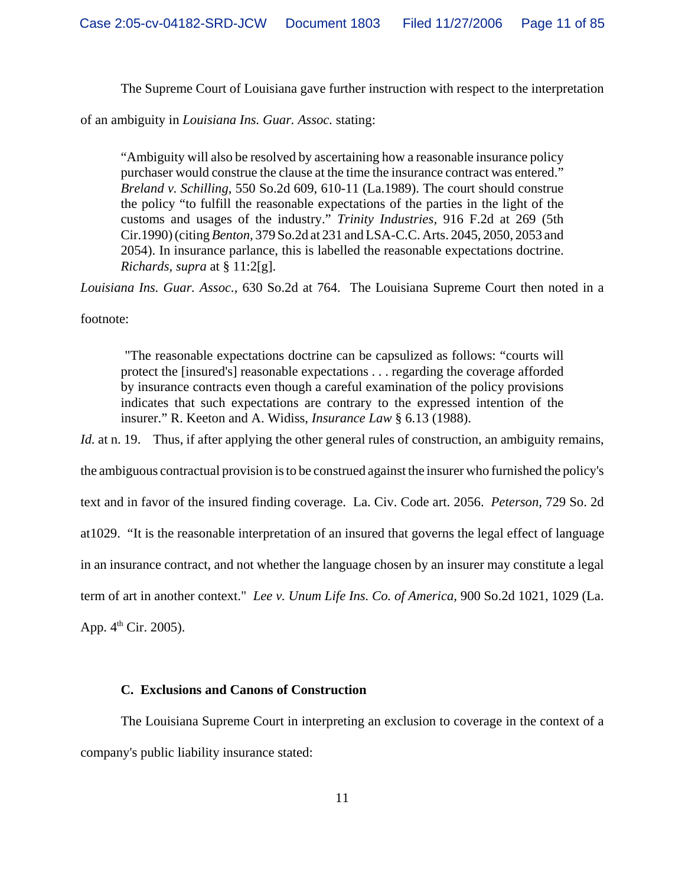The Supreme Court of Louisiana gave further instruction with respect to the interpretation

of an ambiguity in *Louisiana Ins. Guar. Assoc.* stating:

"Ambiguity will also be resolved by ascertaining how a reasonable insurance policy purchaser would construe the clause at the time the insurance contract was entered." *Breland v. Schilling,* 550 So.2d 609, 610-11 (La.1989). The court should construe the policy "to fulfill the reasonable expectations of the parties in the light of the customs and usages of the industry." *Trinity Industries,* 916 F.2d at 269 (5th Cir.1990) (citing *Benton,* 379 So.2d at 231 and LSA-C.C. Arts. 2045, 2050, 2053 and 2054). In insurance parlance, this is labelled the reasonable expectations doctrine. *Richards, supra* at § 11:2[g].

*Louisiana Ins. Guar. Assoc.,* 630 So.2d at 764. The Louisiana Supreme Court then noted in a

footnote:

 "The reasonable expectations doctrine can be capsulized as follows: "courts will protect the [insured's] reasonable expectations . . . regarding the coverage afforded by insurance contracts even though a careful examination of the policy provisions indicates that such expectations are contrary to the expressed intention of the insurer." R. Keeton and A. Widiss, *Insurance Law* § 6.13 (1988).

*Id.* at n. 19. Thus, if after applying the other general rules of construction, an ambiguity remains, the ambiguous contractual provision is to be construed against the insurer who furnished the policy's text and in favor of the insured finding coverage. La. Civ. Code art. 2056. *Peterson,* 729 So. 2d

at1029. "It is the reasonable interpretation of an insured that governs the legal effect of language

in an insurance contract, and not whether the language chosen by an insurer may constitute a legal

term of art in another context." *Lee v. Unum Life Ins. Co. of America,* 900 So.2d 1021, 1029 (La.

App.  $4^{\text{th}}$  Cir. 2005).

### **C. Exclusions and Canons of Construction**

The Louisiana Supreme Court in interpreting an exclusion to coverage in the context of a company's public liability insurance stated: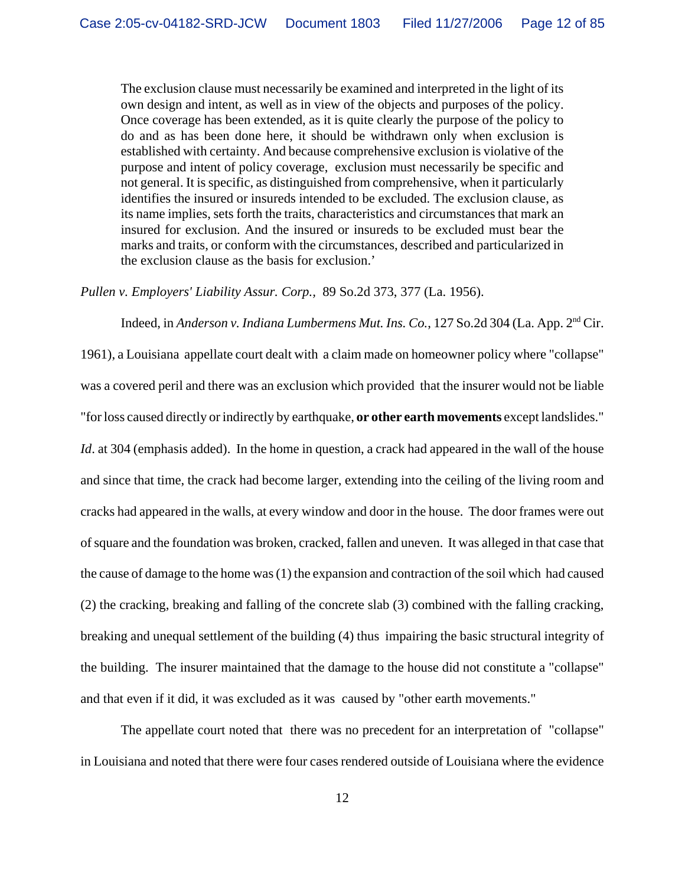The exclusion clause must necessarily be examined and interpreted in the light of its own design and intent, as well as in view of the objects and purposes of the policy. Once coverage has been extended, as it is quite clearly the purpose of the policy to do and as has been done here, it should be withdrawn only when exclusion is established with certainty. And because comprehensive exclusion is violative of the purpose and intent of policy coverage, exclusion must necessarily be specific and not general. It is specific, as distinguished from comprehensive, when it particularly identifies the insured or insureds intended to be excluded. The exclusion clause, as its name implies, sets forth the traits, characteristics and circumstances that mark an insured for exclusion. And the insured or insureds to be excluded must bear the marks and traits, or conform with the circumstances, described and particularized in the exclusion clause as the basis for exclusion.'

*Pullen v. Employers' Liability Assur. Corp.,* 89 So.2d 373, 377 (La. 1956).

Indeed, in *Anderson v. Indiana Lumbermens Mut. Ins. Co.*, 127 So.2d 304 (La. App. 2<sup>nd</sup> Cir.

1961), a Louisiana appellate court dealt with a claim made on homeowner policy where "collapse" was a covered peril and there was an exclusion which provided that the insurer would not be liable "for loss caused directly or indirectly by earthquake, **or other earth movements** except landslides." *Id.* at 304 (emphasis added). In the home in question, a crack had appeared in the wall of the house and since that time, the crack had become larger, extending into the ceiling of the living room and cracks had appeared in the walls, at every window and door in the house. The door frames were out of square and the foundation was broken, cracked, fallen and uneven. It was alleged in that case that the cause of damage to the home was (1) the expansion and contraction of the soil which had caused (2) the cracking, breaking and falling of the concrete slab (3) combined with the falling cracking, breaking and unequal settlement of the building (4) thus impairing the basic structural integrity of the building. The insurer maintained that the damage to the house did not constitute a "collapse" and that even if it did, it was excluded as it was caused by "other earth movements."

The appellate court noted that there was no precedent for an interpretation of "collapse" in Louisiana and noted that there were four cases rendered outside of Louisiana where the evidence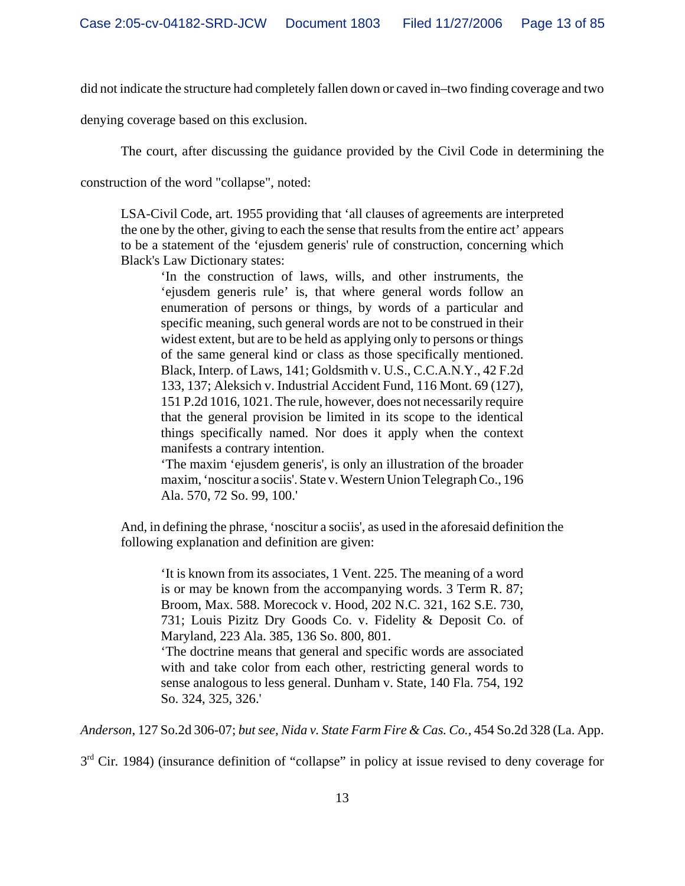did not indicate the structure had completely fallen down or caved in–two finding coverage and two

denying coverage based on this exclusion.

The court, after discussing the guidance provided by the Civil Code in determining the

construction of the word "collapse", noted:

LSA-Civil Code, art. 1955 providing that 'all clauses of agreements are interpreted the one by the other, giving to each the sense that results from the entire act' appears to be a statement of the 'ejusdem generis' rule of construction, concerning which Black's Law Dictionary states:

'In the construction of laws, wills, and other instruments, the 'ejusdem generis rule' is, that where general words follow an enumeration of persons or things, by words of a particular and specific meaning, such general words are not to be construed in their widest extent, but are to be held as applying only to persons or things of the same general kind or class as those specifically mentioned. Black, Interp. of Laws, 141; Goldsmith v. U.S., C.C.A.N.Y., 42 F.2d 133, 137; Aleksich v. Industrial Accident Fund, 116 Mont. 69 (127), 151 P.2d 1016, 1021. The rule, however, does not necessarily require that the general provision be limited in its scope to the identical things specifically named. Nor does it apply when the context manifests a contrary intention.

'The maxim 'ejusdem generis', is only an illustration of the broader maxim, 'noscitur a sociis'. State v. Western Union Telegraph Co., 196 Ala. 570, 72 So. 99, 100.'

And, in defining the phrase, 'noscitur a sociis', as used in the aforesaid definition the following explanation and definition are given:

'It is known from its associates, 1 Vent. 225. The meaning of a word is or may be known from the accompanying words. 3 Term R. 87; Broom, Max. 588. Morecock v. Hood, 202 N.C. 321, 162 S.E. 730, 731; Louis Pizitz Dry Goods Co. v. Fidelity & Deposit Co. of Maryland, 223 Ala. 385, 136 So. 800, 801.

'The doctrine means that general and specific words are associated with and take color from each other, restricting general words to sense analogous to less general. Dunham v. State, 140 Fla. 754, 192 So. 324, 325, 326.'

*Anderson*, 127 So.2d 306-07; *but see, Nida v. State Farm Fire & Cas. Co.,* 454 So.2d 328 (La. App.

 $3<sup>rd</sup>$  Cir. 1984) (insurance definition of "collapse" in policy at issue revised to deny coverage for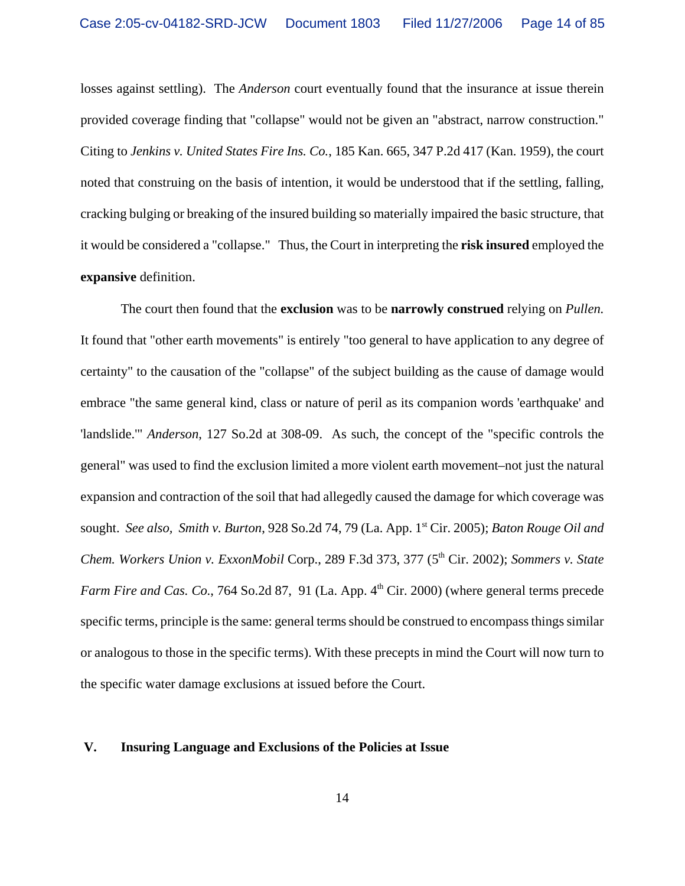losses against settling). The *Anderson* court eventually found that the insurance at issue therein provided coverage finding that "collapse" would not be given an "abstract, narrow construction." Citing to *Jenkins v. United States Fire Ins. Co.*, 185 Kan. 665, 347 P.2d 417 (Kan. 1959), the court noted that construing on the basis of intention, it would be understood that if the settling, falling, cracking bulging or breaking of the insured building so materially impaired the basic structure, that it would be considered a "collapse." Thus, the Court in interpreting the **risk insured** employed the **expansive** definition.

 The court then found that the **exclusion** was to be **narrowly construed** relying on *Pullen.* It found that "other earth movements" is entirely "too general to have application to any degree of certainty" to the causation of the "collapse" of the subject building as the cause of damage would embrace "the same general kind, class or nature of peril as its companion words 'earthquake' and 'landslide.'" *Anderson*, 127 So.2d at 308-09. As such, the concept of the "specific controls the general" was used to find the exclusion limited a more violent earth movement–not just the natural expansion and contraction of the soil that had allegedly caused the damage for which coverage was sought. *See also, Smith v. Burton*, 928 So.2d 74, 79 (La. App. 1st Cir. 2005); *Baton Rouge Oil and Chem. Workers Union v. ExxonMobil Corp., 289 F.3d 373, 377 (5<sup>th</sup> Cir. 2002); <i>Sommers v. State Farm Fire and Cas. Co.*, 764 So.2d 87, 91 (La. App. 4<sup>th</sup> Cir. 2000) (where general terms precede specific terms, principle is the same: general terms should be construed to encompass things similar or analogous to those in the specific terms). With these precepts in mind the Court will now turn to the specific water damage exclusions at issued before the Court.

#### **V. Insuring Language and Exclusions of the Policies at Issue**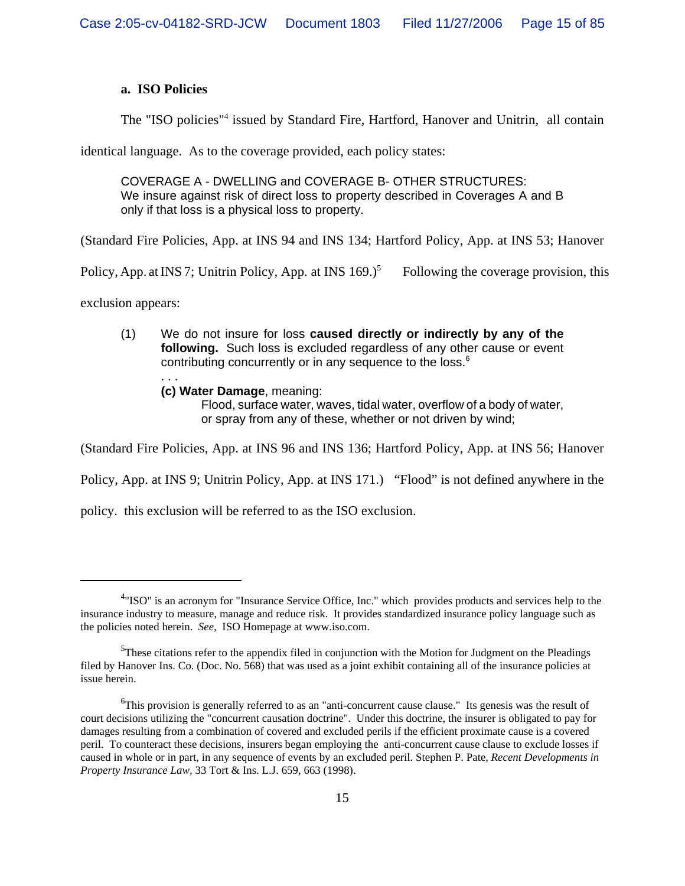## **a. ISO Policies**

The "ISO policies"<sup>4</sup> issued by Standard Fire, Hartford, Hanover and Unitrin, all contain

identical language. As to the coverage provided, each policy states:

COVERAGE A - DWELLING and COVERAGE B- OTHER STRUCTURES: We insure against risk of direct loss to property described in Coverages A and B only if that loss is a physical loss to property.

(Standard Fire Policies, App. at INS 94 and INS 134; Hartford Policy, App. at INS 53; Hanover

Policy, App. at INS 7; Unitrin Policy, App. at INS  $169.$ <sup>5</sup> Following the coverage provision, this

exclusion appears:

- (1) We do not insure for loss **caused directly or indirectly by any of the following.** Such loss is excluded regardless of any other cause or event contributing concurrently or in any sequence to the loss.<sup>6</sup> . . .
	- **(c) Water Damage**, meaning:

Flood, surface water, waves, tidal water, overflow of a body of water, or spray from any of these, whether or not driven by wind;

(Standard Fire Policies, App. at INS 96 and INS 136; Hartford Policy, App. at INS 56; Hanover

Policy, App. at INS 9; Unitrin Policy, App. at INS 171.) "Flood" is not defined anywhere in the

policy. this exclusion will be referred to as the ISO exclusion.

<sup>&</sup>lt;sup>4</sup>"ISO" is an acronym for "Insurance Service Office, Inc." which provides products and services help to the insurance industry to measure, manage and reduce risk. It provides standardized insurance policy language such as the policies noted herein. *See,* ISO Homepage at www.iso.com.

 $5$ These citations refer to the appendix filed in conjunction with the Motion for Judgment on the Pleadings filed by Hanover Ins. Co. (Doc. No. 568) that was used as a joint exhibit containing all of the insurance policies at issue herein.

<sup>&</sup>lt;sup>6</sup>This provision is generally referred to as an "anti-concurrent cause clause." Its genesis was the result of court decisions utilizing the "concurrent causation doctrine". Under this doctrine, the insurer is obligated to pay for damages resulting from a combination of covered and excluded perils if the efficient proximate cause is a covered peril. To counteract these decisions, insurers began employing the anti-concurrent cause clause to exclude losses if caused in whole or in part, in any sequence of events by an excluded peril. Stephen P. Pate, *Recent Developments in Property Insurance Law,* 33 Tort & Ins. L.J. 659, 663 (1998).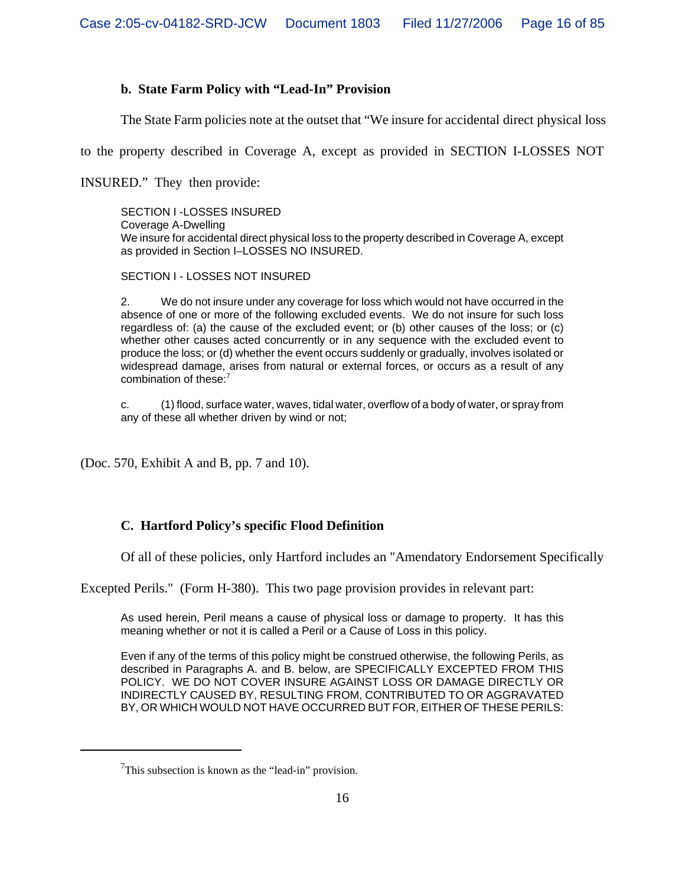# **b. State Farm Policy with "Lead-In" Provision**

The State Farm policies note at the outset that "We insure for accidental direct physical loss

to the property described in Coverage A, except as provided in SECTION I-LOSSES NOT

INSURED." They then provide:

SECTION I -LOSSES INSURED Coverage A-Dwelling We insure for accidental direct physical loss to the property described in Coverage A, except as provided in Section I–LOSSES NO INSURED.

SECTION I - LOSSES NOT INSURED

2. We do not insure under any coverage for loss which would not have occurred in the absence of one or more of the following excluded events. We do not insure for such loss regardless of: (a) the cause of the excluded event; or (b) other causes of the loss; or (c) whether other causes acted concurrently or in any sequence with the excluded event to produce the loss; or (d) whether the event occurs suddenly or gradually, involves isolated or widespread damage, arises from natural or external forces, or occurs as a result of any combination of these:<sup>7</sup>

c. (1) flood, surface water, waves, tidal water, overflow of a body of water, or spray from any of these all whether driven by wind or not;

(Doc. 570, Exhibit A and B, pp. 7 and 10).

## **C. Hartford Policy's specific Flood Definition**

Of all of these policies, only Hartford includes an "Amendatory Endorsement Specifically

Excepted Perils." (Form H-380). This two page provision provides in relevant part:

As used herein, Peril means a cause of physical loss or damage to property. It has this meaning whether or not it is called a Peril or a Cause of Loss in this policy.

Even if any of the terms of this policy might be construed otherwise, the following Perils, as described in Paragraphs A. and B. below, are SPECIFICALLY EXCEPTED FROM THIS POLICY. WE DO NOT COVER INSURE AGAINST LOSS OR DAMAGE DIRECTLY OR INDIRECTLY CAUSED BY, RESULTING FROM, CONTRIBUTED TO OR AGGRAVATED BY, OR WHICH WOULD NOT HAVE OCCURRED BUT FOR, EITHER OF THESE PERILS:

 $7$ This subsection is known as the "lead-in" provision.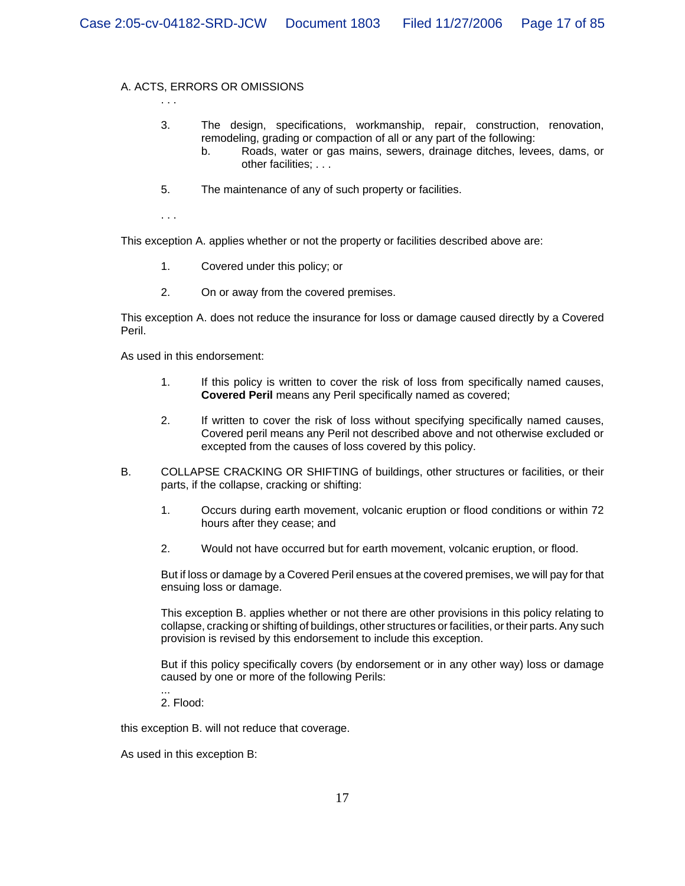### A. ACTS, ERRORS OR OMISSIONS

3. The design, specifications, workmanship, repair, construction, renovation, remodeling, grading or compaction of all or any part of the following:

- b. Roads, water or gas mains, sewers, drainage ditches, levees, dams, or other facilities; . . .
- 5. The maintenance of any of such property or facilities.

. . .

. . .

This exception A. applies whether or not the property or facilities described above are:

- 1. Covered under this policy; or
- 2. On or away from the covered premises.

This exception A. does not reduce the insurance for loss or damage caused directly by a Covered Peril.

As used in this endorsement:

- 1. If this policy is written to cover the risk of loss from specifically named causes, **Covered Peril** means any Peril specifically named as covered;
- 2. If written to cover the risk of loss without specifying specifically named causes, Covered peril means any Peril not described above and not otherwise excluded or excepted from the causes of loss covered by this policy.
- B. COLLAPSE CRACKING OR SHIFTING of buildings, other structures or facilities, or their parts, if the collapse, cracking or shifting:
	- 1. Occurs during earth movement, volcanic eruption or flood conditions or within 72 hours after they cease; and
	- 2. Would not have occurred but for earth movement, volcanic eruption, or flood.

But if loss or damage by a Covered Peril ensues at the covered premises, we will pay for that ensuing loss or damage.

This exception B. applies whether or not there are other provisions in this policy relating to collapse, cracking or shifting of buildings, other structures or facilities, or their parts. Any such provision is revised by this endorsement to include this exception.

But if this policy specifically covers (by endorsement or in any other way) loss or damage caused by one or more of the following Perils:

2. Flood:

...

this exception B. will not reduce that coverage.

As used in this exception B: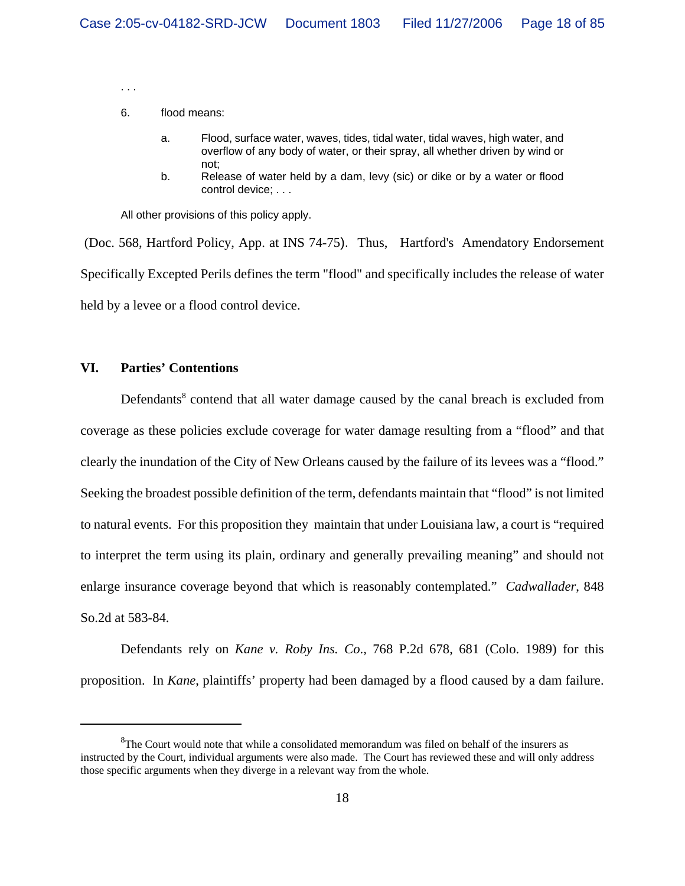. . .

#### 6. flood means:

- a. Flood, surface water, waves, tides, tidal water, tidal waves, high water, and overflow of any body of water, or their spray, all whether driven by wind or not;
- b. Release of water held by a dam, levy (sic) or dike or by a water or flood control device; . . .

All other provisions of this policy apply.

(Doc. 568, Hartford Policy, App. at INS 74-75). Thus, Hartford's Amendatory Endorsement Specifically Excepted Perils defines the term "flood" and specifically includes the release of water held by a levee or a flood control device.

#### **VI. Parties' Contentions**

Defendants<sup>8</sup> contend that all water damage caused by the canal breach is excluded from coverage as these policies exclude coverage for water damage resulting from a "flood" and that clearly the inundation of the City of New Orleans caused by the failure of its levees was a "flood." Seeking the broadest possible definition of the term, defendants maintain that "flood" is not limited to natural events. For this proposition they maintain that under Louisiana law, a court is "required to interpret the term using its plain, ordinary and generally prevailing meaning" and should not enlarge insurance coverage beyond that which is reasonably contemplated." *Cadwallader*, 848 So.2d at 583-84.

Defendants rely on *Kane v. Roby Ins. Co*.*,* 768 P.2d 678, 681 (Colo. 1989) for this proposition. In *Kane*, plaintiffs' property had been damaged by a flood caused by a dam failure.

 ${}^{8}$ The Court would note that while a consolidated memorandum was filed on behalf of the insurers as instructed by the Court, individual arguments were also made. The Court has reviewed these and will only address those specific arguments when they diverge in a relevant way from the whole.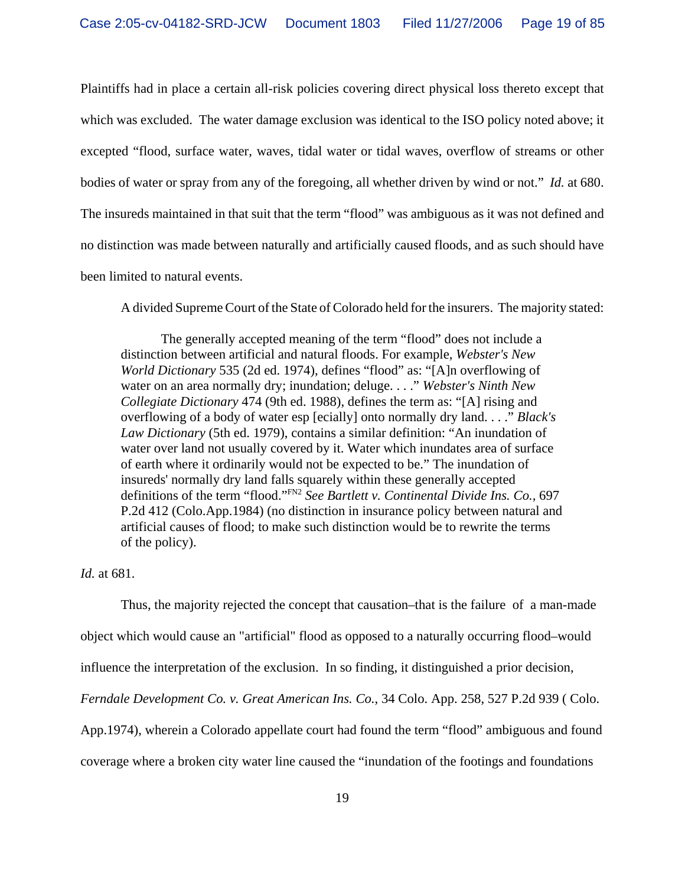Plaintiffs had in place a certain all-risk policies covering direct physical loss thereto except that which was excluded. The water damage exclusion was identical to the ISO policy noted above; it excepted "flood, surface water, waves, tidal water or tidal waves, overflow of streams or other bodies of water or spray from any of the foregoing, all whether driven by wind or not." *Id.* at 680. The insureds maintained in that suit that the term "flood" was ambiguous as it was not defined and no distinction was made between naturally and artificially caused floods, and as such should have been limited to natural events.

A divided Supreme Court of the State of Colorado held for the insurers. The majority stated:

The generally accepted meaning of the term "flood" does not include a distinction between artificial and natural floods. For example, *Webster's New World Dictionary* 535 (2d ed. 1974), defines "flood" as: "[A]n overflowing of water on an area normally dry; inundation; deluge. . . ." *Webster's Ninth New Collegiate Dictionary* 474 (9th ed. 1988), defines the term as: "[A] rising and overflowing of a body of water esp [ecially] onto normally dry land. . . ." *Black's Law Dictionary* (5th ed. 1979), contains a similar definition: "An inundation of water over land not usually covered by it. Water which inundates area of surface of earth where it ordinarily would not be expected to be." The inundation of insureds' normally dry land falls squarely within these generally accepted definitions of the term "flood."FN2 *See Bartlett v. Continental Divide Ins. Co.,* 697 P.2d 412 (Colo.App.1984) (no distinction in insurance policy between natural and artificial causes of flood; to make such distinction would be to rewrite the terms of the policy).

# *Id.* at 681.

Thus, the majority rejected the concept that causation–that is the failure of a man-made object which would cause an "artificial" flood as opposed to a naturally occurring flood–would influence the interpretation of the exclusion. In so finding, it distinguished a prior decision, *Ferndale Development Co. v. Great American Ins. Co.*, 34 Colo. App. 258, 527 P.2d 939 ( Colo. App.1974), wherein a Colorado appellate court had found the term "flood" ambiguous and found coverage where a broken city water line caused the "inundation of the footings and foundations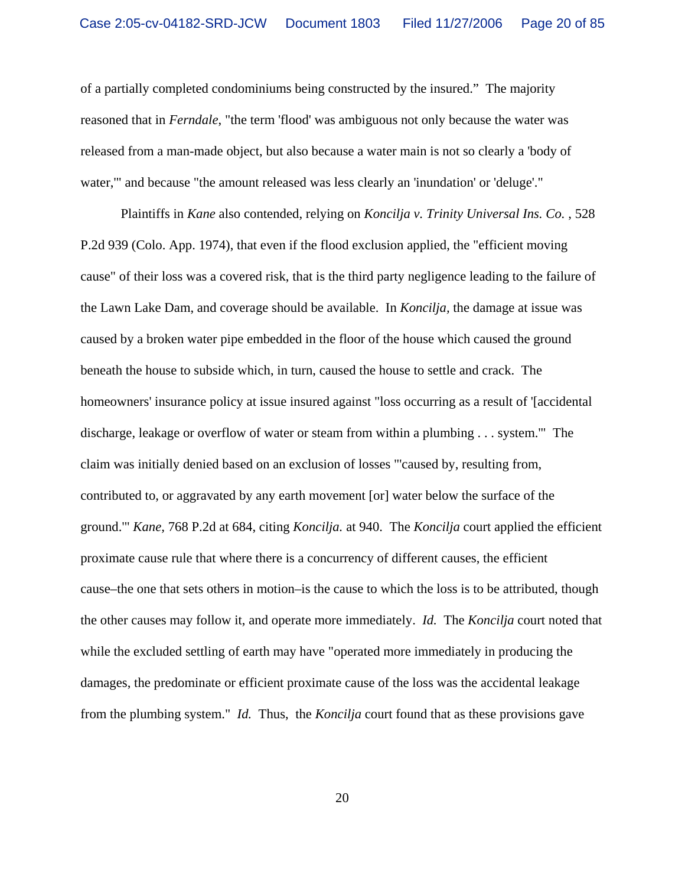of a partially completed condominiums being constructed by the insured." The majority reasoned that in *Ferndale*, "the term 'flood' was ambiguous not only because the water was released from a man-made object, but also because a water main is not so clearly a 'body of water,'" and because "the amount released was less clearly an 'inundation' or 'deluge'."

Plaintiffs in *Kane* also contended, relying on *Koncilja v. Trinity Universal Ins. Co.* , 528 P.2d 939 (Colo. App. 1974), that even if the flood exclusion applied, the "efficient moving cause" of their loss was a covered risk, that is the third party negligence leading to the failure of the Lawn Lake Dam, and coverage should be available. In *Koncilja,* the damage at issue was caused by a broken water pipe embedded in the floor of the house which caused the ground beneath the house to subside which, in turn, caused the house to settle and crack. The homeowners' insurance policy at issue insured against "loss occurring as a result of '[accidental] discharge, leakage or overflow of water or steam from within a plumbing . . . system.'" The claim was initially denied based on an exclusion of losses "'caused by, resulting from, contributed to, or aggravated by any earth movement [or] water below the surface of the ground.'" *Kane,* 768 P.2d at 684, citing *Koncilja.* at 940. The *Koncilja* court applied the efficient proximate cause rule that where there is a concurrency of different causes, the efficient cause–the one that sets others in motion–is the cause to which the loss is to be attributed, though the other causes may follow it, and operate more immediately. *Id.* The *Koncilja* court noted that while the excluded settling of earth may have "operated more immediately in producing the damages, the predominate or efficient proximate cause of the loss was the accidental leakage from the plumbing system." *Id.* Thus, the *Koncilja* court found that as these provisions gave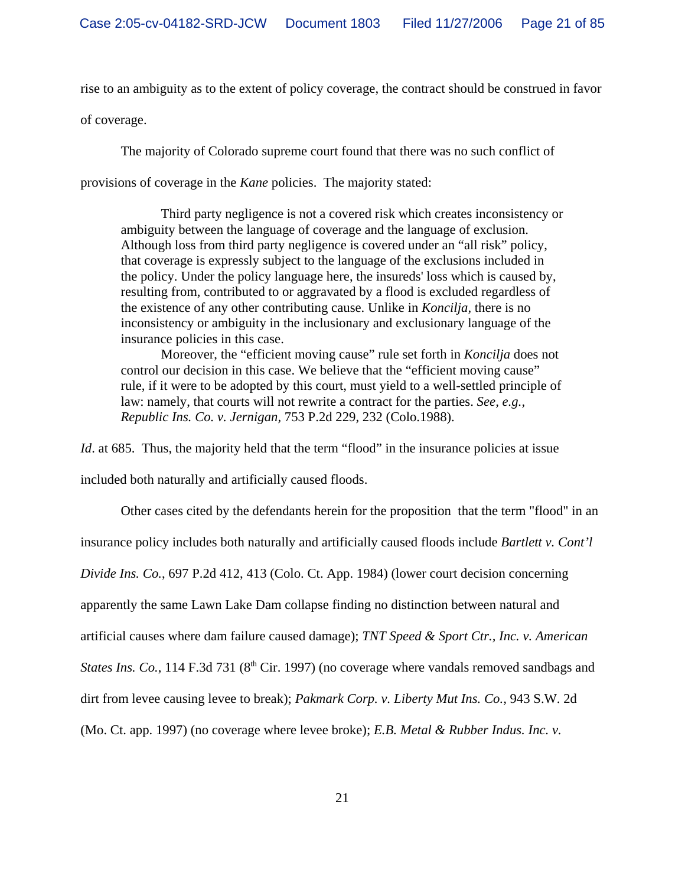rise to an ambiguity as to the extent of policy coverage, the contract should be construed in favor of coverage.

The majority of Colorado supreme court found that there was no such conflict of

provisions of coverage in the *Kane* policies. The majority stated:

Third party negligence is not a covered risk which creates inconsistency or ambiguity between the language of coverage and the language of exclusion. Although loss from third party negligence is covered under an "all risk" policy, that coverage is expressly subject to the language of the exclusions included in the policy. Under the policy language here, the insureds' loss which is caused by, resulting from, contributed to or aggravated by a flood is excluded regardless of the existence of any other contributing cause. Unlike in *Koncilja,* there is no inconsistency or ambiguity in the inclusionary and exclusionary language of the insurance policies in this case.

Moreover, the "efficient moving cause" rule set forth in *Koncilja* does not control our decision in this case. We believe that the "efficient moving cause" rule, if it were to be adopted by this court, must yield to a well-settled principle of law: namely, that courts will not rewrite a contract for the parties. *See, e.g., Republic Ins. Co. v. Jernigan,* 753 P.2d 229, 232 (Colo.1988).

*Id.* at 685. Thus, the majority held that the term "flood" in the insurance policies at issue included both naturally and artificially caused floods.

Other cases cited by the defendants herein for the proposition that the term "flood" in an insurance policy includes both naturally and artificially caused floods include *Bartlett v. Cont'l Divide Ins. Co.*, 697 P.2d 412, 413 (Colo. Ct. App. 1984) (lower court decision concerning apparently the same Lawn Lake Dam collapse finding no distinction between natural and artificial causes where dam failure caused damage); *TNT Speed & Sport Ctr., Inc. v. American States Ins. Co.*, 114 F.3d 731 (8<sup>th</sup> Cir. 1997) (no coverage where vandals removed sandbags and dirt from levee causing levee to break); *Pakmark Corp. v. Liberty Mut Ins. Co.,* 943 S.W. 2d (Mo. Ct. app. 1997) (no coverage where levee broke); *E.B. Metal & Rubber Indus. Inc. v.*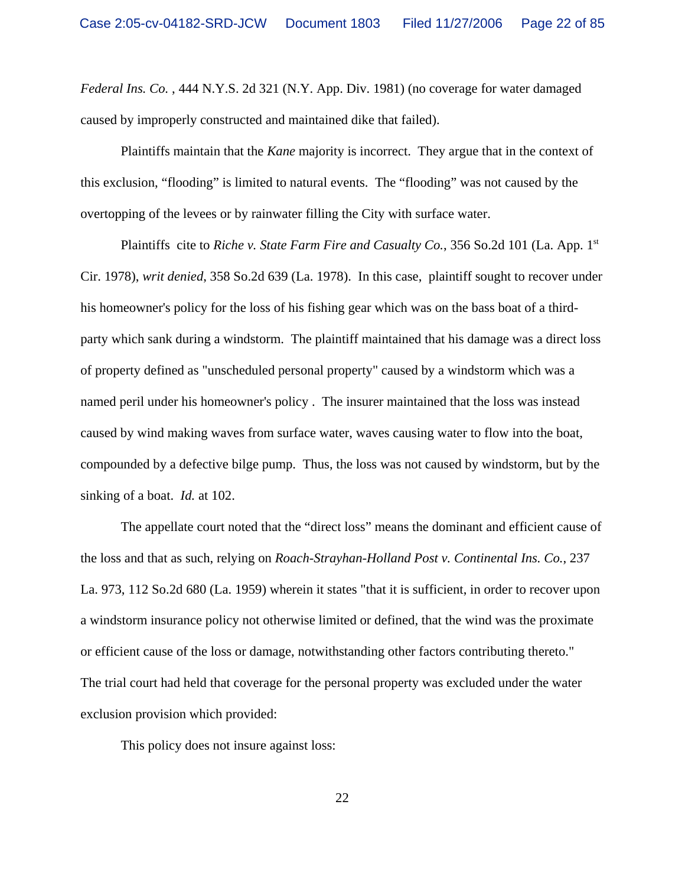*Federal Ins. Co.* , 444 N.Y.S. 2d 321 (N.Y. App. Div. 1981) (no coverage for water damaged caused by improperly constructed and maintained dike that failed).

Plaintiffs maintain that the *Kane* majority is incorrect. They argue that in the context of this exclusion, "flooding" is limited to natural events. The "flooding" was not caused by the overtopping of the levees or by rainwater filling the City with surface water.

Plaintiffs cite to *Riche v. State Farm Fire and Casualty Co.*, 356 So.2d 101 (La. App. 1<sup>st</sup>) Cir. 1978), *writ denied*, 358 So.2d 639 (La. 1978). In this case, plaintiff sought to recover under his homeowner's policy for the loss of his fishing gear which was on the bass boat of a thirdparty which sank during a windstorm. The plaintiff maintained that his damage was a direct loss of property defined as "unscheduled personal property" caused by a windstorm which was a named peril under his homeowner's policy . The insurer maintained that the loss was instead caused by wind making waves from surface water, waves causing water to flow into the boat, compounded by a defective bilge pump. Thus, the loss was not caused by windstorm, but by the sinking of a boat. *Id.* at 102.

The appellate court noted that the "direct loss" means the dominant and efficient cause of the loss and that as such, relying on *Roach-Strayhan-Holland Post v. Continental Ins. Co.*, 237 La. 973, 112 So.2d 680 (La. 1959) wherein it states "that it is sufficient, in order to recover upon a windstorm insurance policy not otherwise limited or defined, that the wind was the proximate or efficient cause of the loss or damage, notwithstanding other factors contributing thereto." The trial court had held that coverage for the personal property was excluded under the water exclusion provision which provided:

This policy does not insure against loss: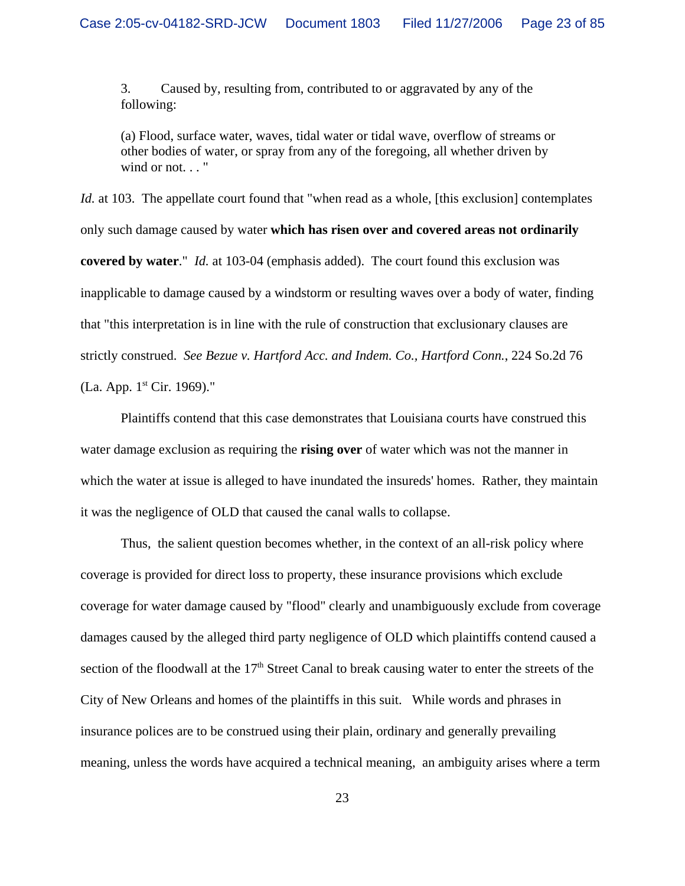3. Caused by, resulting from, contributed to or aggravated by any of the following:

(a) Flood, surface water, waves, tidal water or tidal wave, overflow of streams or other bodies of water, or spray from any of the foregoing, all whether driven by wind or not. . . "

*Id.* at 103. The appellate court found that "when read as a whole, [this exclusion] contemplates only such damage caused by water **which has risen over and covered areas not ordinarily covered by water**." *Id.* at 103-04 (emphasis added). The court found this exclusion was inapplicable to damage caused by a windstorm or resulting waves over a body of water, finding that "this interpretation is in line with the rule of construction that exclusionary clauses are strictly construed. *See Bezue v. Hartford Acc. and Indem. Co., Hartford Conn.*, 224 So.2d 76 (La. App. 1st Cir. 1969)."

Plaintiffs contend that this case demonstrates that Louisiana courts have construed this water damage exclusion as requiring the **rising over** of water which was not the manner in which the water at issue is alleged to have inundated the insureds' homes. Rather, they maintain it was the negligence of OLD that caused the canal walls to collapse.

Thus, the salient question becomes whether, in the context of an all-risk policy where coverage is provided for direct loss to property, these insurance provisions which exclude coverage for water damage caused by "flood" clearly and unambiguously exclude from coverage damages caused by the alleged third party negligence of OLD which plaintiffs contend caused a section of the floodwall at the 17<sup>th</sup> Street Canal to break causing water to enter the streets of the City of New Orleans and homes of the plaintiffs in this suit. While words and phrases in insurance polices are to be construed using their plain, ordinary and generally prevailing meaning, unless the words have acquired a technical meaning, an ambiguity arises where a term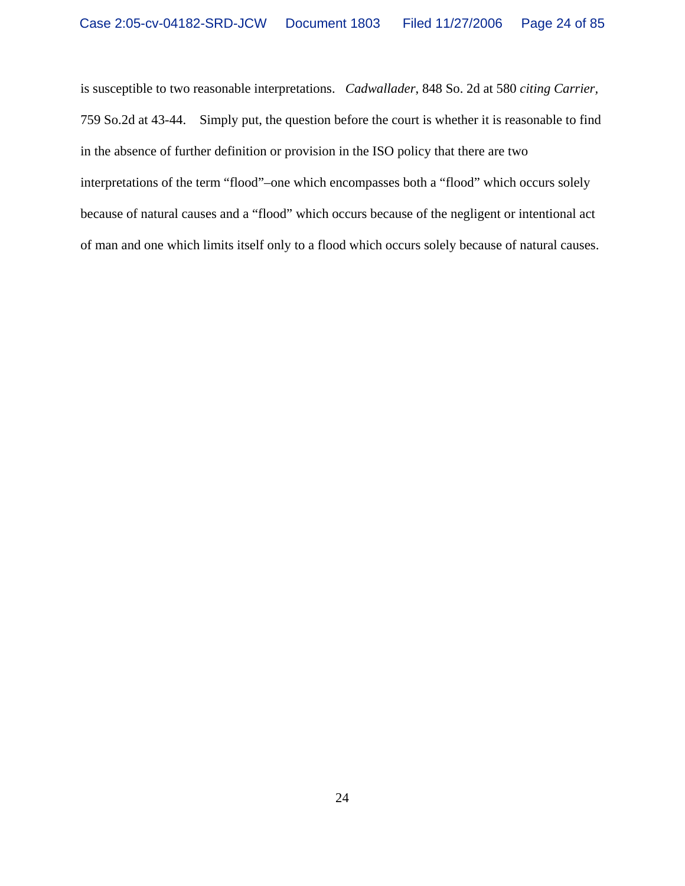is susceptible to two reasonable interpretations. *Cadwallader*, 848 So. 2d at 580 *citing Carrier,* 759 So.2d at 43-44. Simply put, the question before the court is whether it is reasonable to find in the absence of further definition or provision in the ISO policy that there are two interpretations of the term "flood"–one which encompasses both a "flood" which occurs solely because of natural causes and a "flood" which occurs because of the negligent or intentional act of man and one which limits itself only to a flood which occurs solely because of natural causes.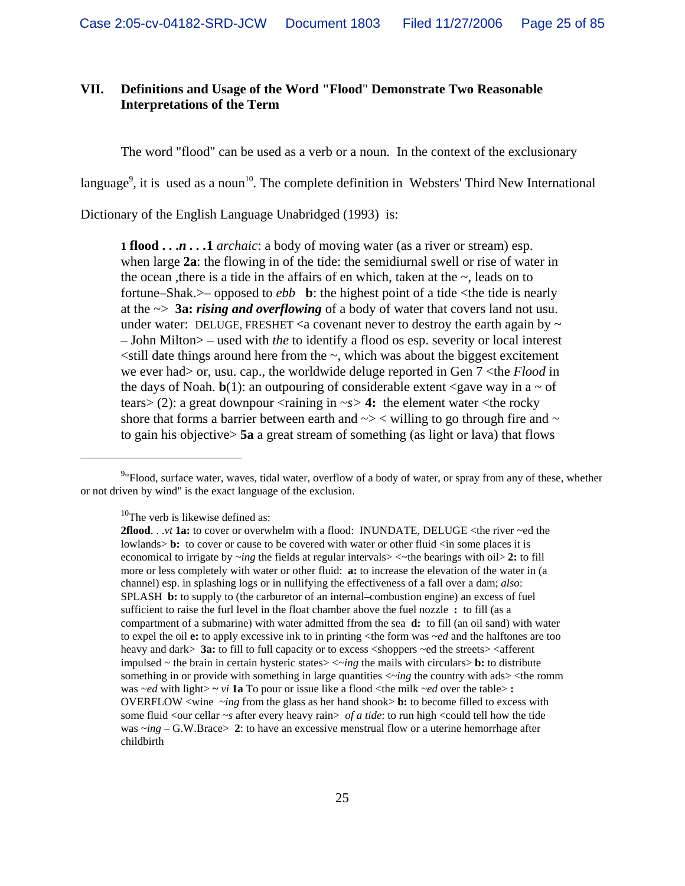# **VII. Definitions and Usage of the Word "Flood**" **Demonstrate Two Reasonable Interpretations of the Term**

The word "flood" can be used as a verb or a noun. In the context of the exclusionary

language<sup>9</sup>, it is used as a noun<sup>10</sup>. The complete definition in Websters' Third New International

Dictionary of the English Language Unabridged (1993) is:

**1 flood . . .***n . . .***1** *archaic*: a body of moving water (as a river or stream) esp. when large **2a**: the flowing in of the tide: the semidiurnal swell or rise of water in the ocean , there is a tide in the affairs of en which, taken at the  $\sim$ , leads on to fortune–Shak. $>$ – opposed to *ebb* **b**: the highest point of a tide  $\lt$ the tide is nearly at the ~> **3a:** *rising and overflowing* of a body of water that covers land not usu. under water: DELUGE, FRESHET  $\leq a$  covenant never to destroy the earth again by  $\sim$ – John Milton> – used with *the* to identify a flood os esp. severity or local interest  $\le$ still date things around here from the  $\sim$ , which was about the biggest excitement we ever had> or, usu. cap., the worldwide deluge reported in Gen 7 <the *Flood* in the days of Noah.  $\mathbf{b}(1)$ : an outpouring of considerable extent <gave way in a  $\sim$  of tears> (2): a great downpour  $\langle$ raining in  $\sim$ s> 4: the element water  $\langle$ the rocky shore that forms a barrier between earth and  $\sim$  >  $\lt$  willing to go through fire and  $\sim$ to gain his objective> **5a** a great stream of something (as light or lava) that flows

 $10$ The verb is likewise defined as:

<sup>&</sup>lt;sup>9</sup> Flood, surface water, waves, tidal water, overflow of a body of water, or spray from any of these, whether or not driven by wind" is the exact language of the exclusion.

**<sup>2</sup>flood**. . .*vt* **1a:** to cover or overwhelm with a flood: INUNDATE, DELUGE <the river ~ed the lowlands>**b**: to cover or cause to be covered with water or other fluid  $\langle$ in some places it is economical to irrigate by ~*ing* the fields at regular intervals> <~the bearings with oil> **2:** to fill more or less completely with water or other fluid: **a:** to increase the elevation of the water in (a channel) esp. in splashing logs or in nullifying the effectiveness of a fall over a dam; *also*: SPLASH **b:** to supply to (the carburetor of an internal–combustion engine) an excess of fuel sufficient to raise the furl level in the float chamber above the fuel nozzle **:** to fill (as a compartment of a submarine) with water admitted ffrom the sea **d:** to fill (an oil sand) with water to expel the oil **e:** to apply excessive ink to in printing <the form was ~*ed* and the halftones are too heavy and dark> **3a:** to fill to full capacity or to excess <shoppers ~ed the streets> <afferent impulsed  $\sim$  the brain in certain hysteric states $\gt$  $\lt$  $\sim$ *ing* the mails with circulars $\gt$  **b:** to distribute something in or provide with something in large quantities <~*ing* the country with ads> <the romm was ~*ed* with light> **~** *vi* **1a** To pour or issue like a flood <the milk ~*ed* over the table> **:** OVERFLOW <wine ~*ing* from the glass as her hand shook> **b:** to become filled to excess with some fluid <our cellar  $\sim s$  after every heavy rain> *of a tide*: to run high <could tell how the tide was  $\sim$ *ing* – G.W.Brace $> 2$ : to have an excessive menstrual flow or a uterine hemorrhage after childbirth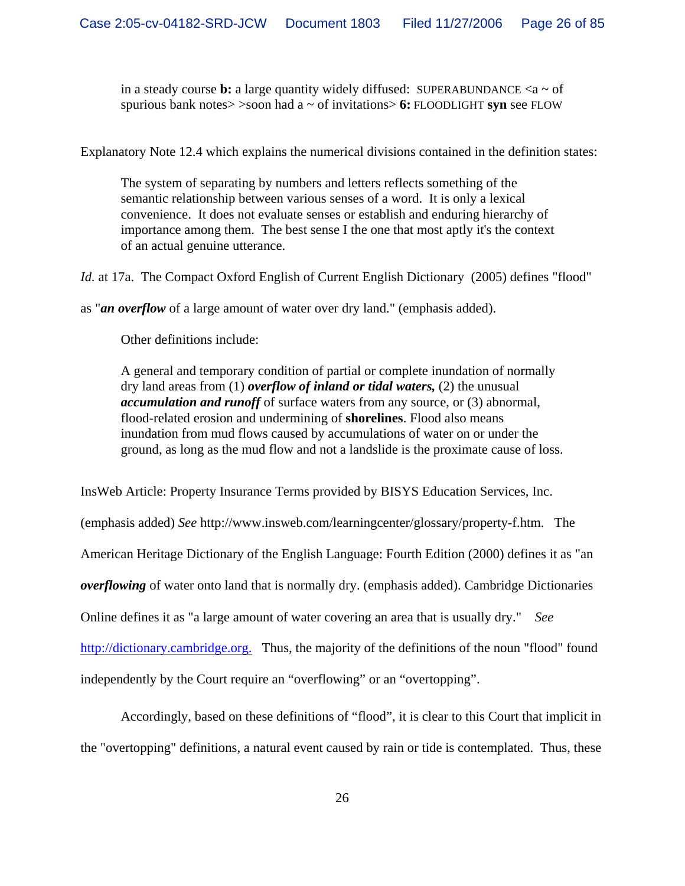in a steady course **b:** a large quantity widely diffused: SUPERABUNDANCE  $\langle a \rangle$  of spurious bank notes> >soon had a ~ of invitations> **6:** FLOODLIGHT **syn** see FLOW

Explanatory Note 12.4 which explains the numerical divisions contained in the definition states:

The system of separating by numbers and letters reflects something of the semantic relationship between various senses of a word. It is only a lexical convenience. It does not evaluate senses or establish and enduring hierarchy of importance among them. The best sense I the one that most aptly it's the context of an actual genuine utterance.

*Id.* at 17a. The Compact Oxford English of Current English Dictionary (2005) defines "flood"

as "*an overflow* of a large amount of water over dry land." (emphasis added).

Other definitions include:

A general and temporary condition of partial or complete inundation of normally dry land areas from (1) *overflow of inland or tidal waters,* (2) the unusual *accumulation and runoff* of surface waters from any source, or (3) abnormal, flood-related erosion and undermining of **shorelines**. Flood also means inundation from mud flows caused by accumulations of water on or under the ground, as long as the mud flow and not a landslide is the proximate cause of loss.

InsWeb Article: Property Insurance Terms provided by BISYS Education Services, Inc.

(emphasis added) *See* http://www.insweb.com/learningcenter/glossary/property-f.htm. The American Heritage Dictionary of the English Language: Fourth Edition (2000) defines it as "an *overflowing* of water onto land that is normally dry. (emphasis added). Cambridge Dictionaries Online defines it as "a large amount of water covering an area that is usually dry." *See* http://dictionary.cambridge.org. Thus, the majority of the definitions of the noun "flood" found independently by the Court require an "overflowing" or an "overtopping".

Accordingly, based on these definitions of "flood", it is clear to this Court that implicit in the "overtopping" definitions, a natural event caused by rain or tide is contemplated. Thus, these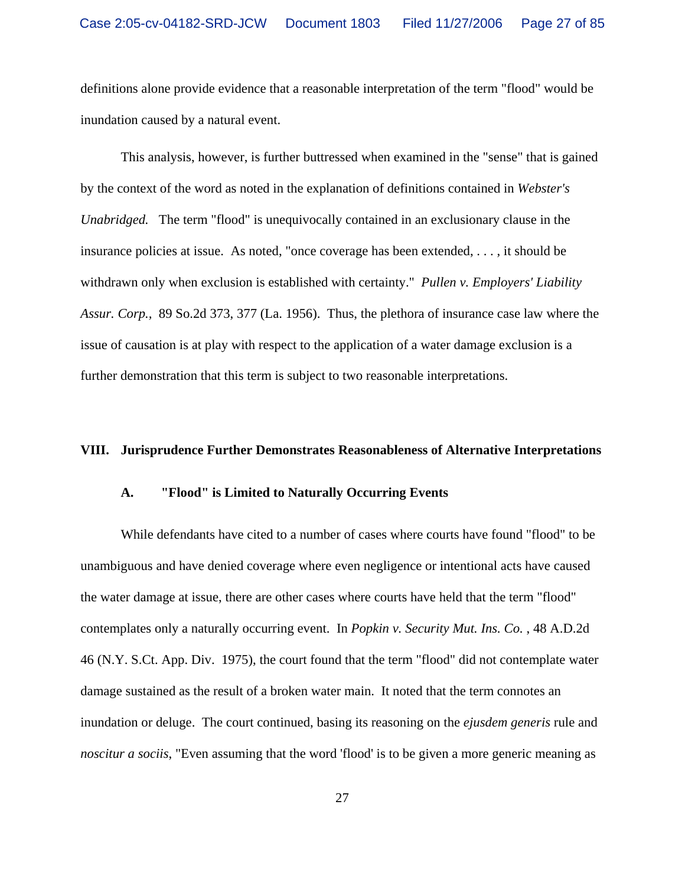definitions alone provide evidence that a reasonable interpretation of the term "flood" would be inundation caused by a natural event.

This analysis, however, is further buttressed when examined in the "sense" that is gained by the context of the word as noted in the explanation of definitions contained in *Webster's Unabridged.* The term "flood" is unequivocally contained in an exclusionary clause in the insurance policies at issue. As noted, "once coverage has been extended, . . . , it should be withdrawn only when exclusion is established with certainty." *Pullen v. Employers' Liability Assur. Corp.,* 89 So.2d 373, 377 (La. 1956). Thus, the plethora of insurance case law where the issue of causation is at play with respect to the application of a water damage exclusion is a further demonstration that this term is subject to two reasonable interpretations.

## **VIII. Jurisprudence Further Demonstrates Reasonableness of Alternative Interpretations**

## **A. "Flood" is Limited to Naturally Occurring Events**

While defendants have cited to a number of cases where courts have found "flood" to be unambiguous and have denied coverage where even negligence or intentional acts have caused the water damage at issue, there are other cases where courts have held that the term "flood" contemplates only a naturally occurring event. In *Popkin v. Security Mut. Ins. Co.* , 48 A.D.2d 46 (N.Y. S.Ct. App. Div. 1975), the court found that the term "flood" did not contemplate water damage sustained as the result of a broken water main. It noted that the term connotes an inundation or deluge. The court continued, basing its reasoning on the *ejusdem generis* rule and *noscitur a sociis*, "Even assuming that the word 'flood' is to be given a more generic meaning as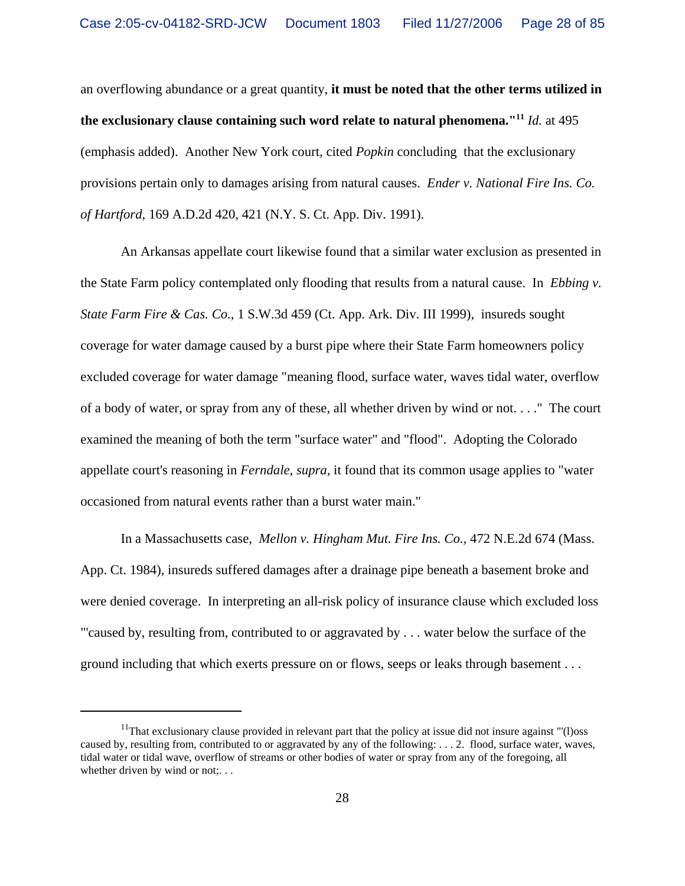an overflowing abundance or a great quantity, **it must be noted that the other terms utilized in the exclusionary clause containing such word relate to natural phenomena."11** *Id.* at 495 (emphasis added). Another New York court, cited *Popkin* concluding that the exclusionary provisions pertain only to damages arising from natural causes. *Ender v. National Fire Ins. Co. of Hartford*, 169 A.D.2d 420, 421 (N.Y. S. Ct. App. Div. 1991).

An Arkansas appellate court likewise found that a similar water exclusion as presented in the State Farm policy contemplated only flooding that results from a natural cause. In *Ebbing v. State Farm Fire & Cas. Co.*, 1 S.W.3d 459 (Ct. App. Ark. Div. III 1999), insureds sought coverage for water damage caused by a burst pipe where their State Farm homeowners policy excluded coverage for water damage "meaning flood, surface water, waves tidal water, overflow of a body of water, or spray from any of these, all whether driven by wind or not. . . ." The court examined the meaning of both the term "surface water" and "flood". Adopting the Colorado appellate court's reasoning in *Ferndale*, *supra,* it found that its common usage applies to "water occasioned from natural events rather than a burst water main."

In a Massachusetts case, *Mellon v. Hingham Mut. Fire Ins. Co.,* 472 N.E.2d 674 (Mass. App. Ct. 1984), insureds suffered damages after a drainage pipe beneath a basement broke and were denied coverage. In interpreting an all-risk policy of insurance clause which excluded loss "'caused by, resulting from, contributed to or aggravated by . . . water below the surface of the ground including that which exerts pressure on or flows, seeps or leaks through basement . . .

<sup>&</sup>lt;sup>11</sup>That exclusionary clause provided in relevant part that the policy at issue did not insure against "'(1) oss caused by, resulting from, contributed to or aggravated by any of the following:  $\dots$  2. flood, surface water, waves, tidal water or tidal wave, overflow of streams or other bodies of water or spray from any of the foregoing, all whether driven by wind or not;...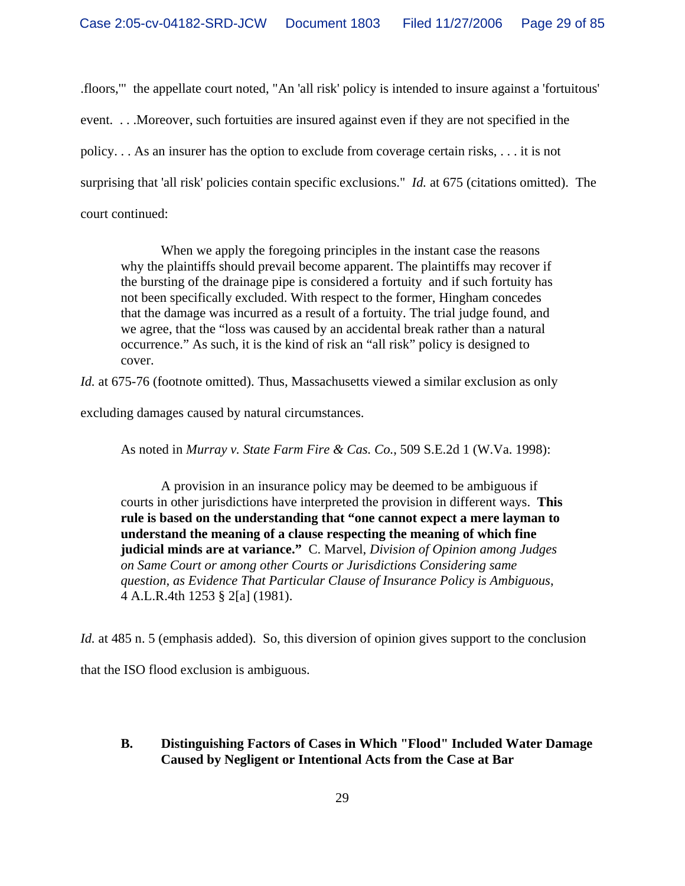.floors,'" the appellate court noted, "An 'all risk' policy is intended to insure against a 'fortuitous' event. . . .Moreover, such fortuities are insured against even if they are not specified in the policy. . . As an insurer has the option to exclude from coverage certain risks, . . . it is not surprising that 'all risk' policies contain specific exclusions." *Id.* at 675 (citations omitted). The court continued:

When we apply the foregoing principles in the instant case the reasons why the plaintiffs should prevail become apparent. The plaintiffs may recover if the bursting of the drainage pipe is considered a fortuity and if such fortuity has not been specifically excluded. With respect to the former, Hingham concedes that the damage was incurred as a result of a fortuity. The trial judge found, and we agree, that the "loss was caused by an accidental break rather than a natural occurrence." As such, it is the kind of risk an "all risk" policy is designed to cover.

*Id.* at 675-76 (footnote omitted). Thus, Massachusetts viewed a similar exclusion as only

excluding damages caused by natural circumstances.

As noted in *Murray v. State Farm Fire & Cas. Co.*, 509 S.E.2d 1 (W.Va. 1998):

A provision in an insurance policy may be deemed to be ambiguous if courts in other jurisdictions have interpreted the provision in different ways. **This rule is based on the understanding that "one cannot expect a mere layman to understand the meaning of a clause respecting the meaning of which fine judicial minds are at variance."** C. Marvel, *Division of Opinion among Judges on Same Court or among other Courts or Jurisdictions Considering same question, as Evidence That Particular Clause of Insurance Policy is Ambiguous*, 4 A.L.R.4th 1253 § 2[a] (1981).

*Id.* at 485 n. 5 (emphasis added). So, this diversion of opinion gives support to the conclusion

that the ISO flood exclusion is ambiguous.

# **B. Distinguishing Factors of Cases in Which "Flood" Included Water Damage Caused by Negligent or Intentional Acts from the Case at Bar**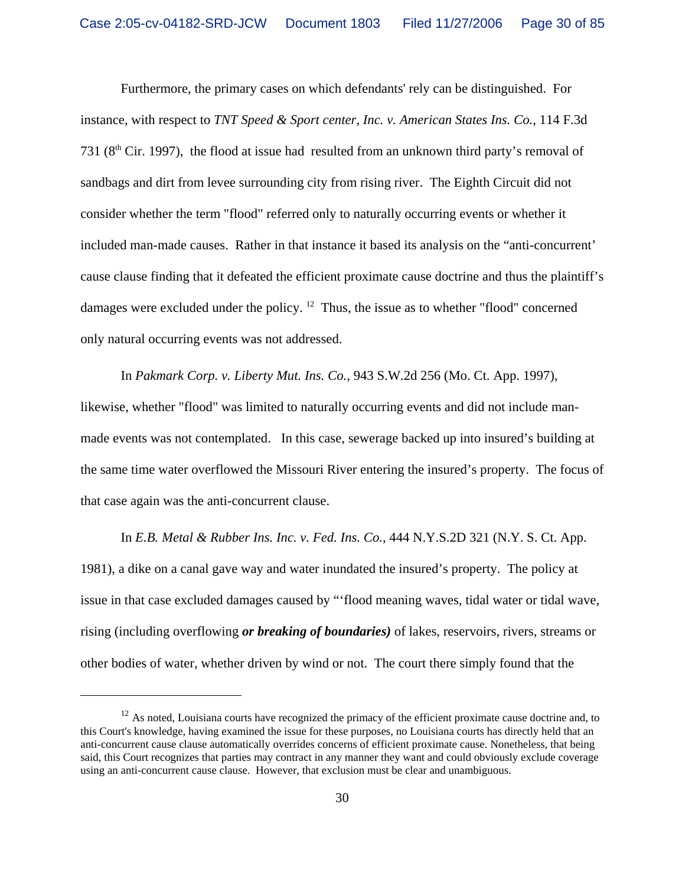Furthermore, the primary cases on which defendants' rely can be distinguished. For instance, with respect to *TNT Speed & Sport center, Inc. v. American States Ins. Co.*, 114 F.3d 731 ( $8<sup>th</sup>$  Cir. 1997), the flood at issue had resulted from an unknown third party's removal of sandbags and dirt from levee surrounding city from rising river. The Eighth Circuit did not consider whether the term "flood" referred only to naturally occurring events or whether it included man-made causes. Rather in that instance it based its analysis on the "anti-concurrent' cause clause finding that it defeated the efficient proximate cause doctrine and thus the plaintiff's damages were excluded under the policy.  $12$  Thus, the issue as to whether "flood" concerned only natural occurring events was not addressed.

In *Pakmark Corp. v. Liberty Mut. Ins. Co.*, 943 S.W.2d 256 (Mo. Ct. App. 1997), likewise, whether "flood" was limited to naturally occurring events and did not include manmade events was not contemplated. In this case, sewerage backed up into insured's building at the same time water overflowed the Missouri River entering the insured's property. The focus of that case again was the anti-concurrent clause.

In *E.B. Metal & Rubber Ins. Inc. v. Fed. Ins. Co.*, 444 N.Y.S.2D 321 (N.Y. S. Ct. App. 1981), a dike on a canal gave way and water inundated the insured's property. The policy at issue in that case excluded damages caused by "'flood meaning waves, tidal water or tidal wave, rising (including overflowing *or breaking of boundaries)* of lakes, reservoirs, rivers, streams or other bodies of water, whether driven by wind or not. The court there simply found that the

 $12$  As noted, Louisiana courts have recognized the primacy of the efficient proximate cause doctrine and, to this Court's knowledge, having examined the issue for these purposes, no Louisiana courts has directly held that an anti-concurrent cause clause automatically overrides concerns of efficient proximate cause. Nonetheless, that being said, this Court recognizes that parties may contract in any manner they want and could obviously exclude coverage using an anti-concurrent cause clause. However, that exclusion must be clear and unambiguous.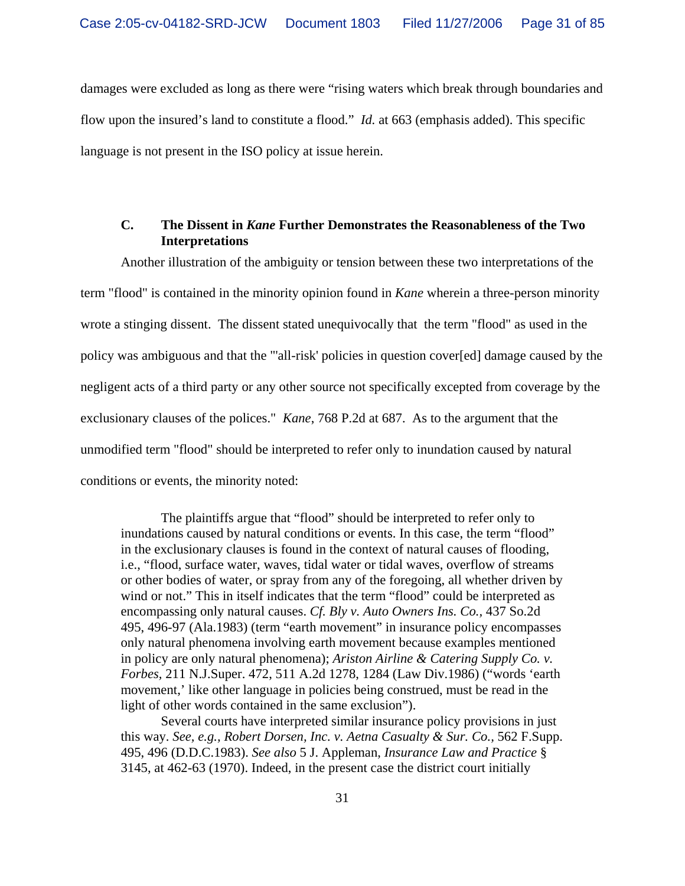damages were excluded as long as there were "rising waters which break through boundaries and flow upon the insured's land to constitute a flood." *Id.* at 663 (emphasis added). This specific language is not present in the ISO policy at issue herein.

### **C. The Dissent in** *Kane* **Further Demonstrates the Reasonableness of the Two Interpretations**

Another illustration of the ambiguity or tension between these two interpretations of the term "flood" is contained in the minority opinion found in *Kane* wherein a three-person minority wrote a stinging dissent. The dissent stated unequivocally that the term "flood" as used in the policy was ambiguous and that the "'all-risk' policies in question cover[ed] damage caused by the negligent acts of a third party or any other source not specifically excepted from coverage by the exclusionary clauses of the polices." *Kane*, 768 P.2d at 687. As to the argument that the unmodified term "flood" should be interpreted to refer only to inundation caused by natural conditions or events, the minority noted:

The plaintiffs argue that "flood" should be interpreted to refer only to inundations caused by natural conditions or events. In this case, the term "flood" in the exclusionary clauses is found in the context of natural causes of flooding, i.e., "flood, surface water, waves, tidal water or tidal waves, overflow of streams or other bodies of water, or spray from any of the foregoing, all whether driven by wind or not." This in itself indicates that the term "flood" could be interpreted as encompassing only natural causes. *Cf. Bly v. Auto Owners Ins. Co.,* 437 So.2d 495, 496-97 (Ala.1983) (term "earth movement" in insurance policy encompasses only natural phenomena involving earth movement because examples mentioned in policy are only natural phenomena); *Ariston Airline & Catering Supply Co. v. Forbes,* 211 N.J.Super. 472, 511 A.2d 1278, 1284 (Law Div.1986) ("words 'earth movement,' like other language in policies being construed, must be read in the light of other words contained in the same exclusion").

Several courts have interpreted similar insurance policy provisions in just this way. *See, e.g., Robert Dorsen, Inc. v. Aetna Casualty & Sur. Co.,* 562 F.Supp. 495, 496 (D.D.C.1983). *See also* 5 J. Appleman, *Insurance Law and Practice* § 3145, at 462-63 (1970). Indeed, in the present case the district court initially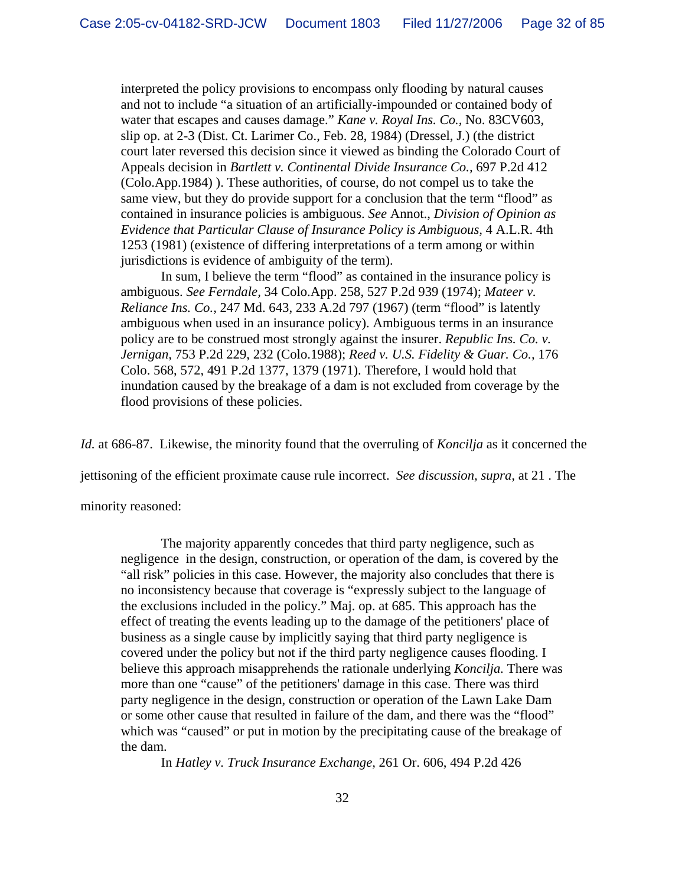interpreted the policy provisions to encompass only flooding by natural causes and not to include "a situation of an artificially-impounded or contained body of water that escapes and causes damage." *Kane v. Royal Ins. Co.,* No. 83CV603, slip op. at 2-3 (Dist. Ct. Larimer Co., Feb. 28, 1984) (Dressel, J.) (the district court later reversed this decision since it viewed as binding the Colorado Court of Appeals decision in *Bartlett v. Continental Divide Insurance Co.,* 697 P.2d 412 (Colo.App.1984) ). These authorities, of course, do not compel us to take the same view, but they do provide support for a conclusion that the term "flood" as contained in insurance policies is ambiguous. *See* Annot., *Division of Opinion as Evidence that Particular Clause of Insurance Policy is Ambiguous,* 4 A.L.R. 4th 1253 (1981) (existence of differing interpretations of a term among or within jurisdictions is evidence of ambiguity of the term).

In sum, I believe the term "flood" as contained in the insurance policy is ambiguous. *See Ferndale,* 34 Colo.App. 258, 527 P.2d 939 (1974); *Mateer v. Reliance Ins. Co.,* 247 Md. 643, 233 A.2d 797 (1967) (term "flood" is latently ambiguous when used in an insurance policy). Ambiguous terms in an insurance policy are to be construed most strongly against the insurer. *Republic Ins. Co. v. Jernigan,* 753 P.2d 229, 232 (Colo.1988); *Reed v. U.S. Fidelity & Guar. Co.,* 176 Colo. 568, 572, 491 P.2d 1377, 1379 (1971). Therefore, I would hold that inundation caused by the breakage of a dam is not excluded from coverage by the flood provisions of these policies.

*Id.* at 686-87. Likewise, the minority found that the overruling of *Koncilja* as it concerned the

jettisoning of the efficient proximate cause rule incorrect. *See discussion, supra,* at 21 . The

minority reasoned:

The majority apparently concedes that third party negligence, such as negligence in the design, construction, or operation of the dam, is covered by the "all risk" policies in this case. However, the majority also concludes that there is no inconsistency because that coverage is "expressly subject to the language of the exclusions included in the policy." Maj. op. at 685. This approach has the effect of treating the events leading up to the damage of the petitioners' place of business as a single cause by implicitly saying that third party negligence is covered under the policy but not if the third party negligence causes flooding. I believe this approach misapprehends the rationale underlying *Koncilja.* There was more than one "cause" of the petitioners' damage in this case. There was third party negligence in the design, construction or operation of the Lawn Lake Dam or some other cause that resulted in failure of the dam, and there was the "flood" which was "caused" or put in motion by the precipitating cause of the breakage of the dam.

In *Hatley v. Truck Insurance Exchange,* 261 Or. 606, 494 P.2d 426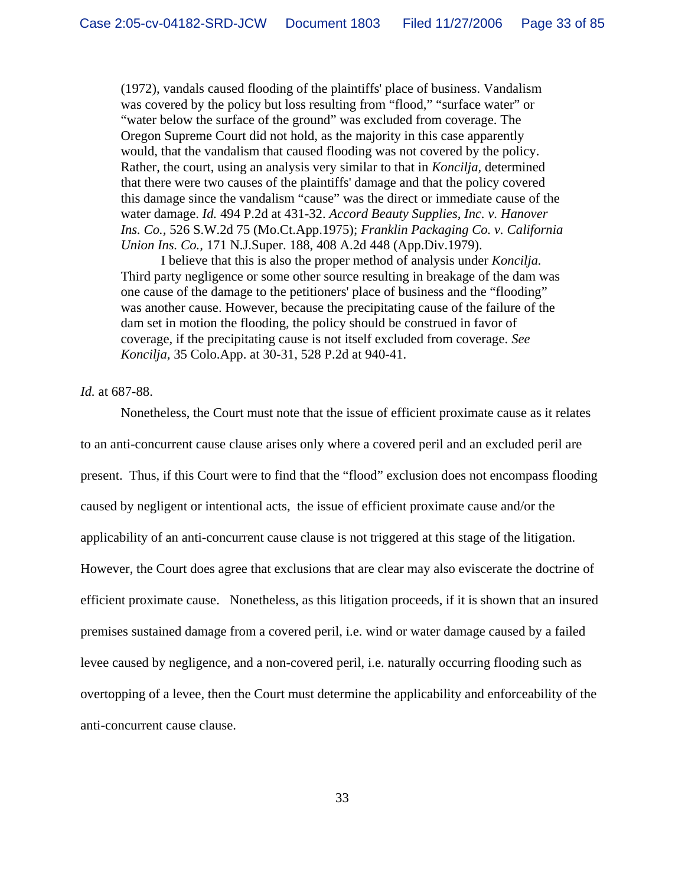(1972), vandals caused flooding of the plaintiffs' place of business. Vandalism was covered by the policy but loss resulting from "flood," "surface water" or "water below the surface of the ground" was excluded from coverage. The Oregon Supreme Court did not hold, as the majority in this case apparently would, that the vandalism that caused flooding was not covered by the policy. Rather, the court, using an analysis very similar to that in *Koncilja,* determined that there were two causes of the plaintiffs' damage and that the policy covered this damage since the vandalism "cause" was the direct or immediate cause of the water damage. *Id.* 494 P.2d at 431-32. *Accord Beauty Supplies, Inc. v. Hanover Ins. Co.,* 526 S.W.2d 75 (Mo.Ct.App.1975); *Franklin Packaging Co. v. California Union Ins. Co.,* 171 N.J.Super. 188, 408 A.2d 448 (App.Div.1979).

I believe that this is also the proper method of analysis under *Koncilja.* Third party negligence or some other source resulting in breakage of the dam was one cause of the damage to the petitioners' place of business and the "flooding" was another cause. However, because the precipitating cause of the failure of the dam set in motion the flooding, the policy should be construed in favor of coverage, if the precipitating cause is not itself excluded from coverage. *See Koncilja,* 35 Colo.App. at 30-31, 528 P.2d at 940-41.

#### *Id.* at 687-88.

Nonetheless, the Court must note that the issue of efficient proximate cause as it relates to an anti-concurrent cause clause arises only where a covered peril and an excluded peril are present. Thus, if this Court were to find that the "flood" exclusion does not encompass flooding caused by negligent or intentional acts, the issue of efficient proximate cause and/or the applicability of an anti-concurrent cause clause is not triggered at this stage of the litigation. However, the Court does agree that exclusions that are clear may also eviscerate the doctrine of efficient proximate cause. Nonetheless, as this litigation proceeds, if it is shown that an insured premises sustained damage from a covered peril, i.e. wind or water damage caused by a failed levee caused by negligence, and a non-covered peril, i.e. naturally occurring flooding such as overtopping of a levee, then the Court must determine the applicability and enforceability of the anti-concurrent cause clause.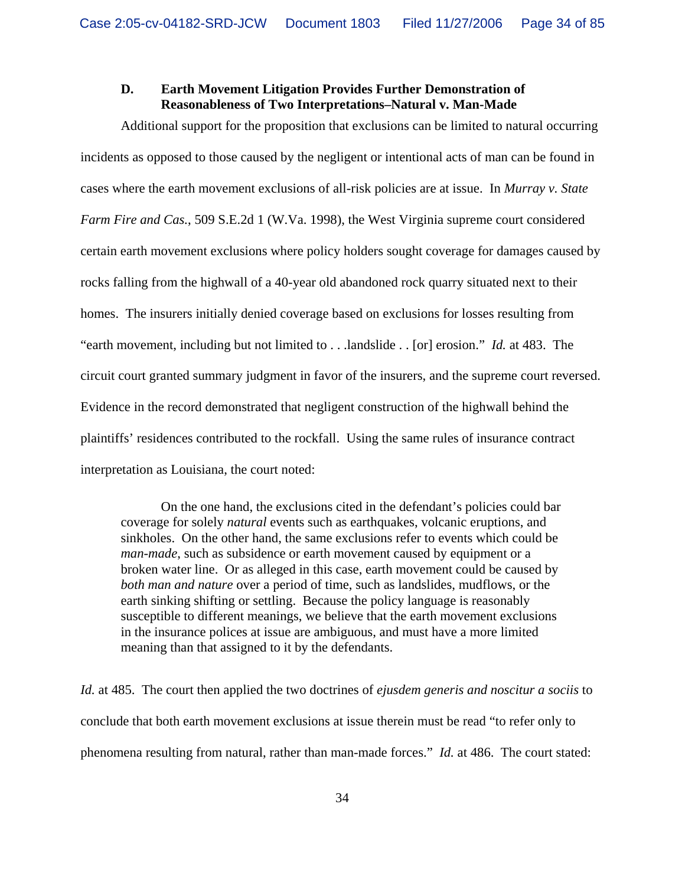# **D. Earth Movement Litigation Provides Further Demonstration of Reasonableness of Two Interpretations–Natural v. Man-Made**

Additional support for the proposition that exclusions can be limited to natural occurring incidents as opposed to those caused by the negligent or intentional acts of man can be found in cases where the earth movement exclusions of all-risk policies are at issue. In *Murray v. State Farm Fire and Cas.*, 509 S.E.2d 1 (W.Va. 1998), the West Virginia supreme court considered certain earth movement exclusions where policy holders sought coverage for damages caused by rocks falling from the highwall of a 40-year old abandoned rock quarry situated next to their homes. The insurers initially denied coverage based on exclusions for losses resulting from "earth movement, including but not limited to . . .landslide . . [or] erosion." *Id.* at 483. The circuit court granted summary judgment in favor of the insurers, and the supreme court reversed. Evidence in the record demonstrated that negligent construction of the highwall behind the plaintiffs' residences contributed to the rockfall. Using the same rules of insurance contract interpretation as Louisiana, the court noted:

On the one hand, the exclusions cited in the defendant's policies could bar coverage for solely *natural* events such as earthquakes, volcanic eruptions, and sinkholes. On the other hand, the same exclusions refer to events which could be *man-made*, such as subsidence or earth movement caused by equipment or a broken water line. Or as alleged in this case, earth movement could be caused by *both man and nature* over a period of time, such as landslides, mudflows, or the earth sinking shifting or settling. Because the policy language is reasonably susceptible to different meanings, we believe that the earth movement exclusions in the insurance polices at issue are ambiguous, and must have a more limited meaning than that assigned to it by the defendants.

*Id.* at 485. The court then applied the two doctrines of *ejusdem generis and noscitur a sociis* to conclude that both earth movement exclusions at issue therein must be read "to refer only to phenomena resulting from natural, rather than man-made forces." *Id.* at 486. The court stated: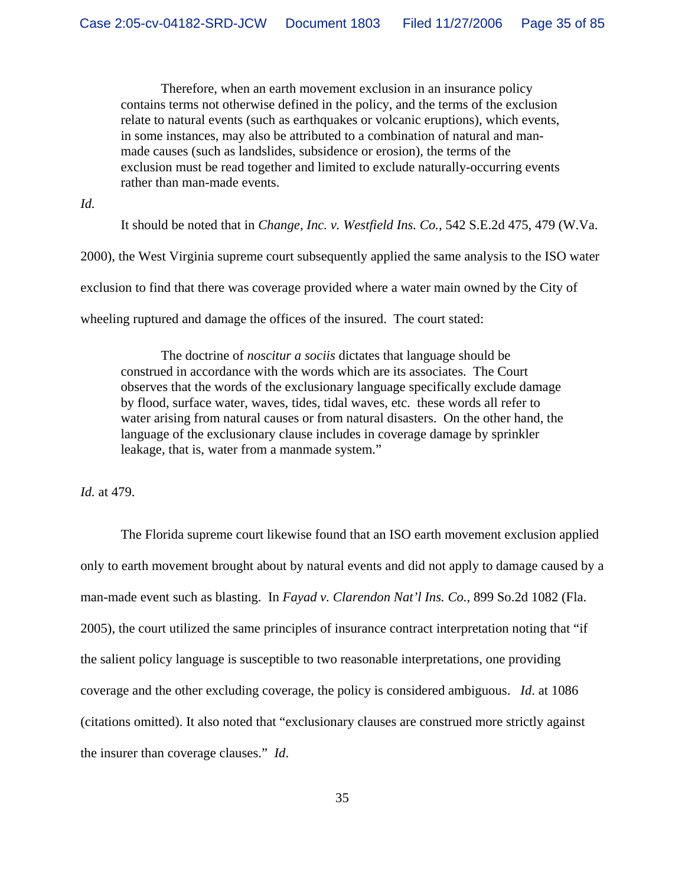Therefore, when an earth movement exclusion in an insurance policy contains terms not otherwise defined in the policy, and the terms of the exclusion relate to natural events (such as earthquakes or volcanic eruptions), which events, in some instances, may also be attributed to a combination of natural and manmade causes (such as landslides, subsidence or erosion), the terms of the exclusion must be read together and limited to exclude naturally-occurring events rather than man-made events.

*Id.*

It should be noted that in *Change, Inc. v. Westfield Ins. Co.*, 542 S.E.2d 475, 479 (W.Va.

2000), the West Virginia supreme court subsequently applied the same analysis to the ISO water

exclusion to find that there was coverage provided where a water main owned by the City of

wheeling ruptured and damage the offices of the insured. The court stated:

The doctrine of *noscitur a sociis* dictates that language should be construed in accordance with the words which are its associates. The Court observes that the words of the exclusionary language specifically exclude damage by flood, surface water, waves, tides, tidal waves, etc. these words all refer to water arising from natural causes or from natural disasters. On the other hand, the language of the exclusionary clause includes in coverage damage by sprinkler leakage, that is, water from a manmade system."

*Id.* at 479.

The Florida supreme court likewise found that an ISO earth movement exclusion applied only to earth movement brought about by natural events and did not apply to damage caused by a man-made event such as blasting. In *Fayad v. Clarendon Nat'l Ins. Co.*, 899 So.2d 1082 (Fla. 2005), the court utilized the same principles of insurance contract interpretation noting that "if the salient policy language is susceptible to two reasonable interpretations, one providing coverage and the other excluding coverage, the policy is considered ambiguous. *Id*. at 1086 (citations omitted). It also noted that "exclusionary clauses are construed more strictly against the insurer than coverage clauses." *Id*.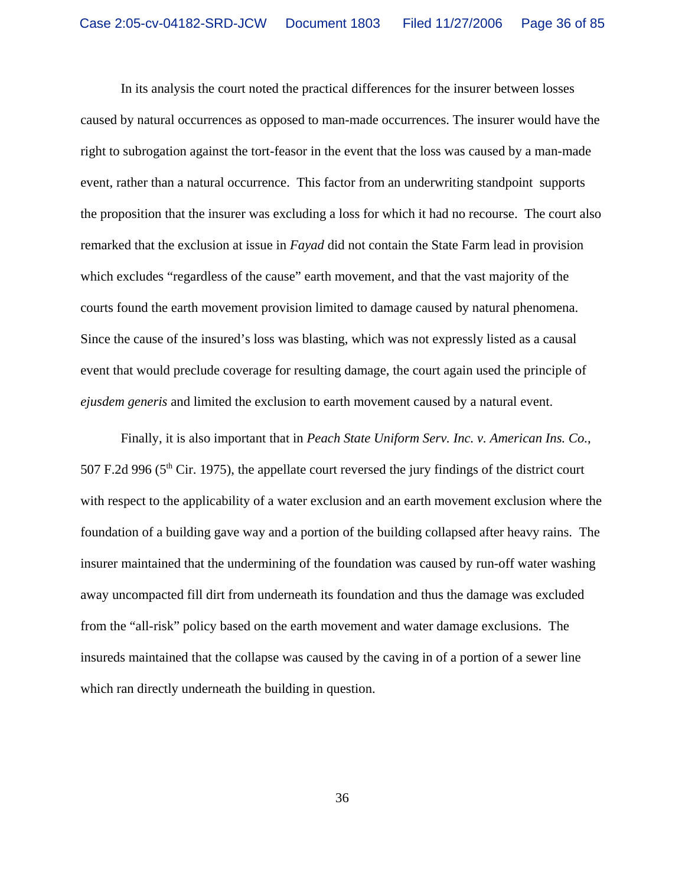In its analysis the court noted the practical differences for the insurer between losses caused by natural occurrences as opposed to man-made occurrences. The insurer would have the right to subrogation against the tort-feasor in the event that the loss was caused by a man-made event, rather than a natural occurrence. This factor from an underwriting standpoint supports the proposition that the insurer was excluding a loss for which it had no recourse. The court also remarked that the exclusion at issue in *Fayad* did not contain the State Farm lead in provision which excludes "regardless of the cause" earth movement, and that the vast majority of the courts found the earth movement provision limited to damage caused by natural phenomena. Since the cause of the insured's loss was blasting, which was not expressly listed as a causal event that would preclude coverage for resulting damage, the court again used the principle of *ejusdem generis* and limited the exclusion to earth movement caused by a natural event.

Finally, it is also important that in *Peach State Uniform Serv. Inc. v. American Ins. Co.*, 507 F.2d 996 ( $5<sup>th</sup>$  Cir. 1975), the appellate court reversed the jury findings of the district court with respect to the applicability of a water exclusion and an earth movement exclusion where the foundation of a building gave way and a portion of the building collapsed after heavy rains. The insurer maintained that the undermining of the foundation was caused by run-off water washing away uncompacted fill dirt from underneath its foundation and thus the damage was excluded from the "all-risk" policy based on the earth movement and water damage exclusions. The insureds maintained that the collapse was caused by the caving in of a portion of a sewer line which ran directly underneath the building in question.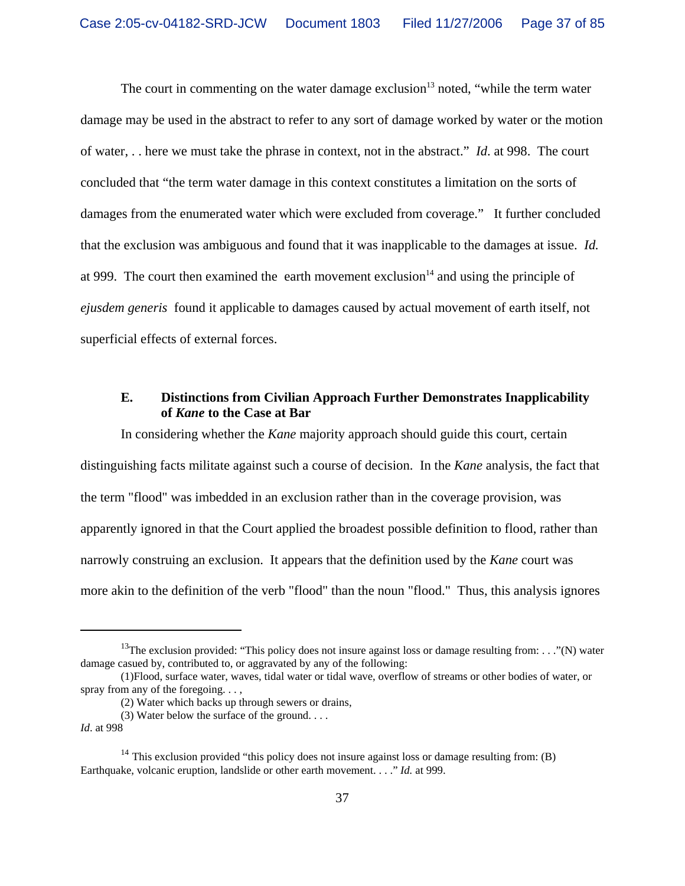The court in commenting on the water damage exclusion<sup>13</sup> noted, "while the term water" damage may be used in the abstract to refer to any sort of damage worked by water or the motion of water, . . here we must take the phrase in context, not in the abstract." *Id*. at 998. The court concluded that "the term water damage in this context constitutes a limitation on the sorts of damages from the enumerated water which were excluded from coverage." It further concluded that the exclusion was ambiguous and found that it was inapplicable to the damages at issue. *Id.* at 999. The court then examined the earth movement exclusion<sup>14</sup> and using the principle of *ejusdem generis* found it applicable to damages caused by actual movement of earth itself, not superficial effects of external forces.

## **E. Distinctions from Civilian Approach Further Demonstrates Inapplicability of** *Kane* **to the Case at Bar**

In considering whether the *Kane* majority approach should guide this court, certain distinguishing facts militate against such a course of decision.In the *Kane* analysis, the fact that the term "flood" was imbedded in an exclusion rather than in the coverage provision, was apparently ignored in that the Court applied the broadest possible definition to flood, rather than narrowly construing an exclusion. It appears that the definition used by the *Kane* court was more akin to the definition of the verb "flood" than the noun "flood." Thus, this analysis ignores

<sup>&</sup>lt;sup>13</sup>The exclusion provided: "This policy does not insure against loss or damage resulting from: . . ."(N) water damage casued by, contributed to, or aggravated by any of the following:

<sup>(1)</sup>Flood, surface water, waves, tidal water or tidal wave, overflow of streams or other bodies of water, or spray from any of the foregoing. . . ,

<sup>(2)</sup> Water which backs up through sewers or drains,

<sup>(3)</sup> Water below the surface of the ground. . . .

*Id*. at 998

<sup>&</sup>lt;sup>14</sup> This exclusion provided "this policy does not insure against loss or damage resulting from: (B) Earthquake, volcanic eruption, landslide or other earth movement. . . ." *Id.* at 999.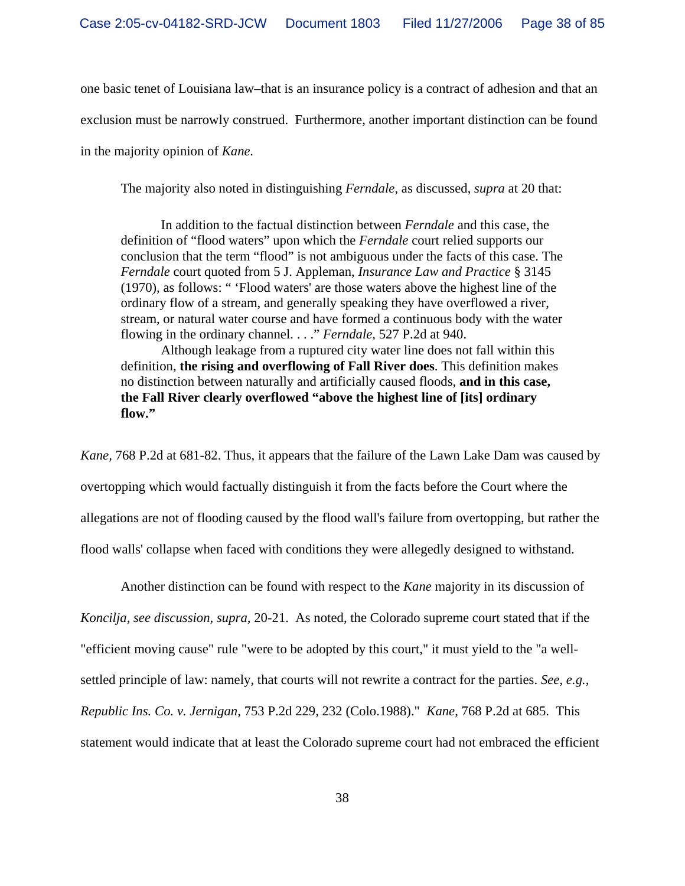one basic tenet of Louisiana law–that is an insurance policy is a contract of adhesion and that an exclusion must be narrowly construed. Furthermore, another important distinction can be found in the majority opinion of *Kane.* 

The majority also noted in distinguishing *Ferndale*, as discussed, *supra* at 20 that:

In addition to the factual distinction between *Ferndale* and this case, the definition of "flood waters" upon which the *Ferndale* court relied supports our conclusion that the term "flood" is not ambiguous under the facts of this case. The *Ferndale* court quoted from 5 J. Appleman, *Insurance Law and Practice* § 3145 (1970), as follows: " 'Flood waters' are those waters above the highest line of the ordinary flow of a stream, and generally speaking they have overflowed a river, stream, or natural water course and have formed a continuous body with the water flowing in the ordinary channel. . . ." *Ferndale,* 527 P.2d at 940.

Although leakage from a ruptured city water line does not fall within this definition, **the rising and overflowing of Fall River does**. This definition makes no distinction between naturally and artificially caused floods, **and in this case, the Fall River clearly overflowed "above the highest line of [its] ordinary flow."**

*Kane,* 768 P.2d at 681-82. Thus, it appears that the failure of the Lawn Lake Dam was caused by overtopping which would factually distinguish it from the facts before the Court where the allegations are not of flooding caused by the flood wall's failure from overtopping, but rather the flood walls' collapse when faced with conditions they were allegedly designed to withstand.

Another distinction can be found with respect to the *Kane* majority in its discussion of *Koncilja, see discussion, supra,* 20-21.As noted, the Colorado supreme court stated that if the "efficient moving cause" rule "were to be adopted by this court," it must yield to the "a wellsettled principle of law: namely, that courts will not rewrite a contract for the parties. *See, e.g., Republic Ins. Co. v. Jernigan,* 753 P.2d 229, 232 (Colo.1988)." *Kane*, 768 P.2d at 685. This statement would indicate that at least the Colorado supreme court had not embraced the efficient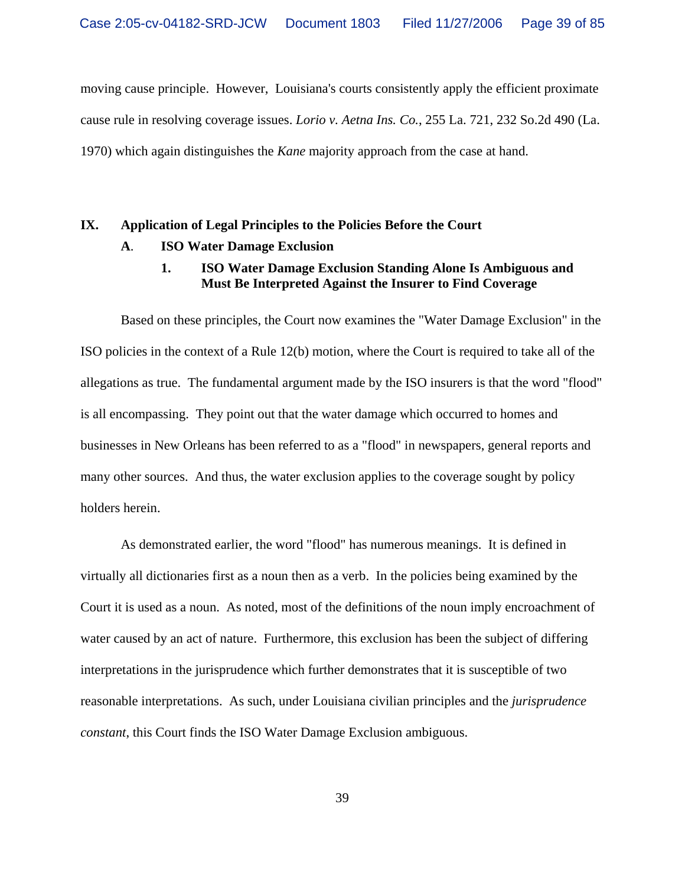moving cause principle. However, Louisiana's courts consistently apply the efficient proximate cause rule in resolving coverage issues. *Lorio v. Aetna Ins. Co.*, 255 La. 721, 232 So.2d 490 (La. 1970) which again distinguishes the *Kane* majority approach from the case at hand.

# **IX. Application of Legal Principles to the Policies Before the Court**

## **A**. **ISO Water Damage Exclusion**

## **1. ISO Water Damage Exclusion Standing Alone Is Ambiguous and Must Be Interpreted Against the Insurer to Find Coverage**

Based on these principles, the Court now examines the "Water Damage Exclusion" in the ISO policies in the context of a Rule 12(b) motion, where the Court is required to take all of the allegations as true. The fundamental argument made by the ISO insurers is that the word "flood" is all encompassing. They point out that the water damage which occurred to homes and businesses in New Orleans has been referred to as a "flood" in newspapers, general reports and many other sources. And thus, the water exclusion applies to the coverage sought by policy holders herein.

As demonstrated earlier, the word "flood" has numerous meanings. It is defined in virtually all dictionaries first as a noun then as a verb. In the policies being examined by the Court it is used as a noun. As noted, most of the definitions of the noun imply encroachment of water caused by an act of nature. Furthermore, this exclusion has been the subject of differing interpretations in the jurisprudence which further demonstrates that it is susceptible of two reasonable interpretations. As such, under Louisiana civilian principles and the *jurisprudence constant*, this Court finds the ISO Water Damage Exclusion ambiguous.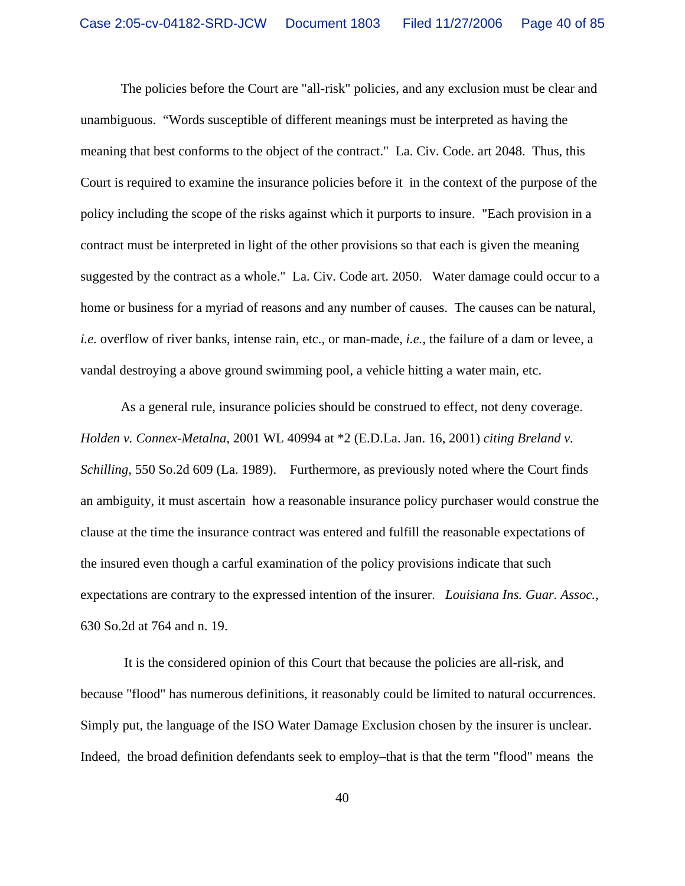The policies before the Court are "all-risk" policies, and any exclusion must be clear and unambiguous. "Words susceptible of different meanings must be interpreted as having the meaning that best conforms to the object of the contract." La. Civ. Code. art 2048. Thus, this Court is required to examine the insurance policies before it in the context of the purpose of the policy including the scope of the risks against which it purports to insure. "Each provision in a contract must be interpreted in light of the other provisions so that each is given the meaning suggested by the contract as a whole." La. Civ. Code art. 2050. Water damage could occur to a home or business for a myriad of reasons and any number of causes. The causes can be natural, *i.e.* overflow of river banks, intense rain, etc., or man-made, *i.e.*, the failure of a dam or levee, a vandal destroying a above ground swimming pool, a vehicle hitting a water main, etc.

As a general rule, insurance policies should be construed to effect, not deny coverage. *Holden v. Connex-Metalna*, 2001 WL 40994 at \*2 (E.D.La. Jan. 16, 2001) *citing Breland v. Schilling*, 550 So.2d 609 (La. 1989). Furthermore, as previously noted where the Court finds an ambiguity, it must ascertain how a reasonable insurance policy purchaser would construe the clause at the time the insurance contract was entered and fulfill the reasonable expectations of the insured even though a carful examination of the policy provisions indicate that such expectations are contrary to the expressed intention of the insurer. *Louisiana Ins. Guar. Assoc.,* 630 So.2d at 764 and n. 19.

 It is the considered opinion of this Court that because the policies are all-risk, and because "flood" has numerous definitions, it reasonably could be limited to natural occurrences. Simply put, the language of the ISO Water Damage Exclusion chosen by the insurer is unclear. Indeed, the broad definition defendants seek to employ–that is that the term "flood" means the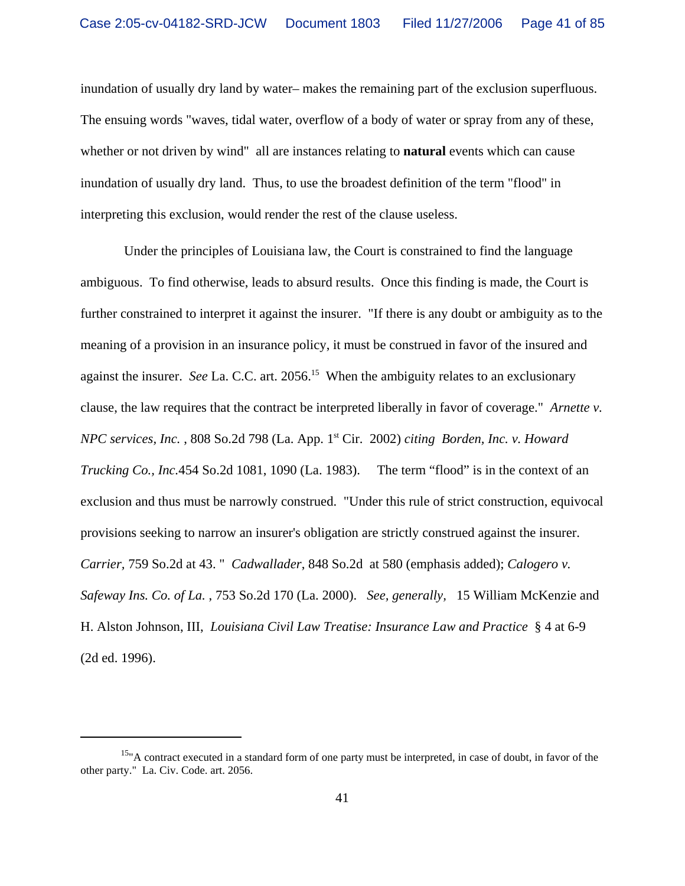inundation of usually dry land by water– makes the remaining part of the exclusion superfluous. The ensuing words "waves, tidal water, overflow of a body of water or spray from any of these, whether or not driven by wind" all are instances relating to **natural** events which can cause inundation of usually dry land. Thus, to use the broadest definition of the term "flood" in interpreting this exclusion, would render the rest of the clause useless.

 Under the principles of Louisiana law, the Court is constrained to find the language ambiguous. To find otherwise, leads to absurd results. Once this finding is made, the Court is further constrained to interpret it against the insurer. "If there is any doubt or ambiguity as to the meaning of a provision in an insurance policy, it must be construed in favor of the insured and against the insurer. *See La. C.C.* art. 2056.<sup>15</sup> When the ambiguity relates to an exclusionary clause, the law requires that the contract be interpreted liberally in favor of coverage." *Arnette v. NPC services, Inc.* , 808 So.2d 798 (La. App. 1st Cir. 2002) *citing Borden, Inc. v. Howard Trucking Co., Inc.*454 So.2d 1081, 1090 (La. 1983). The term "flood" is in the context of an exclusion and thus must be narrowly construed. "Under this rule of strict construction, equivocal provisions seeking to narrow an insurer's obligation are strictly construed against the insurer. *Carrier,* 759 So.2d at 43. " *Cadwallader*, 848 So.2d at 580 (emphasis added); *Calogero v. Safeway Ins. Co. of La.* , 753 So.2d 170 (La. 2000). *See, generally,* 15 William McKenzie and H. Alston Johnson, III, *Louisiana Civil Law Treatise: Insurance Law and Practice* § 4 at 6-9 (2d ed. 1996).

<sup>&</sup>lt;sup>15</sup>"A contract executed in a standard form of one party must be interpreted, in case of doubt, in favor of the other party." La. Civ. Code. art. 2056.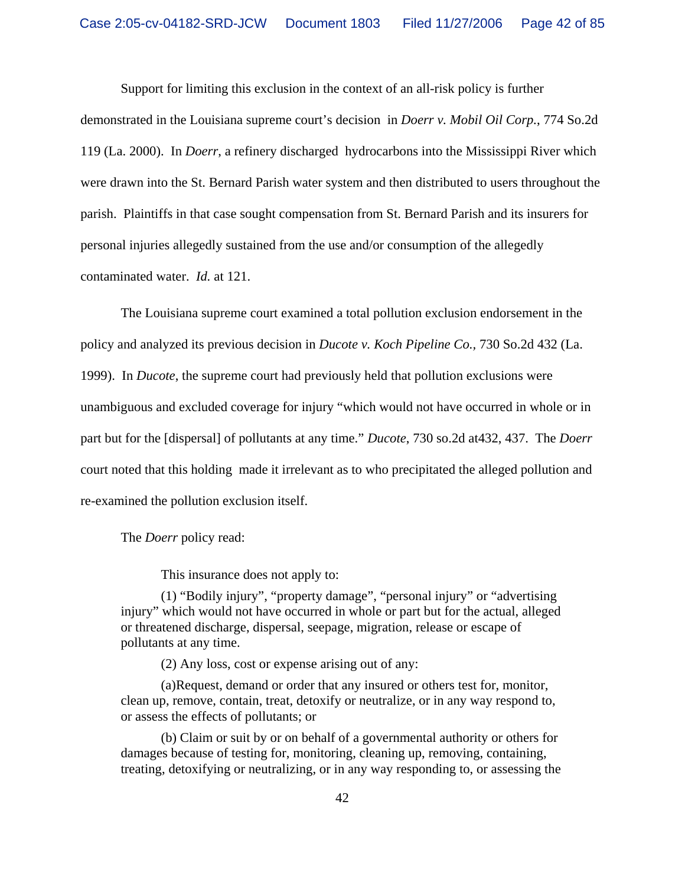Support for limiting this exclusion in the context of an all-risk policy is further

demonstrated in the Louisiana supreme court's decision in *Doerr v. Mobil Oil Corp.*, 774 So.2d 119 (La. 2000). In *Doerr*, a refinery discharged hydrocarbons into the Mississippi River which were drawn into the St. Bernard Parish water system and then distributed to users throughout the parish. Plaintiffs in that case sought compensation from St. Bernard Parish and its insurers for personal injuries allegedly sustained from the use and/or consumption of the allegedly contaminated water. *Id.* at 121.

The Louisiana supreme court examined a total pollution exclusion endorsement in the policy and analyzed its previous decision in *Ducote v. Koch Pipeline Co.,* 730 So.2d 432 (La. 1999). In *Ducote*, the supreme court had previously held that pollution exclusions were unambiguous and excluded coverage for injury "which would not have occurred in whole or in part but for the [dispersal] of pollutants at any time." *Ducote*, 730 so.2d at432, 437. The *Doerr* court noted that this holding made it irrelevant as to who precipitated the alleged pollution and re-examined the pollution exclusion itself.

The *Doerr* policy read:

This insurance does not apply to:

(1) "Bodily injury", "property damage", "personal injury" or "advertising injury" which would not have occurred in whole or part but for the actual, alleged or threatened discharge, dispersal, seepage, migration, release or escape of pollutants at any time.

(2) Any loss, cost or expense arising out of any:

(a)Request, demand or order that any insured or others test for, monitor, clean up, remove, contain, treat, detoxify or neutralize, or in any way respond to, or assess the effects of pollutants; or

(b) Claim or suit by or on behalf of a governmental authority or others for damages because of testing for, monitoring, cleaning up, removing, containing, treating, detoxifying or neutralizing, or in any way responding to, or assessing the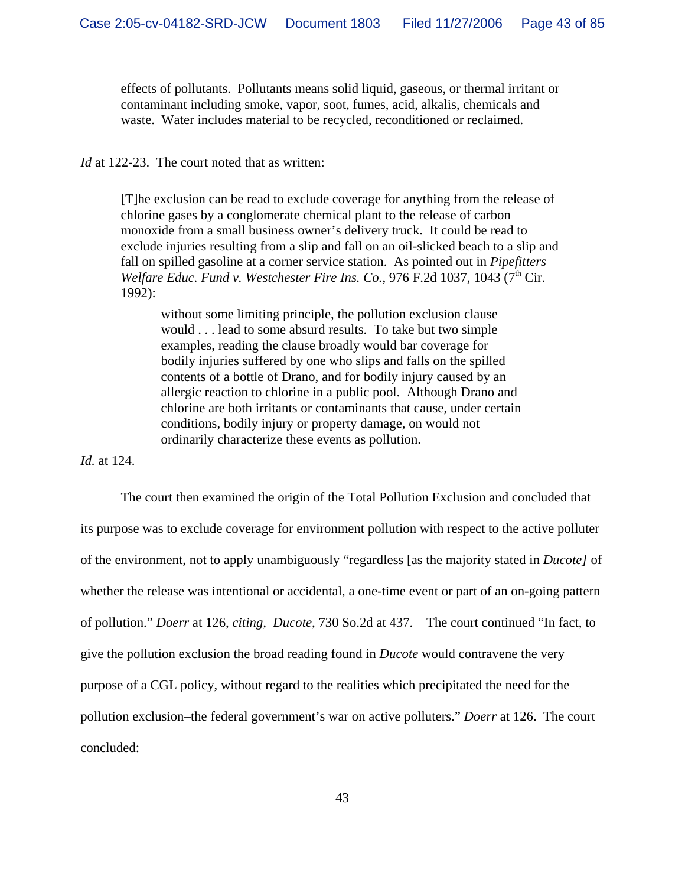effects of pollutants. Pollutants means solid liquid, gaseous, or thermal irritant or contaminant including smoke, vapor, soot, fumes, acid, alkalis, chemicals and waste. Water includes material to be recycled, reconditioned or reclaimed.

*Id* at 122-23. The court noted that as written:

[T]he exclusion can be read to exclude coverage for anything from the release of chlorine gases by a conglomerate chemical plant to the release of carbon monoxide from a small business owner's delivery truck. It could be read to exclude injuries resulting from a slip and fall on an oil-slicked beach to a slip and fall on spilled gasoline at a corner service station. As pointed out in *Pipefitters Welfare Educ. Fund v. Westchester Fire Ins. Co.*, 976 F.2d 1037, 1043 (7<sup>th</sup> Cir. 1992):

without some limiting principle, the pollution exclusion clause would . . . lead to some absurd results. To take but two simple examples, reading the clause broadly would bar coverage for bodily injuries suffered by one who slips and falls on the spilled contents of a bottle of Drano, and for bodily injury caused by an allergic reaction to chlorine in a public pool. Although Drano and chlorine are both irritants or contaminants that cause, under certain conditions, bodily injury or property damage, on would not ordinarily characterize these events as pollution.

*Id.* at 124.

The court then examined the origin of the Total Pollution Exclusion and concluded that its purpose was to exclude coverage for environment pollution with respect to the active polluter of the environment, not to apply unambiguously "regardless [as the majority stated in *Ducote]* of whether the release was intentional or accidental, a one-time event or part of an on-going pattern of pollution." *Doerr* at 126, *citing, Ducote*, 730 So.2d at 437. The court continued "In fact, to give the pollution exclusion the broad reading found in *Ducote* would contravene the very purpose of a CGL policy, without regard to the realities which precipitated the need for the pollution exclusion–the federal government's war on active polluters." *Doerr* at 126. The court concluded: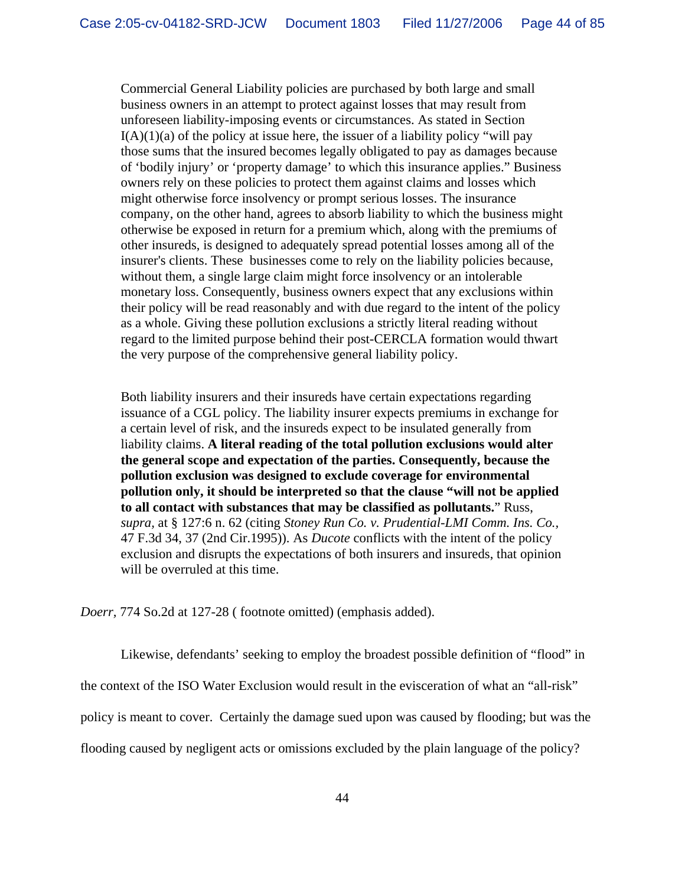Commercial General Liability policies are purchased by both large and small business owners in an attempt to protect against losses that may result from unforeseen liability-imposing events or circumstances. As stated in Section  $I(A)(1)(a)$  of the policy at issue here, the issuer of a liability policy "will pay those sums that the insured becomes legally obligated to pay as damages because of 'bodily injury' or 'property damage' to which this insurance applies." Business owners rely on these policies to protect them against claims and losses which might otherwise force insolvency or prompt serious losses. The insurance company, on the other hand, agrees to absorb liability to which the business might otherwise be exposed in return for a premium which, along with the premiums of other insureds, is designed to adequately spread potential losses among all of the insurer's clients. These businesses come to rely on the liability policies because, without them, a single large claim might force insolvency or an intolerable monetary loss. Consequently, business owners expect that any exclusions within their policy will be read reasonably and with due regard to the intent of the policy as a whole. Giving these pollution exclusions a strictly literal reading without regard to the limited purpose behind their post-CERCLA formation would thwart the very purpose of the comprehensive general liability policy.

Both liability insurers and their insureds have certain expectations regarding issuance of a CGL policy. The liability insurer expects premiums in exchange for a certain level of risk, and the insureds expect to be insulated generally from liability claims. **A literal reading of the total pollution exclusions would alter the general scope and expectation of the parties. Consequently, because the pollution exclusion was designed to exclude coverage for environmental pollution only, it should be interpreted so that the clause "will not be applied to all contact with substances that may be classified as pollutants.**" Russ, *supra,* at § 127:6 n. 62 (citing *Stoney Run Co. v. Prudential-LMI Comm. Ins. Co.,* 47 F.3d 34, 37 (2nd Cir.1995)). As *Ducote* conflicts with the intent of the policy exclusion and disrupts the expectations of both insurers and insureds, that opinion will be overruled at this time.

*Doerr,* 774 So.2d at 127-28 ( footnote omitted) (emphasis added).

Likewise, defendants' seeking to employ the broadest possible definition of "flood" in

the context of the ISO Water Exclusion would result in the evisceration of what an "all-risk"

policy is meant to cover. Certainly the damage sued upon was caused by flooding; but was the

flooding caused by negligent acts or omissions excluded by the plain language of the policy?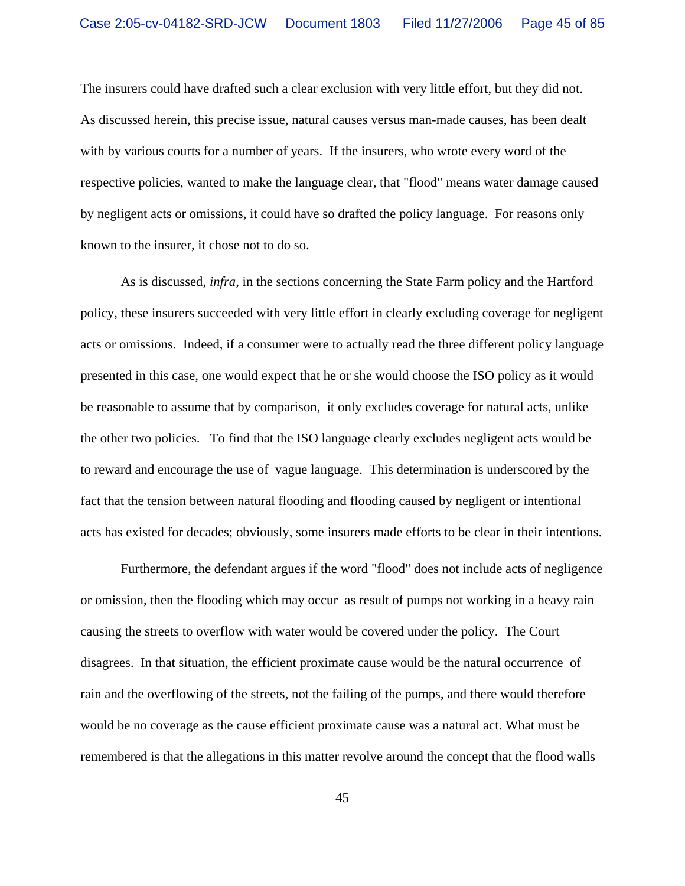The insurers could have drafted such a clear exclusion with very little effort, but they did not. As discussed herein, this precise issue, natural causes versus man-made causes, has been dealt with by various courts for a number of years. If the insurers, who wrote every word of the respective policies, wanted to make the language clear, that "flood" means water damage caused by negligent acts or omissions, it could have so drafted the policy language. For reasons only known to the insurer, it chose not to do so.

As is discussed, *infra,* in the sections concerning the State Farm policy and the Hartford policy, these insurers succeeded with very little effort in clearly excluding coverage for negligent acts or omissions. Indeed, if a consumer were to actually read the three different policy language presented in this case, one would expect that he or she would choose the ISO policy as it would be reasonable to assume that by comparison, it only excludes coverage for natural acts, unlike the other two policies. To find that the ISO language clearly excludes negligent acts would be to reward and encourage the use of vague language. This determination is underscored by the fact that the tension between natural flooding and flooding caused by negligent or intentional acts has existed for decades; obviously, some insurers made efforts to be clear in their intentions.

Furthermore, the defendant argues if the word "flood" does not include acts of negligence or omission, then the flooding which may occur as result of pumps not working in a heavy rain causing the streets to overflow with water would be covered under the policy. The Court disagrees. In that situation, the efficient proximate cause would be the natural occurrence of rain and the overflowing of the streets, not the failing of the pumps, and there would therefore would be no coverage as the cause efficient proximate cause was a natural act. What must be remembered is that the allegations in this matter revolve around the concept that the flood walls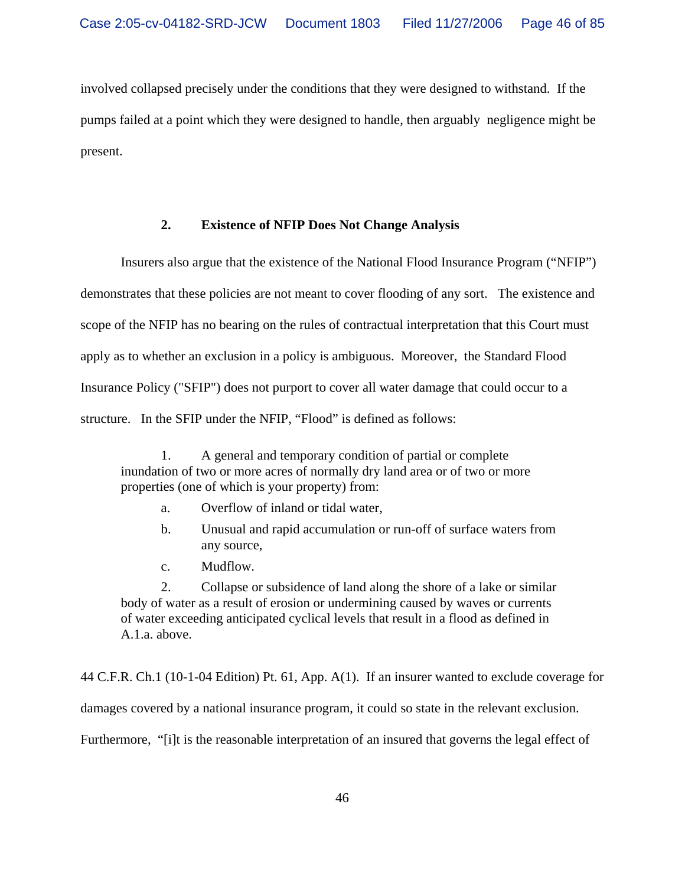involved collapsed precisely under the conditions that they were designed to withstand. If the pumps failed at a point which they were designed to handle, then arguably negligence might be present.

# **2. Existence of NFIP Does Not Change Analysis**

Insurers also argue that the existence of the National Flood Insurance Program ("NFIP") demonstrates that these policies are not meant to cover flooding of any sort. The existence and scope of the NFIP has no bearing on the rules of contractual interpretation that this Court must apply as to whether an exclusion in a policy is ambiguous. Moreover, the Standard Flood Insurance Policy ("SFIP") does not purport to cover all water damage that could occur to a structure. In the SFIP under the NFIP, "Flood" is defined as follows:

1. A general and temporary condition of partial or complete inundation of two or more acres of normally dry land area or of two or more properties (one of which is your property) from:

- a. Overflow of inland or tidal water,
- b. Unusual and rapid accumulation or run-off of surface waters from any source,
- c. Mudflow.

2. Collapse or subsidence of land along the shore of a lake or similar body of water as a result of erosion or undermining caused by waves or currents of water exceeding anticipated cyclical levels that result in a flood as defined in A.1.a. above.

44 C.F.R. Ch.1 (10-1-04 Edition) Pt. 61, App. A(1). If an insurer wanted to exclude coverage for damages covered by a national insurance program, it could so state in the relevant exclusion. Furthermore, "[i]t is the reasonable interpretation of an insured that governs the legal effect of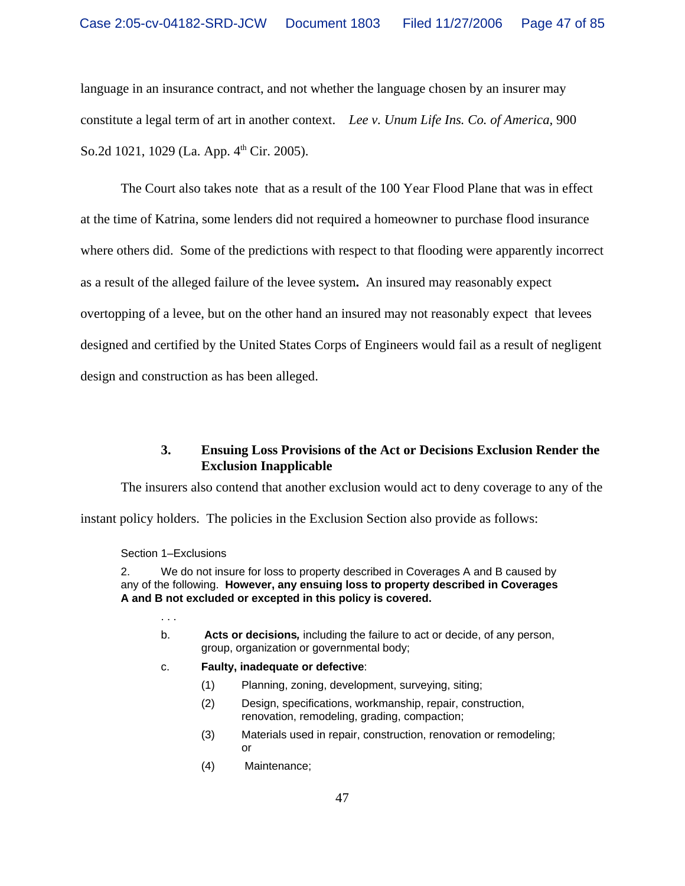language in an insurance contract, and not whether the language chosen by an insurer may constitute a legal term of art in another context. *Lee v. Unum Life Ins. Co. of America,* 900 So.2d 1021, 1029 (La. App. 4<sup>th</sup> Cir. 2005).

The Court also takes note that as a result of the 100 Year Flood Plane that was in effect at the time of Katrina, some lenders did not required a homeowner to purchase flood insurance where others did. Some of the predictions with respect to that flooding were apparently incorrect as a result of the alleged failure of the levee system**.** An insured may reasonably expect overtopping of a levee, but on the other hand an insured may not reasonably expect that levees designed and certified by the United States Corps of Engineers would fail as a result of negligent design and construction as has been alleged.

# **3. Ensuing Loss Provisions of the Act or Decisions Exclusion Render the Exclusion Inapplicable**

The insurers also contend that another exclusion would act to deny coverage to any of the

instant policy holders. The policies in the Exclusion Section also provide as follows:

#### Section 1–Exclusions

. . .

2. We do not insure for loss to property described in Coverages A and B caused by any of the following. **However, any ensuing loss to property described in Coverages A and B not excluded or excepted in this policy is covered.**

- b. **Acts or decisions***,* including the failure to act or decide, of any person, group, organization or governmental body;
- c. **Faulty, inadequate or defective**:
	- (1) Planning, zoning, development, surveying, siting;
	- (2) Design, specifications, workmanship, repair, construction, renovation, remodeling, grading, compaction;
	- (3) Materials used in repair, construction, renovation or remodeling; or
	- (4) Maintenance;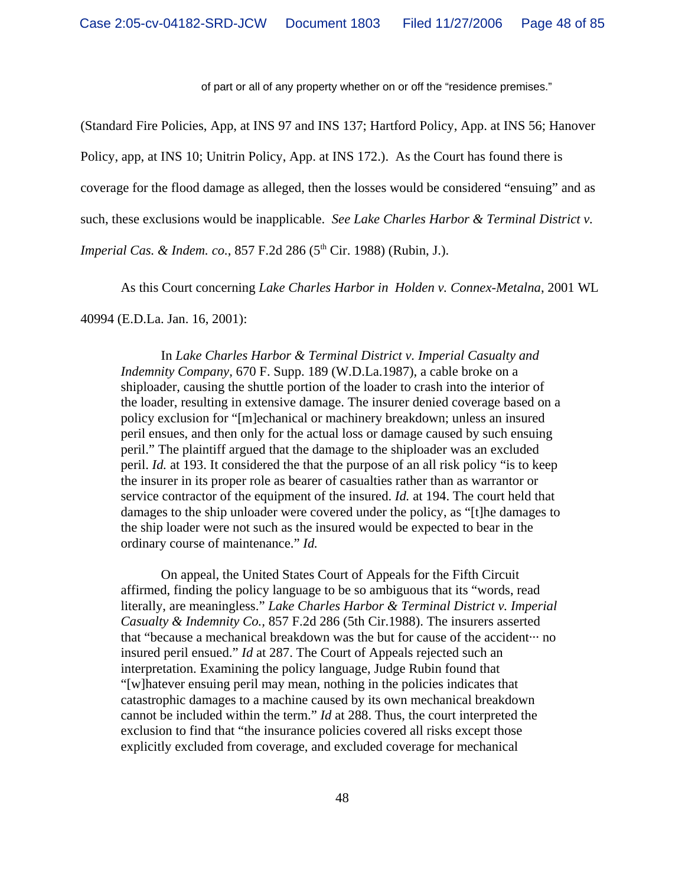of part or all of any property whether on or off the "residence premises."

(Standard Fire Policies, App, at INS 97 and INS 137; Hartford Policy, App. at INS 56; Hanover Policy, app, at INS 10; Unitrin Policy, App. at INS 172.). As the Court has found there is coverage for the flood damage as alleged, then the losses would be considered "ensuing" and as such, these exclusions would be inapplicable. *See Lake Charles Harbor & Terminal District v. Imperial Cas. & Indem. co.*, 857 F.2d 286 (5<sup>th</sup> Cir. 1988) (Rubin, J.).

As this Court concerning *Lake Charles Harbor in Holden v. Connex-Metalna*, 2001 WL

40994 (E.D.La. Jan. 16, 2001):

In *Lake Charles Harbor & Terminal District v. Imperial Casualty and Indemnity Company,* 670 F. Supp. 189 (W.D.La.1987), a cable broke on a shiploader, causing the shuttle portion of the loader to crash into the interior of the loader, resulting in extensive damage. The insurer denied coverage based on a policy exclusion for "[m]echanical or machinery breakdown; unless an insured peril ensues, and then only for the actual loss or damage caused by such ensuing peril." The plaintiff argued that the damage to the shiploader was an excluded peril. *Id.* at 193. It considered the that the purpose of an all risk policy "is to keep the insurer in its proper role as bearer of casualties rather than as warrantor or service contractor of the equipment of the insured. *Id.* at 194. The court held that damages to the ship unloader were covered under the policy, as "[t]he damages to the ship loader were not such as the insured would be expected to bear in the ordinary course of maintenance." *Id.*

On appeal, the United States Court of Appeals for the Fifth Circuit affirmed, finding the policy language to be so ambiguous that its "words, read literally, are meaningless." *Lake Charles Harbor & Terminal District v. Imperial Casualty & Indemnity Co.,* 857 F.2d 286 (5th Cir.1988). The insurers asserted that "because a mechanical breakdown was the but for cause of the accident··· no insured peril ensued." *Id* at 287. The Court of Appeals rejected such an interpretation. Examining the policy language, Judge Rubin found that "[w]hatever ensuing peril may mean, nothing in the policies indicates that catastrophic damages to a machine caused by its own mechanical breakdown cannot be included within the term." *Id* at 288. Thus, the court interpreted the exclusion to find that "the insurance policies covered all risks except those explicitly excluded from coverage, and excluded coverage for mechanical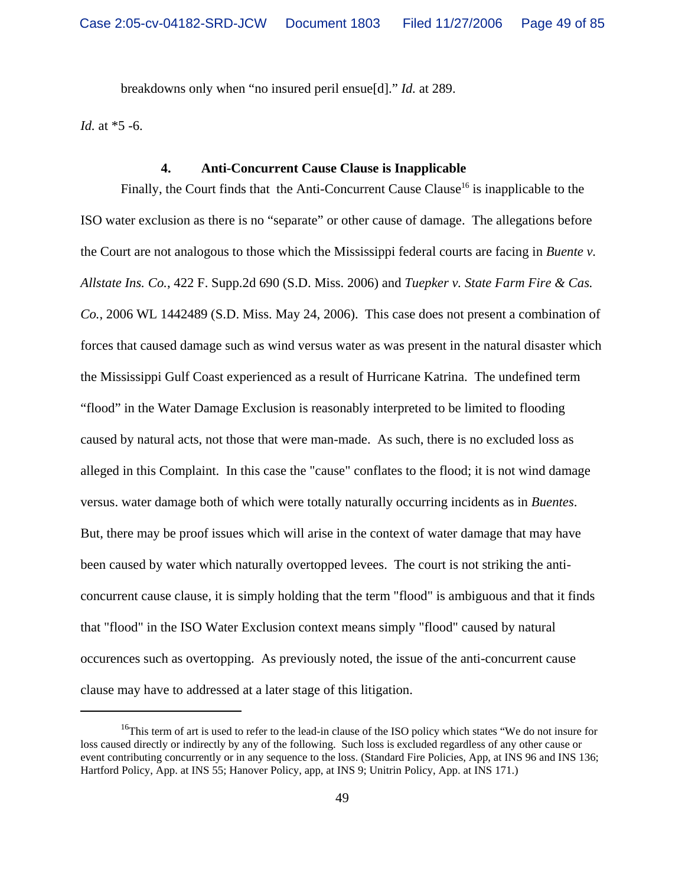breakdowns only when "no insured peril ensue[d]." *Id.* at 289.

*Id.* at \*5 -6.

## **4. Anti-Concurrent Cause Clause is Inapplicable**

Finally, the Court finds that the Anti-Concurrent Cause Clause<sup>16</sup> is inapplicable to the ISO water exclusion as there is no "separate" or other cause of damage. The allegations before the Court are not analogous to those which the Mississippi federal courts are facing in *Buente v. Allstate Ins. Co.*, 422 F. Supp.2d 690 (S.D. Miss. 2006) and *Tuepker v. State Farm Fire & Cas. Co.*, 2006 WL 1442489 (S.D. Miss. May 24, 2006). This case does not present a combination of forces that caused damage such as wind versus water as was present in the natural disaster which the Mississippi Gulf Coast experienced as a result of Hurricane Katrina. The undefined term "flood" in the Water Damage Exclusion is reasonably interpreted to be limited to flooding caused by natural acts, not those that were man-made. As such, there is no excluded loss as alleged in this Complaint. In this case the "cause" conflates to the flood; it is not wind damage versus. water damage both of which were totally naturally occurring incidents as in *Buentes*. But, there may be proof issues which will arise in the context of water damage that may have been caused by water which naturally overtopped levees. The court is not striking the anticoncurrent cause clause, it is simply holding that the term "flood" is ambiguous and that it finds that "flood" in the ISO Water Exclusion context means simply "flood" caused by natural occurences such as overtopping. As previously noted, the issue of the anti-concurrent cause clause may have to addressed at a later stage of this litigation.

<sup>&</sup>lt;sup>16</sup>This term of art is used to refer to the lead-in clause of the ISO policy which states "We do not insure for loss caused directly or indirectly by any of the following. Such loss is excluded regardless of any other cause or event contributing concurrently or in any sequence to the loss. (Standard Fire Policies, App, at INS 96 and INS 136; Hartford Policy, App. at INS 55; Hanover Policy, app, at INS 9; Unitrin Policy, App. at INS 171.)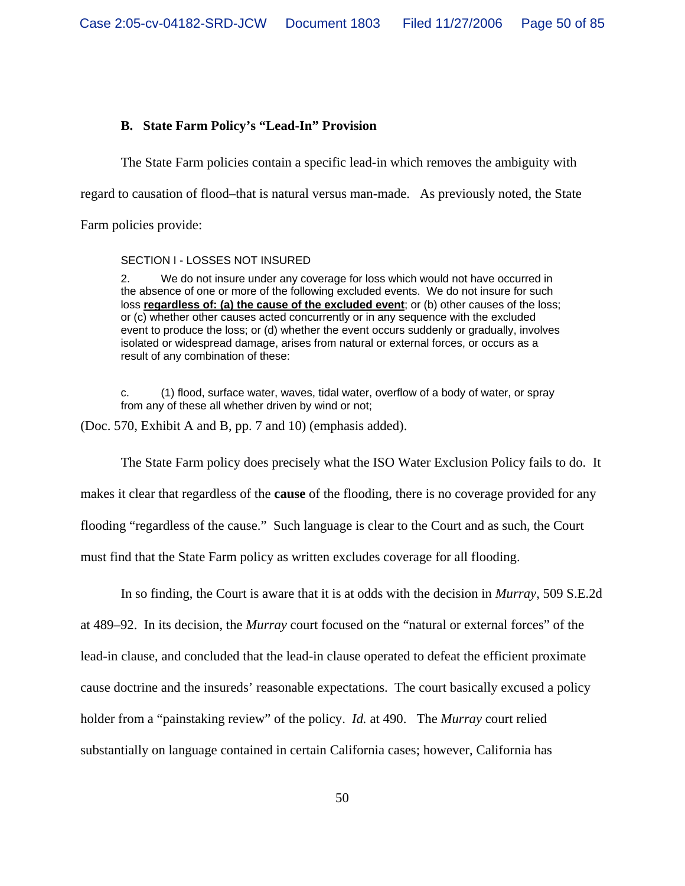## **B. State Farm Policy's "Lead-In" Provision**

The State Farm policies contain a specific lead-in which removes the ambiguity with

regard to causation of flood–that is natural versus man-made. As previously noted, the State

Farm policies provide:

#### SECTION I - LOSSES NOT INSURED

2. We do not insure under any coverage for loss which would not have occurred in the absence of one or more of the following excluded events. We do not insure for such loss **regardless of: (a) the cause of the excluded event**; or (b) other causes of the loss; or (c) whether other causes acted concurrently or in any sequence with the excluded event to produce the loss; or (d) whether the event occurs suddenly or gradually, involves isolated or widespread damage, arises from natural or external forces, or occurs as a result of any combination of these:

c. (1) flood, surface water, waves, tidal water, overflow of a body of water, or spray from any of these all whether driven by wind or not;

(Doc. 570, Exhibit A and B, pp. 7 and 10) (emphasis added).

The State Farm policy does precisely what the ISO Water Exclusion Policy fails to do. It makes it clear that regardless of the **cause** of the flooding, there is no coverage provided for any flooding "regardless of the cause." Such language is clear to the Court and as such, the Court must find that the State Farm policy as written excludes coverage for all flooding.

In so finding, the Court is aware that it is at odds with the decision in *Murray*, 509 S.E.2d at 489–92. In its decision, the *Murray* court focused on the "natural or external forces" of the lead-in clause, and concluded that the lead-in clause operated to defeat the efficient proximate cause doctrine and the insureds' reasonable expectations. The court basically excused a policy holder from a "painstaking review" of the policy. *Id.* at 490. The *Murray* court relied substantially on language contained in certain California cases; however, California has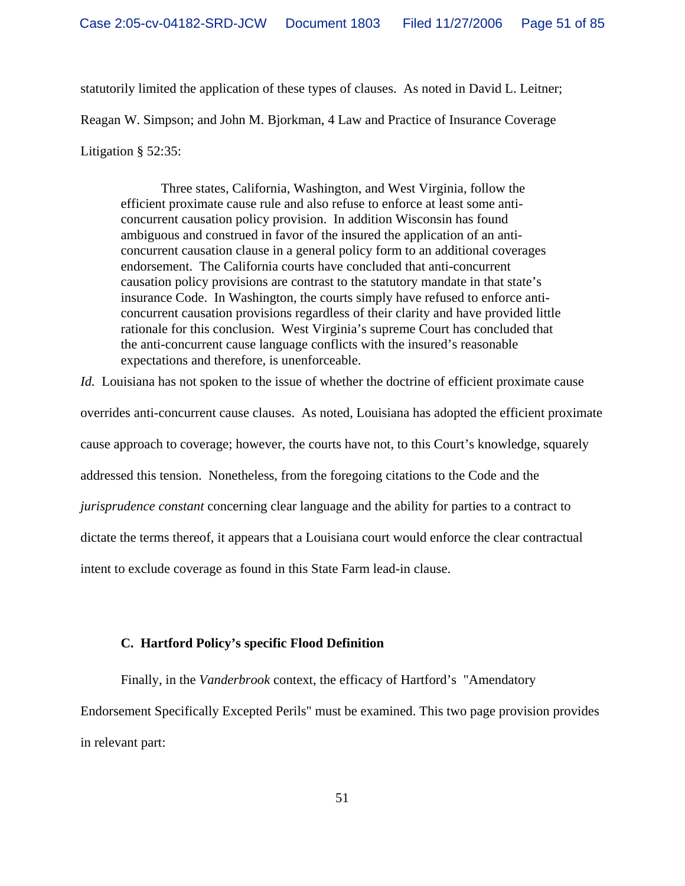statutorily limited the application of these types of clauses. As noted in David L. Leitner; Reagan W. Simpson; and John M. Bjorkman, 4 Law and Practice of Insurance Coverage Litigation § 52:35:

Three states, California, Washington, and West Virginia, follow the efficient proximate cause rule and also refuse to enforce at least some anticoncurrent causation policy provision. In addition Wisconsin has found ambiguous and construed in favor of the insured the application of an anticoncurrent causation clause in a general policy form to an additional coverages endorsement. The California courts have concluded that anti-concurrent causation policy provisions are contrast to the statutory mandate in that state's insurance Code. In Washington, the courts simply have refused to enforce anticoncurrent causation provisions regardless of their clarity and have provided little rationale for this conclusion. West Virginia's supreme Court has concluded that the anti-concurrent cause language conflicts with the insured's reasonable expectations and therefore, is unenforceable.

*Id.* Louisiana has not spoken to the issue of whether the doctrine of efficient proximate cause

overrides anti-concurrent cause clauses. As noted, Louisiana has adopted the efficient proximate

cause approach to coverage; however, the courts have not, to this Court's knowledge, squarely

addressed this tension. Nonetheless, from the foregoing citations to the Code and the

*jurisprudence constant* concerning clear language and the ability for parties to a contract to

dictate the terms thereof, it appears that a Louisiana court would enforce the clear contractual

intent to exclude coverage as found in this State Farm lead-in clause.

## **C. Hartford Policy's specific Flood Definition**

Finally, in the *Vanderbrook* context, the efficacy of Hartford's "Amendatory Endorsement Specifically Excepted Perils" must be examined. This two page provision provides in relevant part: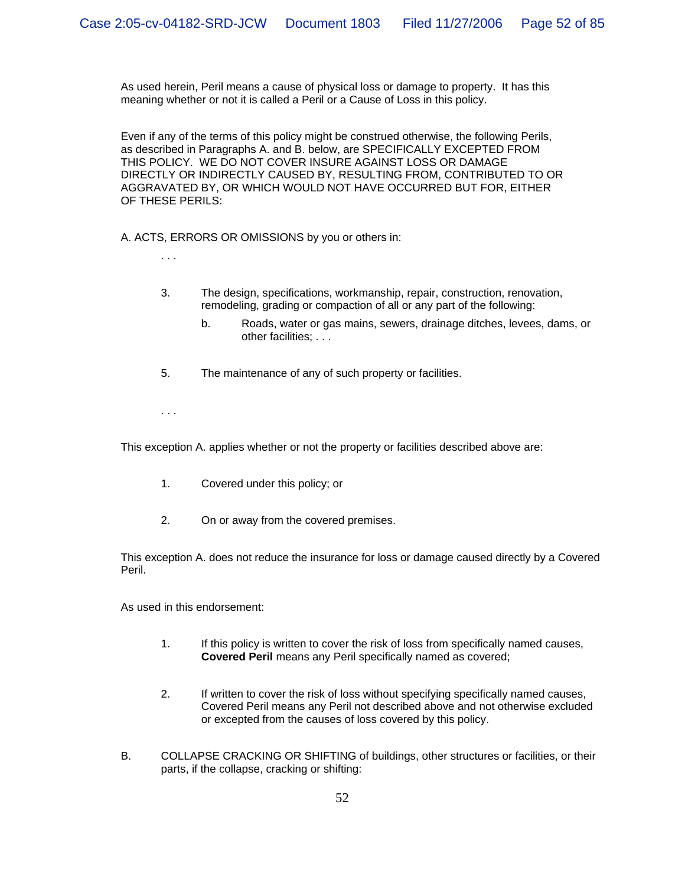As used herein, Peril means a cause of physical loss or damage to property. It has this meaning whether or not it is called a Peril or a Cause of Loss in this policy.

Even if any of the terms of this policy might be construed otherwise, the following Perils, as described in Paragraphs A. and B. below, are SPECIFICALLY EXCEPTED FROM THIS POLICY. WE DO NOT COVER INSURE AGAINST LOSS OR DAMAGE DIRECTLY OR INDIRECTLY CAUSED BY, RESULTING FROM, CONTRIBUTED TO OR AGGRAVATED BY, OR WHICH WOULD NOT HAVE OCCURRED BUT FOR, EITHER OF THESE PERILS:

A. ACTS, ERRORS OR OMISSIONS by you or others in:

. . .

- 3. The design, specifications, workmanship, repair, construction, renovation, remodeling, grading or compaction of all or any part of the following:
	- b. Roads, water or gas mains, sewers, drainage ditches, levees, dams, or other facilities; . . .
- 5. The maintenance of any of such property or facilities.

. . .

This exception A. applies whether or not the property or facilities described above are:

- 1. Covered under this policy; or
- 2. On or away from the covered premises.

This exception A. does not reduce the insurance for loss or damage caused directly by a Covered Peril.

As used in this endorsement:

- 1. If this policy is written to cover the risk of loss from specifically named causes, **Covered Peril** means any Peril specifically named as covered;
- 2. If written to cover the risk of loss without specifying specifically named causes, Covered Peril means any Peril not described above and not otherwise excluded or excepted from the causes of loss covered by this policy.
- B. COLLAPSE CRACKING OR SHIFTING of buildings, other structures or facilities, or their parts, if the collapse, cracking or shifting: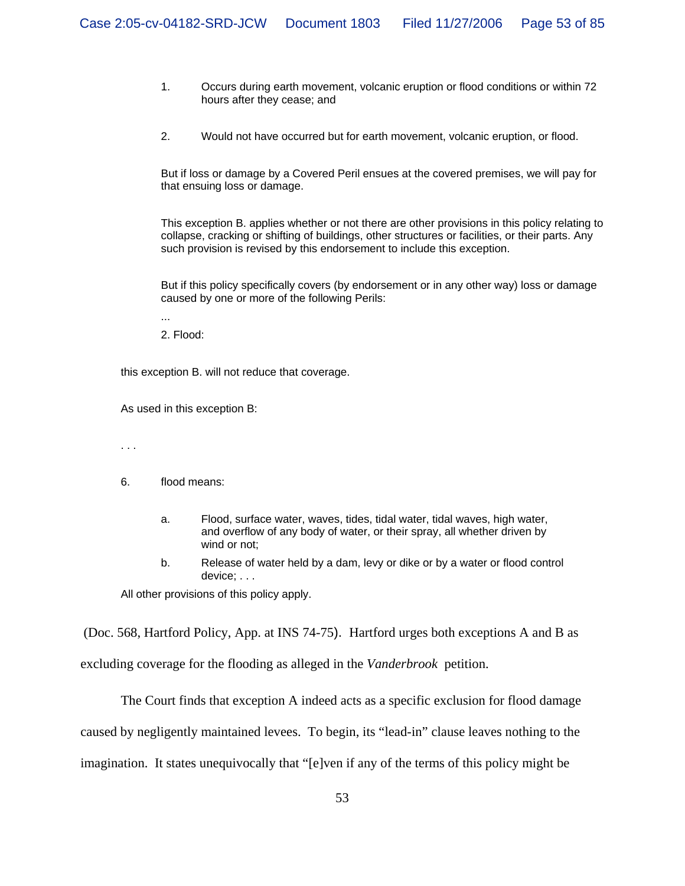- 1. Occurs during earth movement, volcanic eruption or flood conditions or within 72 hours after they cease; and
- 2. Would not have occurred but for earth movement, volcanic eruption, or flood.

But if loss or damage by a Covered Peril ensues at the covered premises, we will pay for that ensuing loss or damage.

This exception B. applies whether or not there are other provisions in this policy relating to collapse, cracking or shifting of buildings, other structures or facilities, or their parts. Any such provision is revised by this endorsement to include this exception.

But if this policy specifically covers (by endorsement or in any other way) loss or damage caused by one or more of the following Perils:

... 2. Flood:

this exception B. will not reduce that coverage.

As used in this exception B:

. . .

- 6. flood means:
	- a. Flood, surface water, waves, tides, tidal water, tidal waves, high water, and overflow of any body of water, or their spray, all whether driven by wind or not;
	- b. Release of water held by a dam, levy or dike or by a water or flood control device; . . .

All other provisions of this policy apply.

(Doc. 568, Hartford Policy, App. at INS 74-75). Hartford urges both exceptions A and B as excluding coverage for the flooding as alleged in the *Vanderbrook* petition.

The Court finds that exception A indeed acts as a specific exclusion for flood damage caused by negligently maintained levees. To begin, its "lead-in" clause leaves nothing to the imagination. It states unequivocally that "[e]ven if any of the terms of this policy might be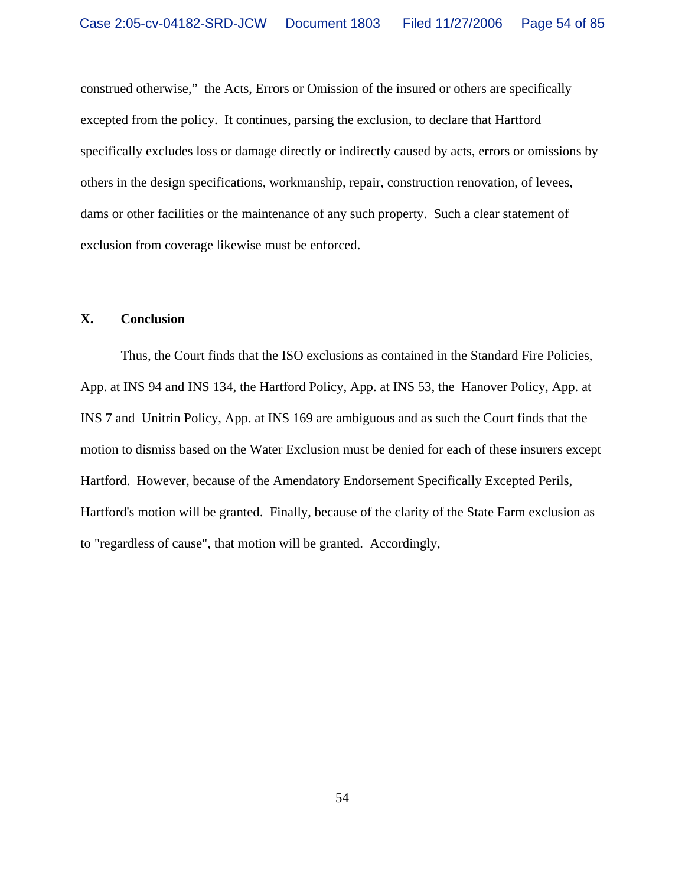construed otherwise," the Acts, Errors or Omission of the insured or others are specifically excepted from the policy. It continues, parsing the exclusion, to declare that Hartford specifically excludes loss or damage directly or indirectly caused by acts, errors or omissions by others in the design specifications, workmanship, repair, construction renovation, of levees, dams or other facilities or the maintenance of any such property. Such a clear statement of exclusion from coverage likewise must be enforced.

## **X. Conclusion**

Thus, the Court finds that the ISO exclusions as contained in the Standard Fire Policies, App. at INS 94 and INS 134, the Hartford Policy, App. at INS 53, the Hanover Policy, App. at INS 7 and Unitrin Policy, App. at INS 169 are ambiguous and as such the Court finds that the motion to dismiss based on the Water Exclusion must be denied for each of these insurers except Hartford. However, because of the Amendatory Endorsement Specifically Excepted Perils, Hartford's motion will be granted. Finally, because of the clarity of the State Farm exclusion as to "regardless of cause", that motion will be granted. Accordingly,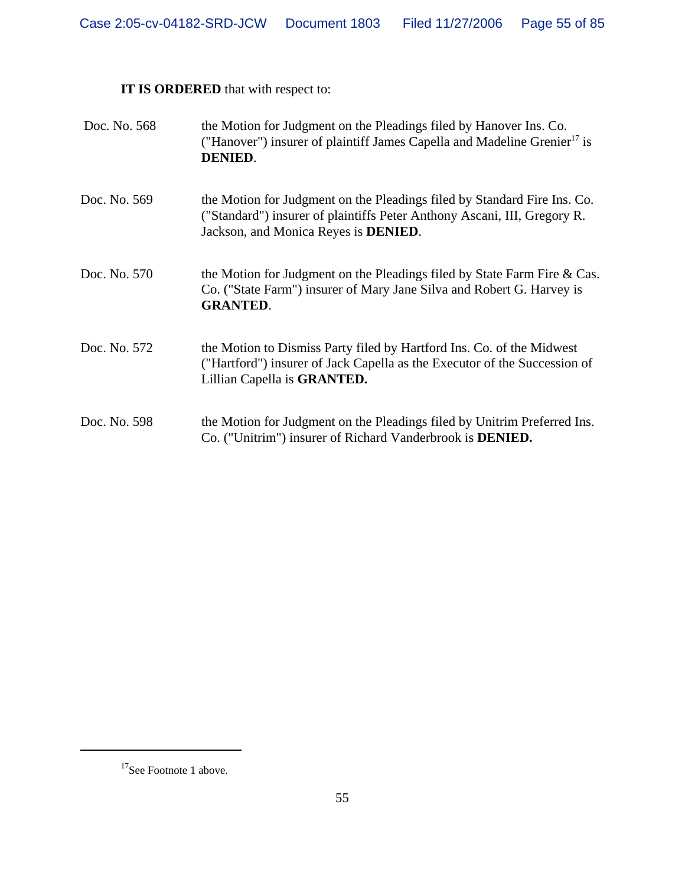# **IT IS ORDERED** that with respect to:

| Doc. No. 568 | the Motion for Judgment on the Pleadings filed by Hanover Ins. Co.<br>("Hanover") insurer of plaintiff James Capella and Madeline Grenier <sup>17</sup> is<br><b>DENIED.</b>                         |
|--------------|------------------------------------------------------------------------------------------------------------------------------------------------------------------------------------------------------|
| Doc. No. 569 | the Motion for Judgment on the Pleadings filed by Standard Fire Ins. Co.<br>("Standard") insurer of plaintiffs Peter Anthony Ascani, III, Gregory R.<br>Jackson, and Monica Reyes is <b>DENIED</b> . |
| Doc. No. 570 | the Motion for Judgment on the Pleadings filed by State Farm Fire $& Cas.$<br>Co. ("State Farm") insurer of Mary Jane Silva and Robert G. Harvey is<br><b>GRANTED.</b>                               |
| Doc. No. 572 | the Motion to Dismiss Party filed by Hartford Ins. Co. of the Midwest<br>("Hartford") insurer of Jack Capella as the Executor of the Succession of<br>Lillian Capella is GRANTED.                    |
| Doc. No. 598 | the Motion for Judgment on the Pleadings filed by Unitrim Preferred Ins.<br>Co. ("Unitrim") insurer of Richard Vanderbrook is <b>DENIED.</b>                                                         |

<sup>&</sup>lt;sup>17</sup>See Footnote 1 above.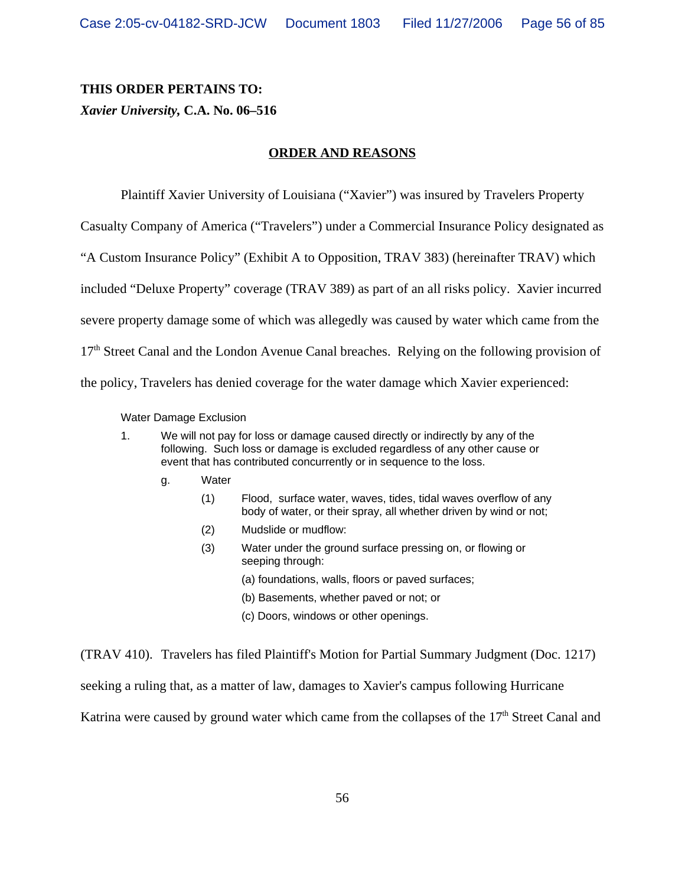# **THIS ORDER PERTAINS TO:**

# *Xavier University,* **C.A. No. 06–516**

# **ORDER AND REASONS**

Plaintiff Xavier University of Louisiana ("Xavier") was insured by Travelers Property

Casualty Company of America ("Travelers") under a Commercial Insurance Policy designated as

"A Custom Insurance Policy" (Exhibit A to Opposition, TRAV 383) (hereinafter TRAV) which

included "Deluxe Property" coverage (TRAV 389) as part of an all risks policy. Xavier incurred

severe property damage some of which was allegedly was caused by water which came from the

17<sup>th</sup> Street Canal and the London Avenue Canal breaches. Relying on the following provision of

the policy, Travelers has denied coverage for the water damage which Xavier experienced:

Water Damage Exclusion

- 1. We will not pay for loss or damage caused directly or indirectly by any of the following. Such loss or damage is excluded regardless of any other cause or event that has contributed concurrently or in sequence to the loss.
	- g. Water
		- (1) Flood, surface water, waves, tides, tidal waves overflow of any body of water, or their spray, all whether driven by wind or not;
		- (2) Mudslide or mudflow:
		- (3) Water under the ground surface pressing on, or flowing or seeping through:
			- (a) foundations, walls, floors or paved surfaces;
			- (b) Basements, whether paved or not; or
			- (c) Doors, windows or other openings.

(TRAV 410). Travelers has filed Plaintiff's Motion for Partial Summary Judgment (Doc. 1217)

seeking a ruling that, as a matter of law, damages to Xavier's campus following Hurricane

Katrina were caused by ground water which came from the collapses of the  $17<sup>th</sup>$  Street Canal and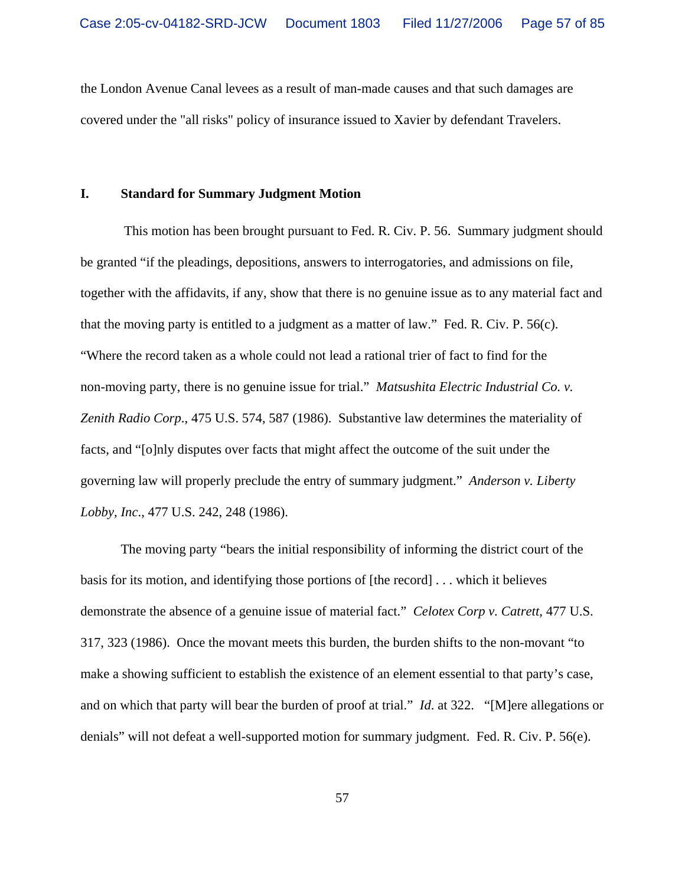the London Avenue Canal levees as a result of man-made causes and that such damages are covered under the "all risks" policy of insurance issued to Xavier by defendant Travelers.

#### **I. Standard for Summary Judgment Motion**

 This motion has been brought pursuant to Fed. R. Civ. P. 56. Summary judgment should be granted "if the pleadings, depositions, answers to interrogatories, and admissions on file, together with the affidavits, if any, show that there is no genuine issue as to any material fact and that the moving party is entitled to a judgment as a matter of law." Fed. R. Civ. P. 56(c). "Where the record taken as a whole could not lead a rational trier of fact to find for the non-moving party, there is no genuine issue for trial." *Matsushita Electric Industrial Co. v. Zenith Radio Corp*., 475 U.S. 574, 587 (1986). Substantive law determines the materiality of facts, and "[o]nly disputes over facts that might affect the outcome of the suit under the governing law will properly preclude the entry of summary judgment." *Anderson v. Liberty Lobby, Inc*., 477 U.S. 242, 248 (1986).

The moving party "bears the initial responsibility of informing the district court of the basis for its motion, and identifying those portions of [the record] . . . which it believes demonstrate the absence of a genuine issue of material fact." *Celotex Corp v. Catrett*, 477 U.S. 317, 323 (1986). Once the movant meets this burden, the burden shifts to the non-movant "to make a showing sufficient to establish the existence of an element essential to that party's case, and on which that party will bear the burden of proof at trial." *Id*. at 322. "[M]ere allegations or denials" will not defeat a well-supported motion for summary judgment. Fed. R. Civ. P. 56(e).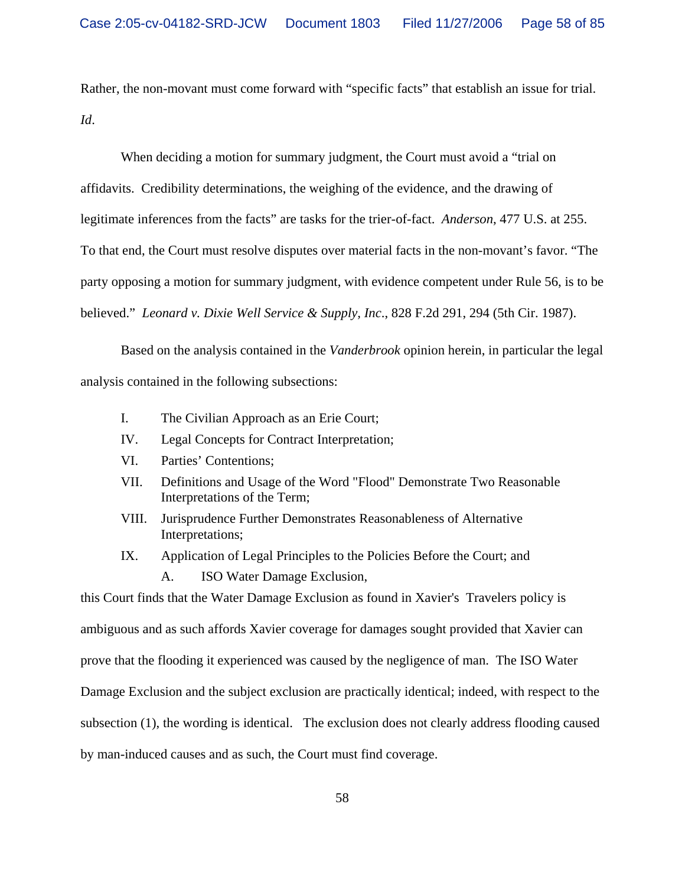Rather, the non-movant must come forward with "specific facts" that establish an issue for trial. *Id*.

When deciding a motion for summary judgment, the Court must avoid a "trial on affidavits. Credibility determinations, the weighing of the evidence, and the drawing of legitimate inferences from the facts" are tasks for the trier-of-fact. *Anderson*, 477 U.S. at 255. To that end, the Court must resolve disputes over material facts in the non-movant's favor. "The party opposing a motion for summary judgment, with evidence competent under Rule 56, is to be believed." *Leonard v. Dixie Well Service & Supply, Inc*., 828 F.2d 291, 294 (5th Cir. 1987).

Based on the analysis contained in the *Vanderbrook* opinion herein, in particular the legal analysis contained in the following subsections:

- I. The Civilian Approach as an Erie Court;
- IV. Legal Concepts for Contract Interpretation;
- VI. Parties' Contentions;
- VII. Definitions and Usage of the Word "Flood" Demonstrate Two Reasonable Interpretations of the Term;
- VIII. Jurisprudence Further Demonstrates Reasonableness of Alternative Interpretations;
- IX. Application of Legal Principles to the Policies Before the Court; and
	- A. ISO Water Damage Exclusion,

this Court finds that the Water Damage Exclusion as found in Xavier's Travelers policy is ambiguous and as such affords Xavier coverage for damages sought provided that Xavier can prove that the flooding it experienced was caused by the negligence of man. The ISO Water Damage Exclusion and the subject exclusion are practically identical; indeed, with respect to the subsection (1), the wording is identical. The exclusion does not clearly address flooding caused by man-induced causes and as such, the Court must find coverage.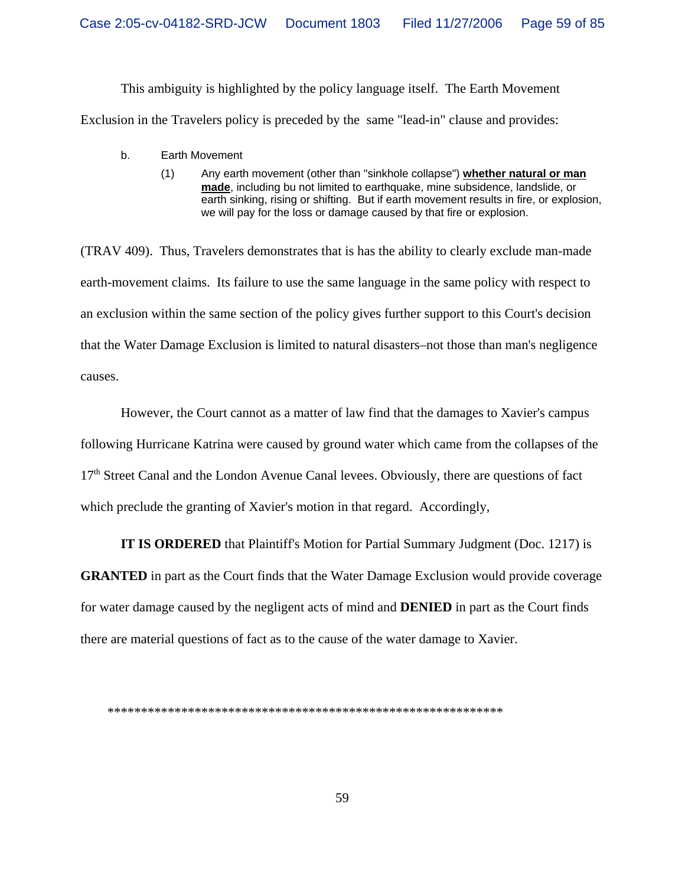This ambiguity is highlighted by the policy language itself. The Earth Movement Exclusion in the Travelers policy is preceded by the same "lead-in" clause and provides:

- b. Earth Movement
	- (1) Any earth movement (other than "sinkhole collapse") **whether natural or man made**, including bu not limited to earthquake, mine subsidence, landslide, or earth sinking, rising or shifting. But if earth movement results in fire, or explosion, we will pay for the loss or damage caused by that fire or explosion.

(TRAV 409). Thus, Travelers demonstrates that is has the ability to clearly exclude man-made earth-movement claims. Its failure to use the same language in the same policy with respect to an exclusion within the same section of the policy gives further support to this Court's decision that the Water Damage Exclusion is limited to natural disasters–not those than man's negligence causes.

However, the Court cannot as a matter of law find that the damages to Xavier's campus following Hurricane Katrina were caused by ground water which came from the collapses of the 17th Street Canal and the London Avenue Canal levees. Obviously, there are questions of fact which preclude the granting of Xavier's motion in that regard. Accordingly,

**IT IS ORDERED** that Plaintiff's Motion for Partial Summary Judgment (Doc. 1217) is **GRANTED** in part as the Court finds that the Water Damage Exclusion would provide coverage for water damage caused by the negligent acts of mind and **DENIED** in part as the Court finds there are material questions of fact as to the cause of the water damage to Xavier.

\*\*\*\*\*\*\*\*\*\*\*\*\*\*\*\*\*\*\*\*\*\*\*\*\*\*\*\*\*\*\*\*\*\*\*\*\*\*\*\*\*\*\*\*\*\*\*\*\*\*\*\*\*\*\*\*\*\*\*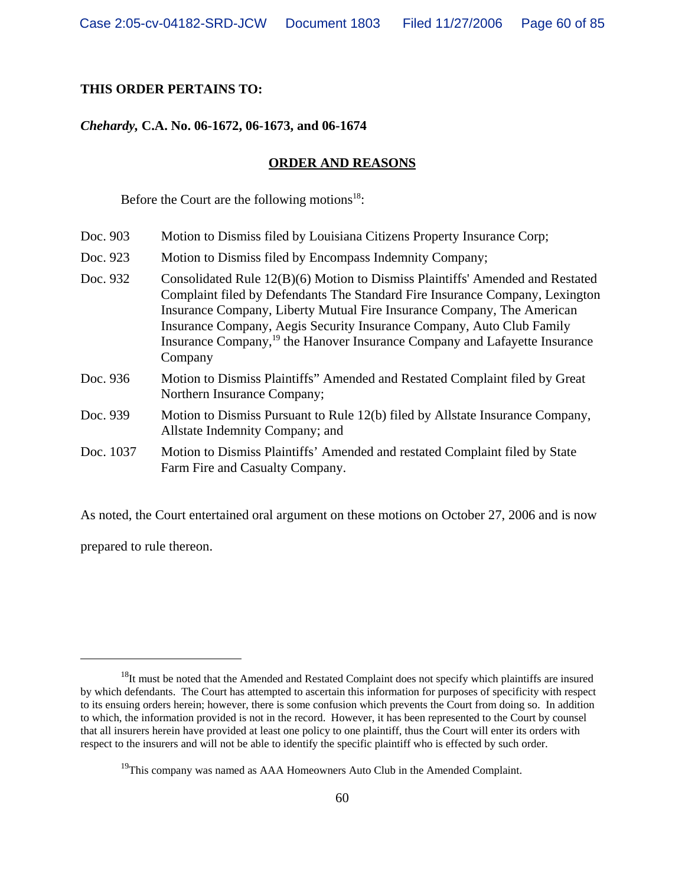# **THIS ORDER PERTAINS TO:**

## *Chehardy,* **C.A. No. 06-1672, 06-1673, and 06-1674**

#### **ORDER AND REASONS**

Before the Court are the following motions<sup>18</sup>:

- Doc. 903 Motion to Dismiss filed by Louisiana Citizens Property Insurance Corp;
- Doc. 923 Motion to Dismiss filed by Encompass Indemnity Company;
- Doc. 932 Consolidated Rule 12(B)(6) Motion to Dismiss Plaintiffs' Amended and Restated Complaint filed by Defendants The Standard Fire Insurance Company, Lexington Insurance Company, Liberty Mutual Fire Insurance Company, The American Insurance Company, Aegis Security Insurance Company, Auto Club Family Insurance Company,19 the Hanover Insurance Company and Lafayette Insurance Company
- Doc. 936 Motion to Dismiss Plaintiffs" Amended and Restated Complaint filed by Great Northern Insurance Company;
- Doc. 939 Motion to Dismiss Pursuant to Rule 12(b) filed by Allstate Insurance Company, Allstate Indemnity Company; and
- Doc. 1037 Motion to Dismiss Plaintiffs' Amended and restated Complaint filed by State Farm Fire and Casualty Company.

As noted, the Court entertained oral argument on these motions on October 27, 2006 and is now

prepared to rule thereon.

<sup>&</sup>lt;sup>18</sup>It must be noted that the Amended and Restated Complaint does not specify which plaintiffs are insured by which defendants. The Court has attempted to ascertain this information for purposes of specificity with respect to its ensuing orders herein; however, there is some confusion which prevents the Court from doing so. In addition to which, the information provided is not in the record. However, it has been represented to the Court by counsel that all insurers herein have provided at least one policy to one plaintiff, thus the Court will enter its orders with respect to the insurers and will not be able to identify the specific plaintiff who is effected by such order.

 $19$ This company was named as AAA Homeowners Auto Club in the Amended Complaint.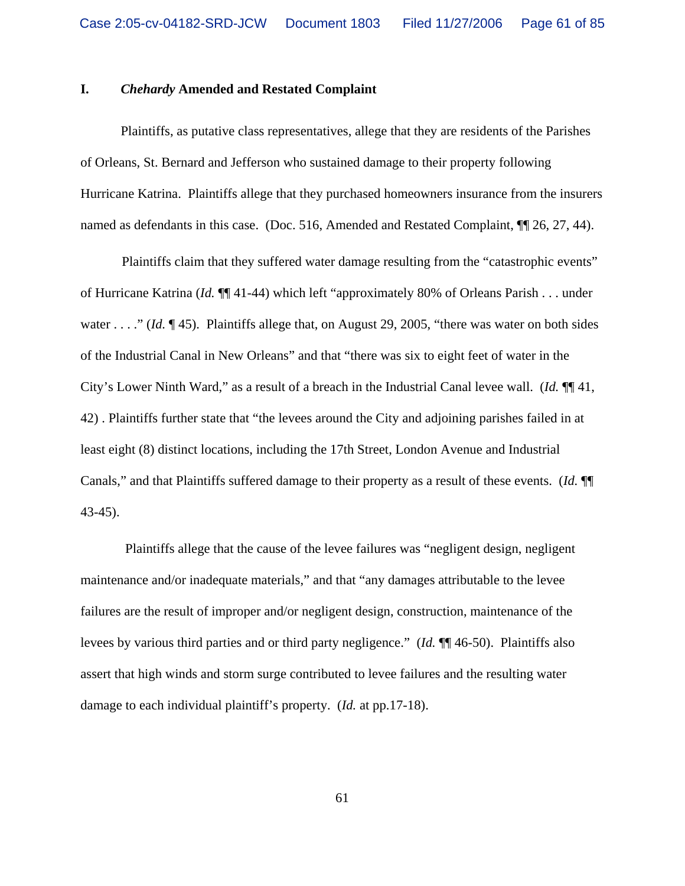## **I.** *Chehardy* **Amended and Restated Complaint**

Plaintiffs, as putative class representatives, allege that they are residents of the Parishes of Orleans, St. Bernard and Jefferson who sustained damage to their property following Hurricane Katrina. Plaintiffs allege that they purchased homeowners insurance from the insurers named as defendants in this case. (Doc. 516, Amended and Restated Complaint,  $\P$ [26, 27, 44).

Plaintiffs claim that they suffered water damage resulting from the "catastrophic events" of Hurricane Katrina (*Id.* ¶¶ 41-44) which left "approximately 80% of Orleans Parish . . . under water . . . ." *(Id.* ¶ 45). Plaintiffs allege that, on August 29, 2005, "there was water on both sides of the Industrial Canal in New Orleans" and that "there was six to eight feet of water in the City's Lower Ninth Ward," as a result of a breach in the Industrial Canal levee wall. (*Id.* ¶¶ 41, 42) . Plaintiffs further state that "the levees around the City and adjoining parishes failed in at least eight (8) distinct locations, including the 17th Street, London Avenue and Industrial Canals," and that Plaintiffs suffered damage to their property as a result of these events. (*Id.* ¶¶ 43-45).

 Plaintiffs allege that the cause of the levee failures was "negligent design, negligent maintenance and/or inadequate materials," and that "any damages attributable to the levee failures are the result of improper and/or negligent design, construction, maintenance of the levees by various third parties and or third party negligence." (*Id.* ¶¶ 46-50). Plaintiffs also assert that high winds and storm surge contributed to levee failures and the resulting water damage to each individual plaintiff's property. (*Id.* at pp.17-18).

61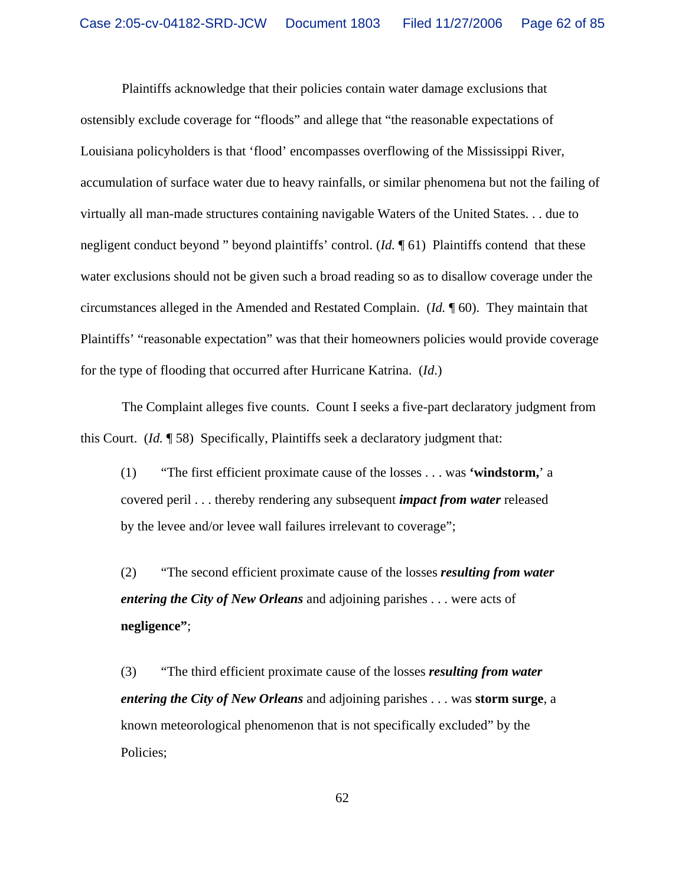Plaintiffs acknowledge that their policies contain water damage exclusions that ostensibly exclude coverage for "floods" and allege that "the reasonable expectations of Louisiana policyholders is that 'flood' encompasses overflowing of the Mississippi River, accumulation of surface water due to heavy rainfalls, or similar phenomena but not the failing of virtually all man-made structures containing navigable Waters of the United States. . . due to negligent conduct beyond " beyond plaintiffs' control. (*Id.* ¶ 61) Plaintiffs contend that these water exclusions should not be given such a broad reading so as to disallow coverage under the circumstances alleged in the Amended and Restated Complain. (*Id.* ¶ 60). They maintain that Plaintiffs' "reasonable expectation" was that their homeowners policies would provide coverage for the type of flooding that occurred after Hurricane Katrina. (*Id*.)

The Complaint alleges five counts. Count I seeks a five-part declaratory judgment from this Court. (*Id.* ¶ 58) Specifically, Plaintiffs seek a declaratory judgment that:

(1) "The first efficient proximate cause of the losses . . . was **'windstorm,**' a covered peril . . . thereby rendering any subsequent *impact from water* released by the levee and/or levee wall failures irrelevant to coverage";

(2) "The second efficient proximate cause of the losses *resulting from water entering the City of New Orleans* and adjoining parishes . . . were acts of **negligence"**;

(3) "The third efficient proximate cause of the losses *resulting from water entering the City of New Orleans* and adjoining parishes . . . was **storm surge**, a known meteorological phenomenon that is not specifically excluded" by the Policies;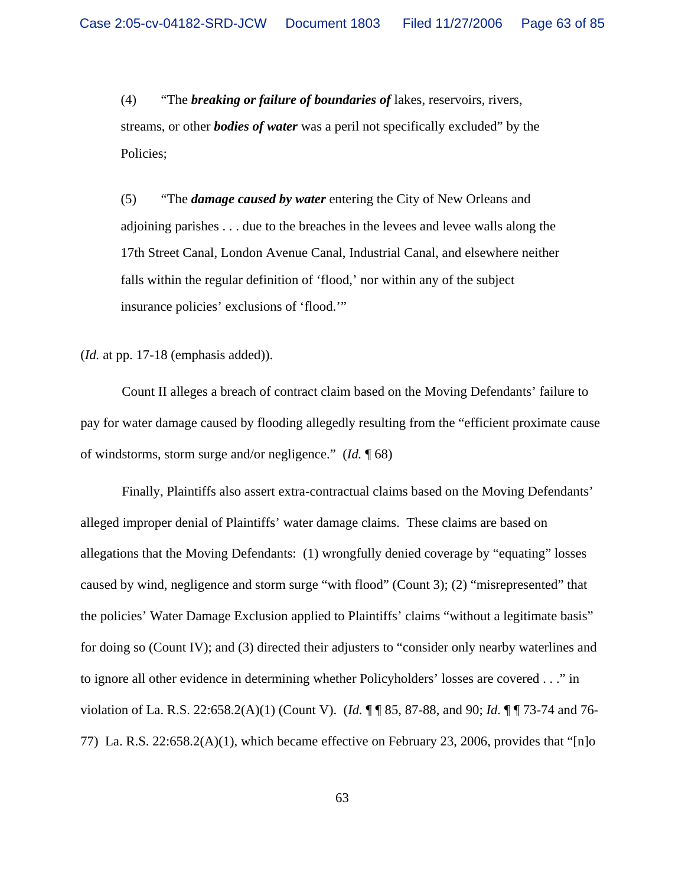(4) "The *breaking or failure of boundaries of* lakes, reservoirs, rivers, streams, or other *bodies of water* was a peril not specifically excluded" by the Policies;

(5) "The *damage caused by water* entering the City of New Orleans and adjoining parishes . . . due to the breaches in the levees and levee walls along the 17th Street Canal, London Avenue Canal, Industrial Canal, and elsewhere neither falls within the regular definition of 'flood,' nor within any of the subject insurance policies' exclusions of 'flood.'"

(*Id.* at pp. 17-18 (emphasis added)).

Count II alleges a breach of contract claim based on the Moving Defendants' failure to pay for water damage caused by flooding allegedly resulting from the "efficient proximate cause of windstorms, storm surge and/or negligence." (*Id.* ¶ 68)

Finally, Plaintiffs also assert extra-contractual claims based on the Moving Defendants' alleged improper denial of Plaintiffs' water damage claims. These claims are based on allegations that the Moving Defendants: (1) wrongfully denied coverage by "equating" losses caused by wind, negligence and storm surge "with flood" (Count 3); (2) "misrepresented" that the policies' Water Damage Exclusion applied to Plaintiffs' claims "without a legitimate basis" for doing so (Count IV); and (3) directed their adjusters to "consider only nearby waterlines and to ignore all other evidence in determining whether Policyholders' losses are covered . . ." in violation of La. R.S. 22:658.2(A)(1) (Count V). (*Id.* ¶ ¶ 85, 87-88, and 90; *Id*. ¶ ¶ 73-74 and 76- 77) La. R.S. 22:658.2(A)(1), which became effective on February 23, 2006, provides that "[n]o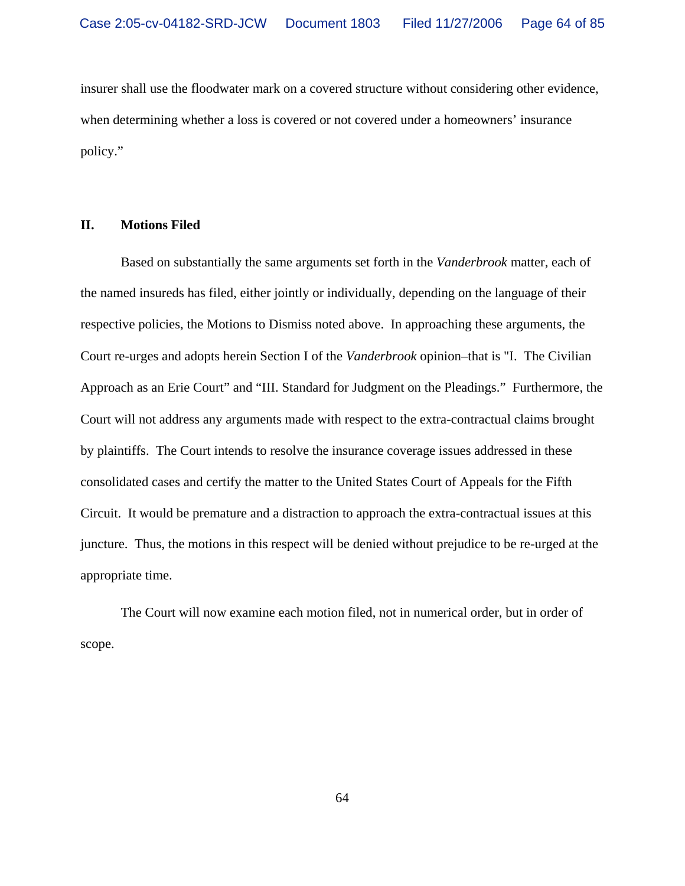insurer shall use the floodwater mark on a covered structure without considering other evidence, when determining whether a loss is covered or not covered under a homeowners' insurance policy."

### **II. Motions Filed**

Based on substantially the same arguments set forth in the *Vanderbrook* matter, each of the named insureds has filed, either jointly or individually, depending on the language of their respective policies, the Motions to Dismiss noted above. In approaching these arguments, the Court re-urges and adopts herein Section I of the *Vanderbrook* opinion–that is "I. The Civilian Approach as an Erie Court" and "III. Standard for Judgment on the Pleadings."Furthermore, the Court will not address any arguments made with respect to the extra-contractual claims brought by plaintiffs. The Court intends to resolve the insurance coverage issues addressed in these consolidated cases and certify the matter to the United States Court of Appeals for the Fifth Circuit. It would be premature and a distraction to approach the extra-contractual issues at this juncture. Thus, the motions in this respect will be denied without prejudice to be re-urged at the appropriate time.

The Court will now examine each motion filed, not in numerical order, but in order of scope.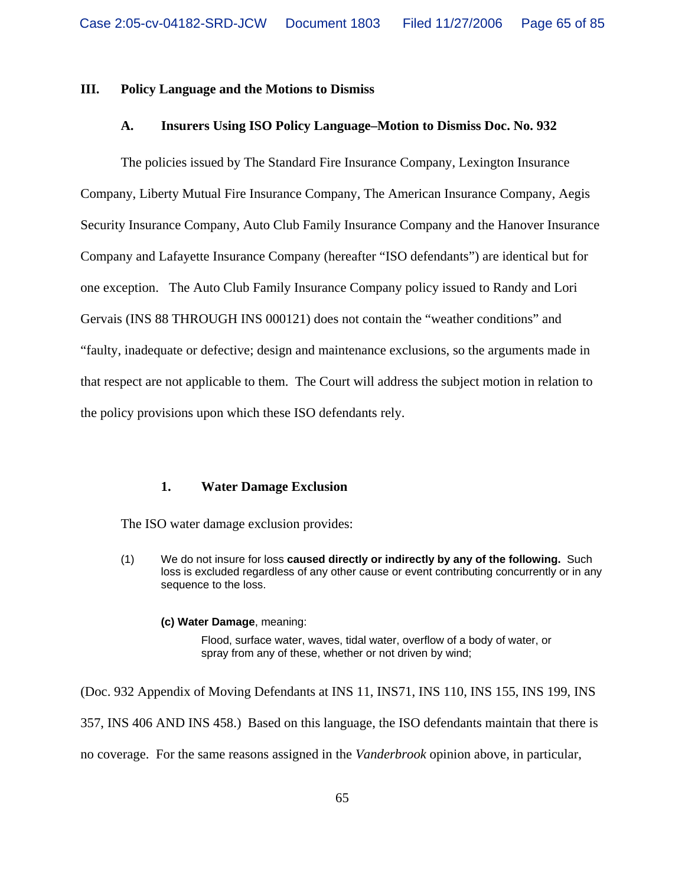## **III. Policy Language and the Motions to Dismiss**

## **A. Insurers Using ISO Policy Language–Motion to Dismiss Doc. No. 932**

The policies issued by The Standard Fire Insurance Company, Lexington Insurance Company, Liberty Mutual Fire Insurance Company, The American Insurance Company, Aegis Security Insurance Company, Auto Club Family Insurance Company and the Hanover Insurance Company and Lafayette Insurance Company (hereafter "ISO defendants") are identical but for one exception. The Auto Club Family Insurance Company policy issued to Randy and Lori Gervais (INS 88 THROUGH INS 000121) does not contain the "weather conditions" and "faulty, inadequate or defective; design and maintenance exclusions, so the arguments made in that respect are not applicable to them. The Court will address the subject motion in relation to the policy provisions upon which these ISO defendants rely.

### **1. Water Damage Exclusion**

The ISO water damage exclusion provides:

(1) We do not insure for loss **caused directly or indirectly by any of the following.** Such loss is excluded regardless of any other cause or event contributing concurrently or in any sequence to the loss.

#### **(c) Water Damage**, meaning:

Flood, surface water, waves, tidal water, overflow of a body of water, or spray from any of these, whether or not driven by wind;

(Doc. 932 Appendix of Moving Defendants at INS 11, INS71, INS 110, INS 155, INS 199, INS 357, INS 406 AND INS 458.) Based on this language, the ISO defendants maintain that there is no coverage. For the same reasons assigned in the *Vanderbrook* opinion above, in particular,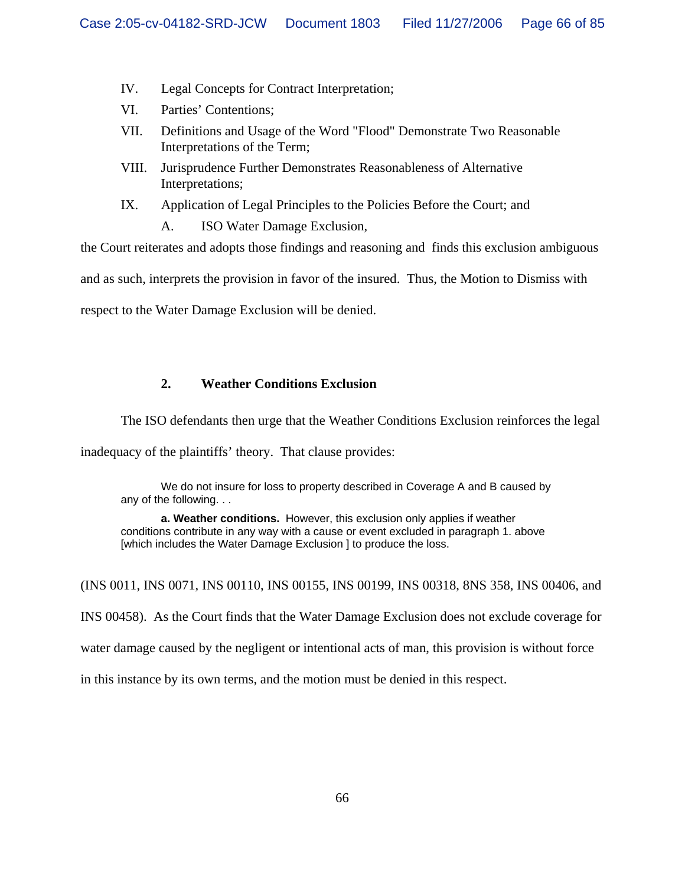- IV. Legal Concepts for Contract Interpretation;
- VI. Parties' Contentions;
- VII. Definitions and Usage of the Word "Flood" Demonstrate Two Reasonable Interpretations of the Term;
- VIII. Jurisprudence Further Demonstrates Reasonableness of Alternative Interpretations;
- IX. Application of Legal Principles to the Policies Before the Court; and

A. ISO Water Damage Exclusion,

the Court reiterates and adopts those findings and reasoning and finds this exclusion ambiguous

and as such, interprets the provision in favor of the insured. Thus, the Motion to Dismiss with

respect to the Water Damage Exclusion will be denied.

# **2. Weather Conditions Exclusion**

The ISO defendants then urge that the Weather Conditions Exclusion reinforces the legal

inadequacy of the plaintiffs' theory. That clause provides:

We do not insure for loss to property described in Coverage A and B caused by any of the following. . .

**a. Weather conditions.** However, this exclusion only applies if weather conditions contribute in any way with a cause or event excluded in paragraph 1. above [which includes the Water Damage Exclusion ] to produce the loss.

(INS 0011, INS 0071, INS 00110, INS 00155, INS 00199, INS 00318, 8NS 358, INS 00406, and INS 00458). As the Court finds that the Water Damage Exclusion does not exclude coverage for water damage caused by the negligent or intentional acts of man, this provision is without force in this instance by its own terms, and the motion must be denied in this respect.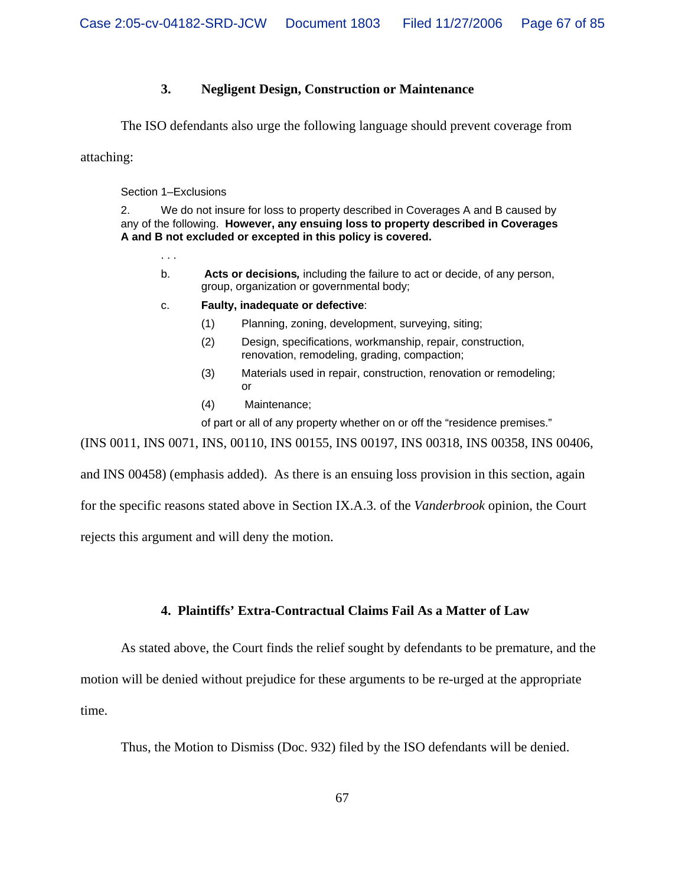## **3. Negligent Design, Construction or Maintenance**

The ISO defendants also urge the following language should prevent coverage from

attaching:

Section 1–Exclusions

2. We do not insure for loss to property described in Coverages A and B caused by any of the following. **However, any ensuing loss to property described in Coverages A and B not excluded or excepted in this policy is covered.**

. . .

- b. **Acts or decisions***,* including the failure to act or decide, of any person, group, organization or governmental body;
- c. **Faulty, inadequate or defective**:
	- (1) Planning, zoning, development, surveying, siting;
	- (2) Design, specifications, workmanship, repair, construction, renovation, remodeling, grading, compaction;
	- (3) Materials used in repair, construction, renovation or remodeling; or
	- (4) Maintenance;

of part or all of any property whether on or off the "residence premises."

(INS 0011, INS 0071, INS, 00110, INS 00155, INS 00197, INS 00318, INS 00358, INS 00406,

and INS 00458) (emphasis added). As there is an ensuing loss provision in this section, again

for the specific reasons stated above in Section IX.A.3. of the *Vanderbrook* opinion, the Court

rejects this argument and will deny the motion.

## **4. Plaintiffs' Extra-Contractual Claims Fail As a Matter of Law**

As stated above, the Court finds the relief sought by defendants to be premature, and the

motion will be denied without prejudice for these arguments to be re-urged at the appropriate time.

Thus, the Motion to Dismiss (Doc. 932) filed by the ISO defendants will be denied.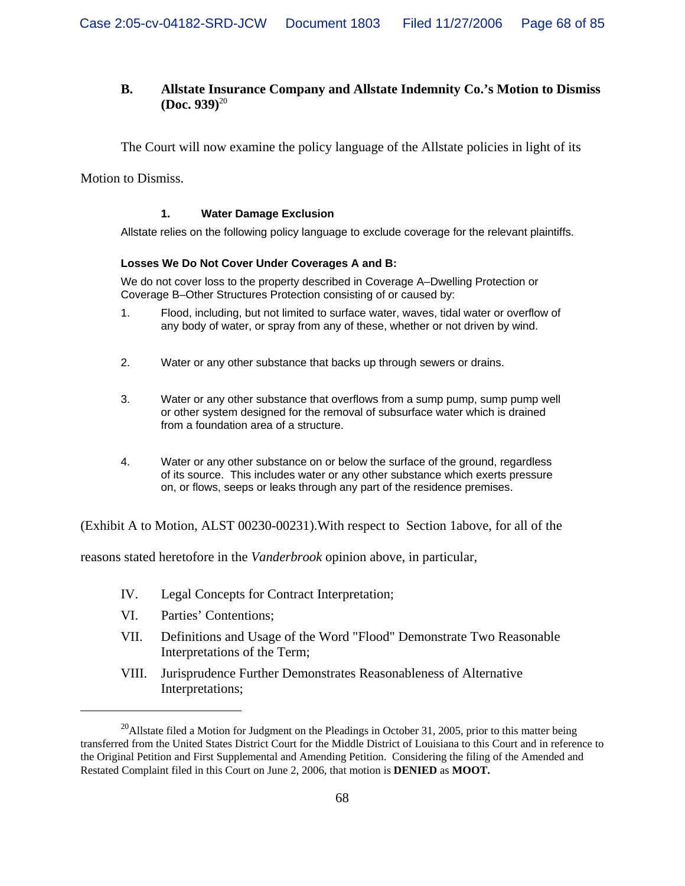# **B. Allstate Insurance Company and Allstate Indemnity Co.'s Motion to Dismiss (Doc. 939)**<sup>20</sup>

The Court will now examine the policy language of the Allstate policies in light of its

Motion to Dismiss.

#### **1. Water Damage Exclusion**

Allstate relies on the following policy language to exclude coverage for the relevant plaintiffs.

#### **Losses We Do Not Cover Under Coverages A and B:**

We do not cover loss to the property described in Coverage A–Dwelling Protection or Coverage B–Other Structures Protection consisting of or caused by:

- 1. Flood, including, but not limited to surface water, waves, tidal water or overflow of any body of water, or spray from any of these, whether or not driven by wind.
- 2. Water or any other substance that backs up through sewers or drains.
- 3. Water or any other substance that overflows from a sump pump, sump pump well or other system designed for the removal of subsurface water which is drained from a foundation area of a structure.
- 4. Water or any other substance on or below the surface of the ground, regardless of its source. This includes water or any other substance which exerts pressure on, or flows, seeps or leaks through any part of the residence premises.

(Exhibit A to Motion, ALST 00230-00231).With respect to Section 1above, for all of the

reasons stated heretofore in the *Vanderbrook* opinion above, in particular,

- IV. Legal Concepts for Contract Interpretation;
- VI. Parties' Contentions;
- VII. Definitions and Usage of the Word "Flood" Demonstrate Two Reasonable Interpretations of the Term;
- VIII. Jurisprudence Further Demonstrates Reasonableness of Alternative Interpretations;

 $20$ Allstate filed a Motion for Judgment on the Pleadings in October 31, 2005, prior to this matter being transferred from the United States District Court for the Middle District of Louisiana to this Court and in reference to the Original Petition and First Supplemental and Amending Petition. Considering the filing of the Amended and Restated Complaint filed in this Court on June 2, 2006, that motion is **DENIED** as **MOOT.**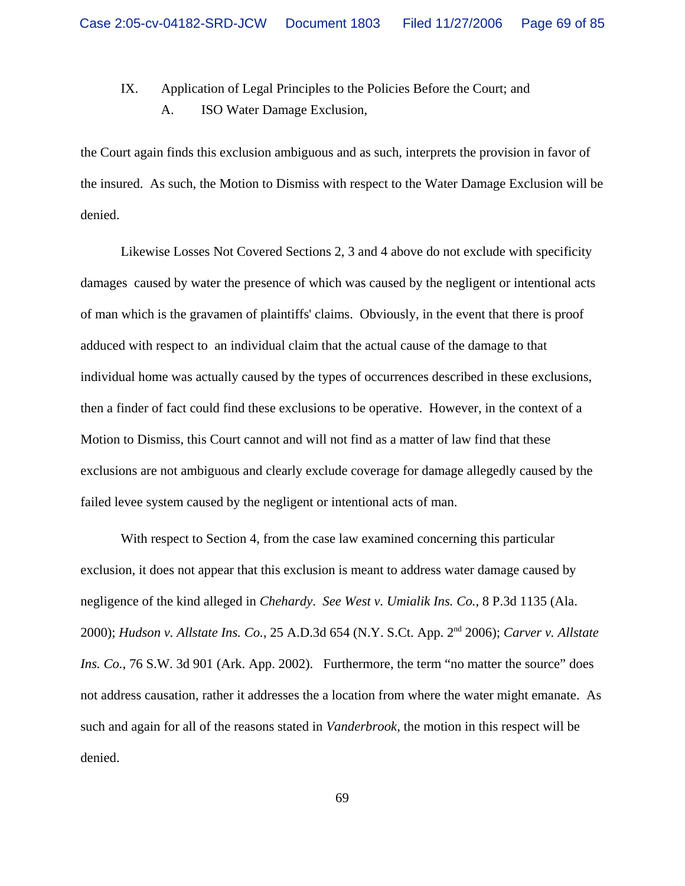# IX. Application of Legal Principles to the Policies Before the Court; and A. ISO Water Damage Exclusion,

the Court again finds this exclusion ambiguous and as such, interprets the provision in favor of the insured. As such, the Motion to Dismiss with respect to the Water Damage Exclusion will be denied.

Likewise Losses Not Covered Sections 2, 3 and 4 above do not exclude with specificity damages caused by water the presence of which was caused by the negligent or intentional acts of man which is the gravamen of plaintiffs' claims. Obviously, in the event that there is proof adduced with respect to an individual claim that the actual cause of the damage to that individual home was actually caused by the types of occurrences described in these exclusions, then a finder of fact could find these exclusions to be operative. However, in the context of a Motion to Dismiss, this Court cannot and will not find as a matter of law find that these exclusions are not ambiguous and clearly exclude coverage for damage allegedly caused by the failed levee system caused by the negligent or intentional acts of man.

With respect to Section 4, from the case law examined concerning this particular exclusion, it does not appear that this exclusion is meant to address water damage caused by negligence of the kind alleged in *Chehardy*. *See West v. Umialik Ins. Co.*, 8 P.3d 1135 (Ala. 2000); *Hudson v. Allstate Ins. Co.*, 25 A.D.3d 654 (N.Y. S.Ct. App. 2nd 2006); *Carver v. Allstate Ins. Co.*, 76 S.W. 3d 901 (Ark. App. 2002). Furthermore, the term "no matter the source" does not address causation, rather it addresses the a location from where the water might emanate. As such and again for all of the reasons stated in *Vanderbrook,* the motion in this respect will be denied.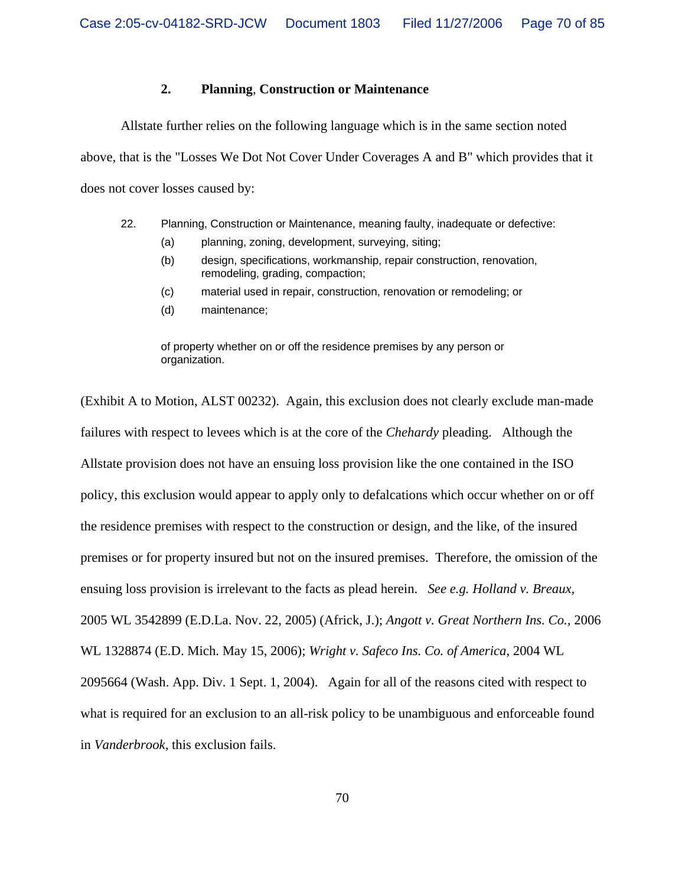### **2. Planning**, **Construction or Maintenance**

Allstate further relies on the following language which is in the same section noted above, that is the "Losses We Dot Not Cover Under Coverages A and B" which provides that it does not cover losses caused by:

- 22. Planning, Construction or Maintenance, meaning faulty, inadequate or defective:
	- (a) planning, zoning, development, surveying, siting;
	- (b) design, specifications, workmanship, repair construction, renovation, remodeling, grading, compaction;
	- (c) material used in repair, construction, renovation or remodeling; or
	- (d) maintenance;

of property whether on or off the residence premises by any person or organization.

(Exhibit A to Motion, ALST 00232). Again, this exclusion does not clearly exclude man-made failures with respect to levees which is at the core of the *Chehardy* pleading. Although the Allstate provision does not have an ensuing loss provision like the one contained in the ISO policy, this exclusion would appear to apply only to defalcations which occur whether on or off the residence premises with respect to the construction or design, and the like, of the insured premises or for property insured but not on the insured premises. Therefore, the omission of the ensuing loss provision is irrelevant to the facts as plead herein. *See e.g. Holland v. Breaux*, 2005 WL 3542899 (E.D.La. Nov. 22, 2005) (Africk, J.); *Angott v. Great Northern Ins. Co.,* 2006 WL 1328874 (E.D. Mich. May 15, 2006); *Wright v. Safeco Ins. Co. of America*, 2004 WL 2095664 (Wash. App. Div. 1 Sept. 1, 2004). Again for all of the reasons cited with respect to what is required for an exclusion to an all-risk policy to be unambiguous and enforceable found in *Vanderbrook*, this exclusion fails.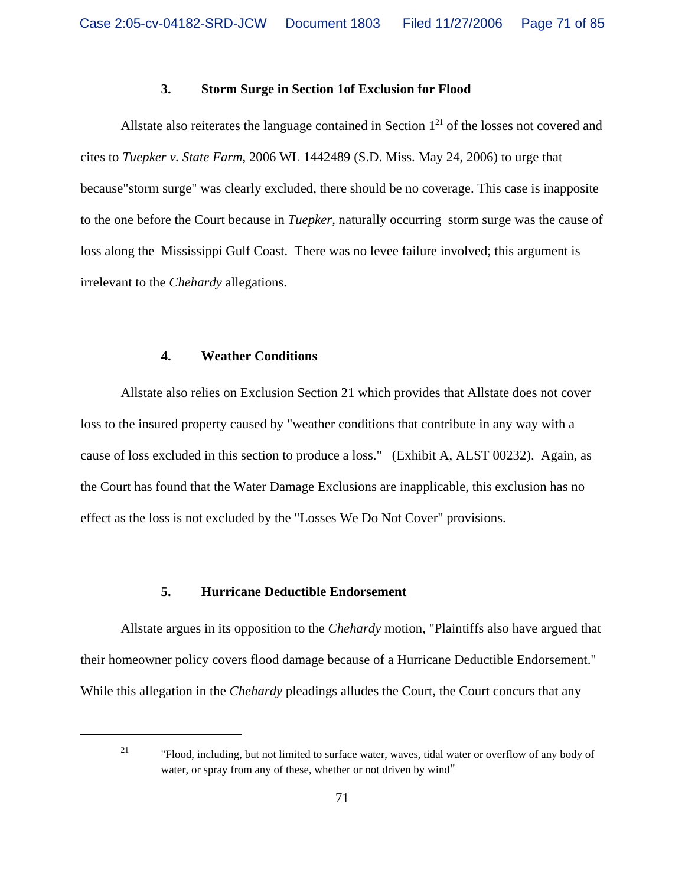#### **3. Storm Surge in Section 1of Exclusion for Flood**

Allstate also reiterates the language contained in Section  $1<sup>21</sup>$  of the losses not covered and cites to *Tuepker v. State Farm*, 2006 WL 1442489 (S.D. Miss. May 24, 2006) to urge that because"storm surge" was clearly excluded, there should be no coverage. This case is inapposite to the one before the Court because in *Tuepker*, naturally occurring storm surge was the cause of loss along the Mississippi Gulf Coast. There was no levee failure involved; this argument is irrelevant to the *Chehardy* allegations.

### **4. Weather Conditions**

Allstate also relies on Exclusion Section 21 which provides that Allstate does not cover loss to the insured property caused by "weather conditions that contribute in any way with a cause of loss excluded in this section to produce a loss." (Exhibit A, ALST 00232). Again, as the Court has found that the Water Damage Exclusions are inapplicable, this exclusion has no effect as the loss is not excluded by the "Losses We Do Not Cover" provisions.

## **5. Hurricane Deductible Endorsement**

Allstate argues in its opposition to the *Chehardy* motion, "Plaintiffs also have argued that their homeowner policy covers flood damage because of a Hurricane Deductible Endorsement." While this allegation in the *Chehardy* pleadings alludes the Court, the Court concurs that any

<sup>21</sup> "Flood, including, but not limited to surface water, waves, tidal water or overflow of any body of water, or spray from any of these, whether or not driven by wind"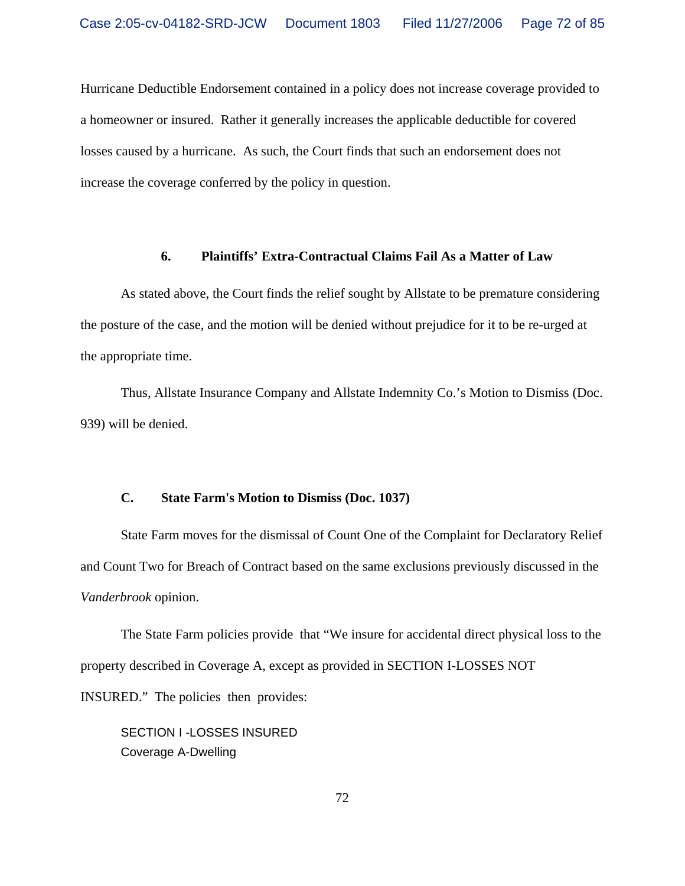Hurricane Deductible Endorsement contained in a policy does not increase coverage provided to a homeowner or insured. Rather it generally increases the applicable deductible for covered losses caused by a hurricane. As such, the Court finds that such an endorsement does not increase the coverage conferred by the policy in question.

#### **6. Plaintiffs' Extra-Contractual Claims Fail As a Matter of Law**

As stated above, the Court finds the relief sought by Allstate to be premature considering the posture of the case, and the motion will be denied without prejudice for it to be re-urged at the appropriate time.

Thus, Allstate Insurance Company and Allstate Indemnity Co.'s Motion to Dismiss (Doc. 939) will be denied.

## **C. State Farm's Motion to Dismiss (Doc. 1037)**

State Farm moves for the dismissal of Count One of the Complaint for Declaratory Relief and Count Two for Breach of Contract based on the same exclusions previously discussed in the *Vanderbrook* opinion.

 The State Farm policies provide that "We insure for accidental direct physical loss to the property described in Coverage A, except as provided in SECTION I-LOSSES NOT INSURED." The policies then provides:

SECTION I -LOSSES INSURED Coverage A-Dwelling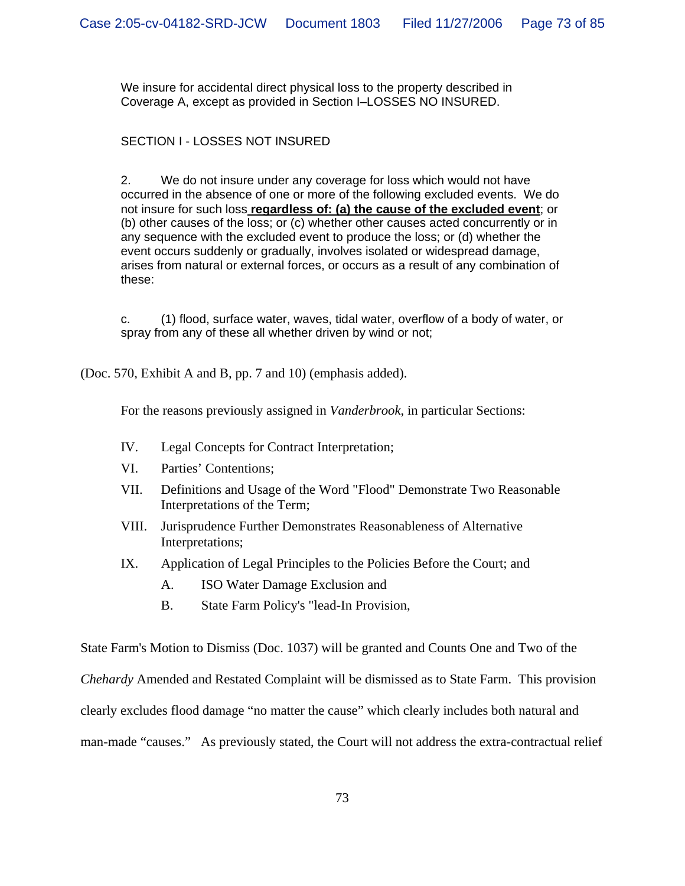We insure for accidental direct physical loss to the property described in Coverage A, except as provided in Section I–LOSSES NO INSURED.

# SECTION I - LOSSES NOT INSURED

2. We do not insure under any coverage for loss which would not have occurred in the absence of one or more of the following excluded events. We do not insure for such loss **regardless of: (a) the cause of the excluded event**; or (b) other causes of the loss; or (c) whether other causes acted concurrently or in any sequence with the excluded event to produce the loss; or (d) whether the event occurs suddenly or gradually, involves isolated or widespread damage, arises from natural or external forces, or occurs as a result of any combination of these:

c. (1) flood, surface water, waves, tidal water, overflow of a body of water, or spray from any of these all whether driven by wind or not;

(Doc. 570, Exhibit A and B, pp. 7 and 10) (emphasis added).

For the reasons previously assigned in *Vanderbrook*, in particular Sections:

- IV. Legal Concepts for Contract Interpretation;
- VI. Parties' Contentions;
- VII. Definitions and Usage of the Word "Flood" Demonstrate Two Reasonable Interpretations of the Term;
- VIII. Jurisprudence Further Demonstrates Reasonableness of Alternative Interpretations;
- IX. Application of Legal Principles to the Policies Before the Court; and
	- A. ISO Water Damage Exclusion and
	- B. State Farm Policy's "lead-In Provision,

State Farm's Motion to Dismiss (Doc. 1037) will be granted and Counts One and Two of the

*Chehardy* Amended and Restated Complaint will be dismissed as to State Farm. This provision

clearly excludes flood damage "no matter the cause" which clearly includes both natural and

man-made "causes." As previously stated, the Court will not address the extra-contractual relief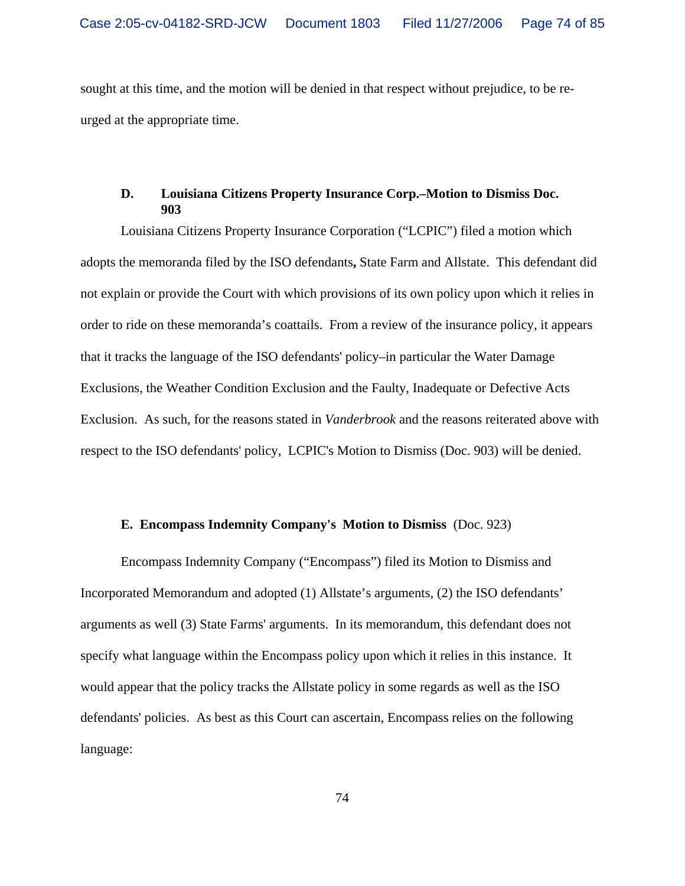sought at this time, and the motion will be denied in that respect without prejudice, to be reurged at the appropriate time.

### **D. Louisiana Citizens Property Insurance Corp.–Motion to Dismiss Doc. 903**

Louisiana Citizens Property Insurance Corporation ("LCPIC") filed a motion which adopts the memoranda filed by the ISO defendants**,** State Farm and Allstate. This defendant did not explain or provide the Court with which provisions of its own policy upon which it relies in order to ride on these memoranda's coattails.From a review of the insurance policy, it appears that it tracks the language of the ISO defendants' policy–in particular the Water Damage Exclusions, the Weather Condition Exclusion and the Faulty, Inadequate or Defective Acts Exclusion. As such, for the reasons stated in *Vanderbrook* and the reasons reiterated above with respect to the ISO defendants' policy, LCPIC's Motion to Dismiss (Doc. 903) will be denied.

#### **E. Encompass Indemnity Company's Motion to Dismiss** (Doc. 923)

Encompass Indemnity Company ("Encompass") filed its Motion to Dismiss and Incorporated Memorandum and adopted (1) Allstate's arguments, (2) the ISO defendants' arguments as well (3) State Farms' arguments. In its memorandum, this defendant does not specify what language within the Encompass policy upon which it relies in this instance. It would appear that the policy tracks the Allstate policy in some regards as well as the ISO defendants' policies. As best as this Court can ascertain, Encompass relies on the following language: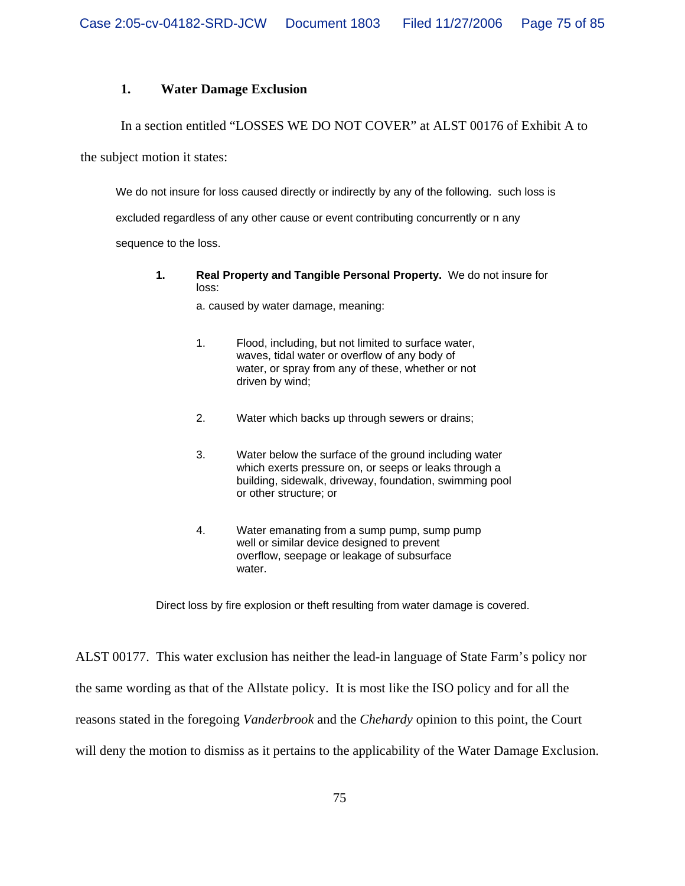#### **1. Water Damage Exclusion**

In a section entitled "LOSSES WE DO NOT COVER" at ALST 00176 of Exhibit A to

the subject motion it states:

We do not insure for loss caused directly or indirectly by any of the following. such loss is excluded regardless of any other cause or event contributing concurrently or n any sequence to the loss.

**1. Real Property and Tangible Personal Property.** We do not insure for loss:

a. caused by water damage, meaning:

- 1. Flood, including, but not limited to surface water, waves, tidal water or overflow of any body of water, or spray from any of these, whether or not driven by wind;
- 2. Water which backs up through sewers or drains;
- 3. Water below the surface of the ground including water which exerts pressure on, or seeps or leaks through a building, sidewalk, driveway, foundation, swimming pool or other structure; or
- 4. Water emanating from a sump pump, sump pump well or similar device designed to prevent overflow, seepage or leakage of subsurface water.

Direct loss by fire explosion or theft resulting from water damage is covered.

ALST 00177. This water exclusion has neither the lead-in language of State Farm's policy nor the same wording as that of the Allstate policy. It is most like the ISO policy and for all the reasons stated in the foregoing *Vanderbrook* and the *Chehardy* opinion to this point, the Court will deny the motion to dismiss as it pertains to the applicability of the Water Damage Exclusion.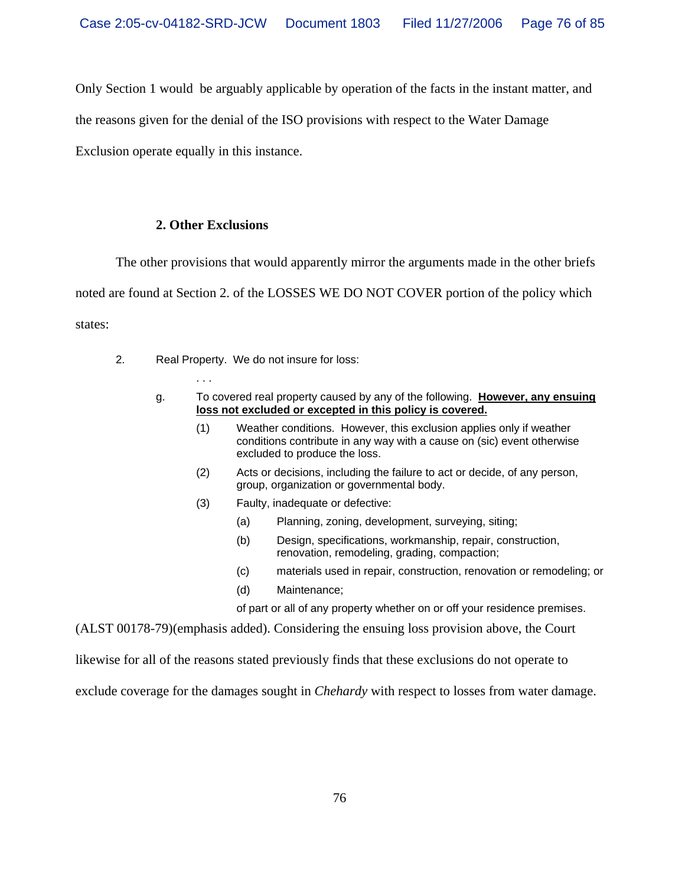Only Section 1 would be arguably applicable by operation of the facts in the instant matter, and

the reasons given for the denial of the ISO provisions with respect to the Water Damage

Exclusion operate equally in this instance.

### **2. Other Exclusions**

The other provisions that would apparently mirror the arguments made in the other briefs

noted are found at Section 2. of the LOSSES WE DO NOT COVER portion of the policy which states:

2. Real Property. We do not insure for loss:

. . .

- g. To covered real property caused by any of the following. **However, any ensuing loss not excluded or excepted in this policy is covered.**
	- (1) Weather conditions. However, this exclusion applies only if weather conditions contribute in any way with a cause on (sic) event otherwise excluded to produce the loss.
	- (2) Acts or decisions, including the failure to act or decide, of any person, group, organization or governmental body.
	- (3) Faulty, inadequate or defective:
		- (a) Planning, zoning, development, surveying, siting;
		- (b) Design, specifications, workmanship, repair, construction, renovation, remodeling, grading, compaction;
		- (c) materials used in repair, construction, renovation or remodeling; or
		- (d) Maintenance;

of part or all of any property whether on or off your residence premises.

(ALST 00178-79)(emphasis added). Considering the ensuing loss provision above, the Court

likewise for all of the reasons stated previously finds that these exclusions do not operate to

exclude coverage for the damages sought in *Chehardy* with respect to losses from water damage.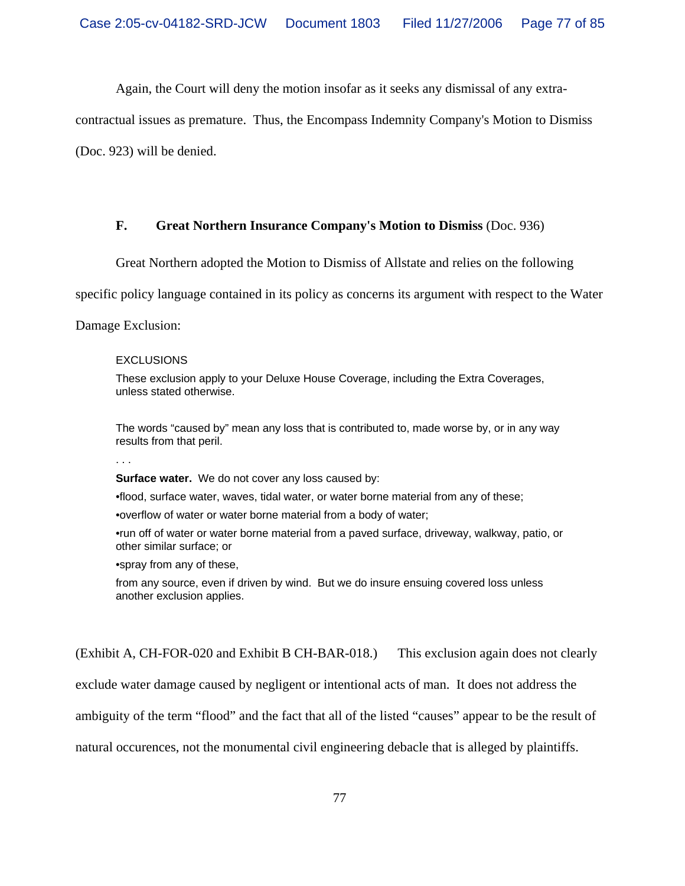Again, the Court will deny the motion insofar as it seeks any dismissal of any extra-

contractual issues as premature. Thus, the Encompass Indemnity Company's Motion to Dismiss

(Doc. 923) will be denied.

### **F. Great Northern Insurance Company's Motion to Dismiss** (Doc. 936)

Great Northern adopted the Motion to Dismiss of Allstate and relies on the following

specific policy language contained in its policy as concerns its argument with respect to the Water

Damage Exclusion:

#### EXCLUSIONS

These exclusion apply to your Deluxe House Coverage, including the Extra Coverages, unless stated otherwise.

The words "caused by" mean any loss that is contributed to, made worse by, or in any way results from that peril.

. . .

**Surface water.** We do not cover any loss caused by:

•flood, surface water, waves, tidal water, or water borne material from any of these;

•overflow of water or water borne material from a body of water;

•run off of water or water borne material from a paved surface, driveway, walkway, patio, or other similar surface; or

•spray from any of these,

from any source, even if driven by wind. But we do insure ensuing covered loss unless another exclusion applies.

(Exhibit A, CH-FOR-020 and Exhibit B CH-BAR-018.) This exclusion again does not clearly

exclude water damage caused by negligent or intentional acts of man. It does not address the

ambiguity of the term "flood" and the fact that all of the listed "causes" appear to be the result of

natural occurences, not the monumental civil engineering debacle that is alleged by plaintiffs.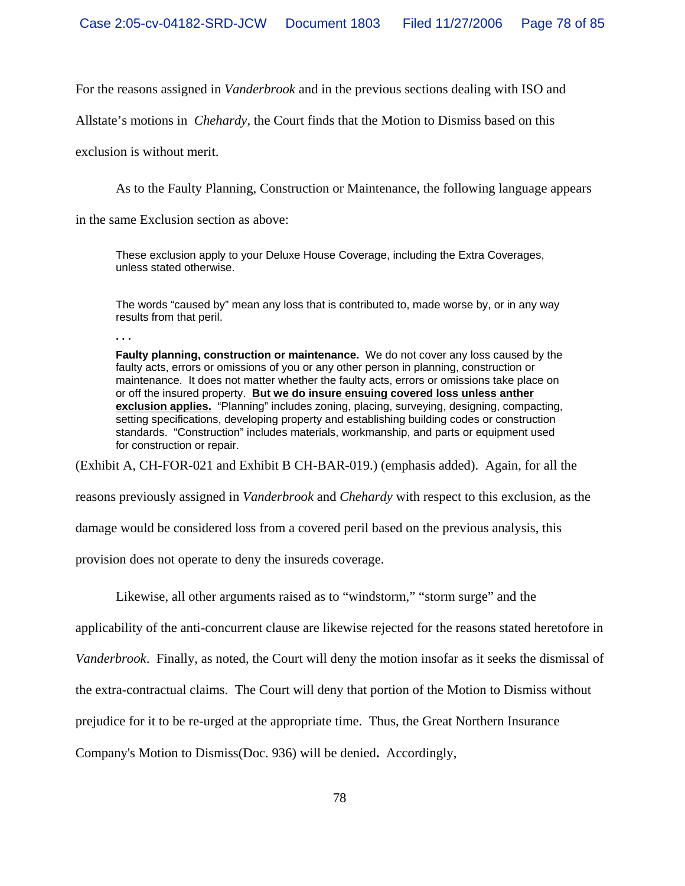For the reasons assigned in *Vanderbrook* and in the previous sections dealing with ISO and

Allstate's motions in *Chehardy,* the Court finds that the Motion to Dismiss based on this

exclusion is without merit.

As to the Faulty Planning, Construction or Maintenance, the following language appears

in the same Exclusion section as above:

These exclusion apply to your Deluxe House Coverage, including the Extra Coverages, unless stated otherwise.

The words "caused by" mean any loss that is contributed to, made worse by, or in any way results from that peril.

**. . .**

**Faulty planning, construction or maintenance.** We do not cover any loss caused by the faulty acts, errors or omissions of you or any other person in planning, construction or maintenance. It does not matter whether the faulty acts, errors or omissions take place on or off the insured property. **But we do insure ensuing covered loss unless anther exclusion applies.** "Planning" includes zoning, placing, surveying, designing, compacting, setting specifications, developing property and establishing building codes or construction standards. "Construction" includes materials, workmanship, and parts or equipment used for construction or repair.

(Exhibit A, CH-FOR-021 and Exhibit B CH-BAR-019.) (emphasis added). Again, for all the

reasons previously assigned in *Vanderbrook* and *Chehardy* with respect to this exclusion, as the

damage would be considered loss from a covered peril based on the previous analysis, this

provision does not operate to deny the insureds coverage.

Likewise, all other arguments raised as to "windstorm," "storm surge" and the

applicability of the anti-concurrent clause are likewise rejected for the reasons stated heretofore in

*Vanderbrook*. Finally, as noted, the Court will deny the motion insofar as it seeks the dismissal of

the extra-contractual claims. The Court will deny that portion of the Motion to Dismiss without

prejudice for it to be re-urged at the appropriate time. Thus, the Great Northern Insurance

Company's Motion to Dismiss(Doc. 936) will be denied**.** Accordingly,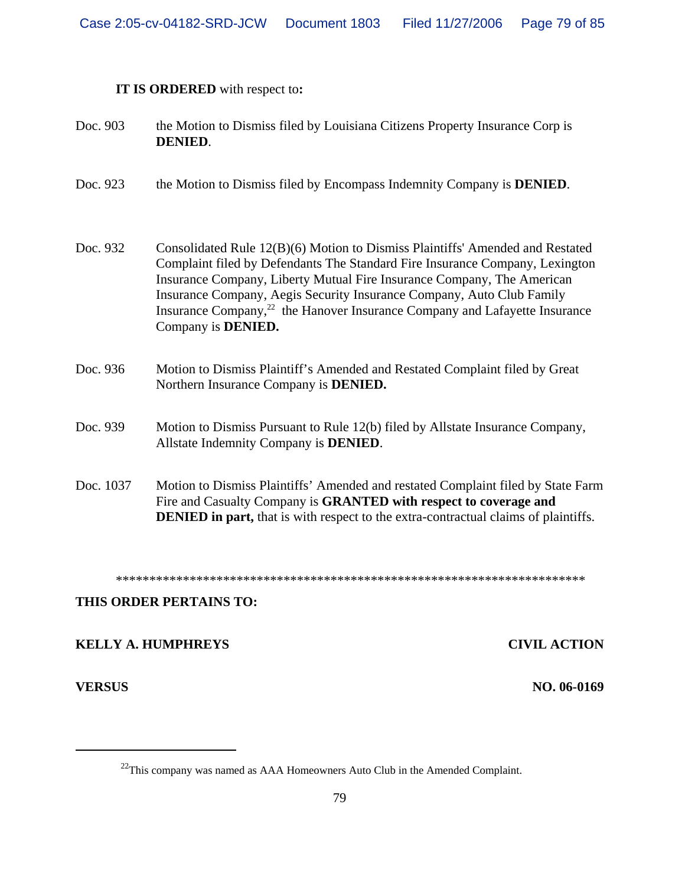# **IT IS ORDERED** with respect to**:**

| Doc. 903  | the Motion to Dismiss filed by Louisiana Citizens Property Insurance Corp is<br><b>DENIED.</b>                                                                                                                                                                                                                                                                                                                                          |
|-----------|-----------------------------------------------------------------------------------------------------------------------------------------------------------------------------------------------------------------------------------------------------------------------------------------------------------------------------------------------------------------------------------------------------------------------------------------|
| Doc. 923  | the Motion to Dismiss filed by Encompass Indemnity Company is <b>DENIED</b> .                                                                                                                                                                                                                                                                                                                                                           |
| Doc. 932  | Consolidated Rule 12(B)(6) Motion to Dismiss Plaintiffs' Amended and Restated<br>Complaint filed by Defendants The Standard Fire Insurance Company, Lexington<br>Insurance Company, Liberty Mutual Fire Insurance Company, The American<br>Insurance Company, Aegis Security Insurance Company, Auto Club Family<br>Insurance Company, <sup>22</sup> the Hanover Insurance Company and Lafayette Insurance<br>Company is <b>DENIED.</b> |
| Doc. 936  | Motion to Dismiss Plaintiff's Amended and Restated Complaint filed by Great<br>Northern Insurance Company is <b>DENIED.</b>                                                                                                                                                                                                                                                                                                             |
| Doc. 939  | Motion to Dismiss Pursuant to Rule 12(b) filed by Allstate Insurance Company,<br>Allstate Indemnity Company is <b>DENIED</b> .                                                                                                                                                                                                                                                                                                          |
| Doc. 1037 | Motion to Dismiss Plaintiffs' Amended and restated Complaint filed by State Farm<br>Fire and Casualty Company is GRANTED with respect to coverage and<br><b>DENIED</b> in part, that is with respect to the extra-contractual claims of plaintiffs.                                                                                                                                                                                     |

\*\*\*\*\*\*\*\*\*\*\*\*\*\*\*\*\*\*\*\*\*\*\*\*\*\*\*\*\*\*\*\*\*\*\*\*\*\*\*\*\*\*\*\*\*\*\*\*\*\*\*\*\*\*\*\*\*\*\*\*\*\*\*\*\*\*\*\*\*\*

# **THIS ORDER PERTAINS TO:**

# **KELLY A. HUMPHREYS CIVIL ACTION**

**VERSUS NO. 06-0169**

<sup>&</sup>lt;sup>22</sup>This company was named as AAA Homeowners Auto Club in the Amended Complaint.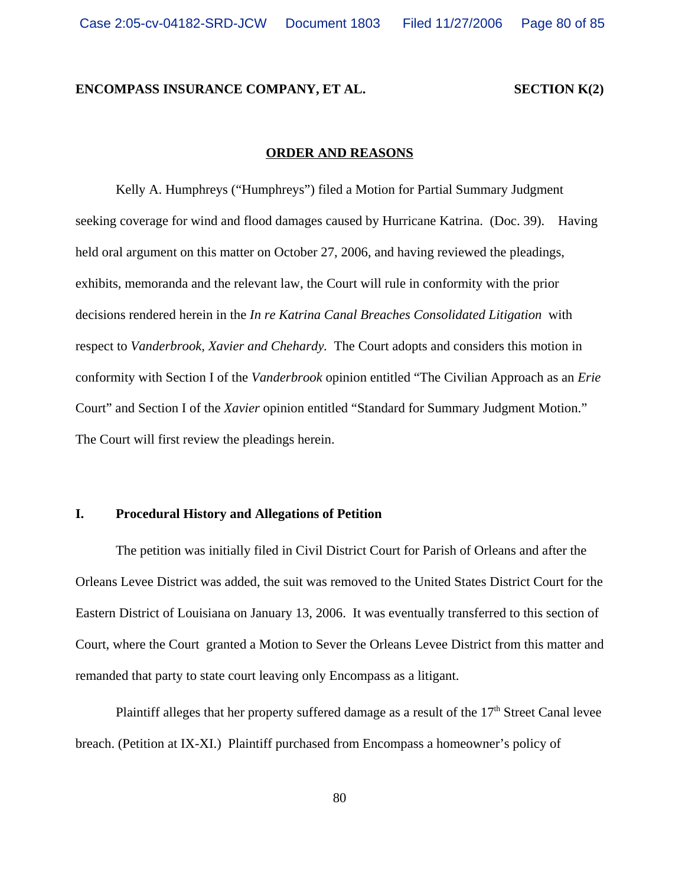#### **ENCOMPASS INSURANCE COMPANY, ET AL. SECTION K(2)**

# **ORDER AND REASONS**

Kelly A. Humphreys ("Humphreys") filed a Motion for Partial Summary Judgment seeking coverage for wind and flood damages caused by Hurricane Katrina. (Doc. 39). Having held oral argument on this matter on October 27, 2006, and having reviewed the pleadings, exhibits, memoranda and the relevant law, the Court will rule in conformity with the prior decisions rendered herein in the *In re Katrina Canal Breaches Consolidated Litigation* with respect to *Vanderbrook, Xavier and Chehardy.* The Court adopts and considers this motion in conformity with Section I of the *Vanderbrook* opinion entitled "The Civilian Approach as an *Erie* Court" and Section I of the *Xavier* opinion entitled "Standard for Summary Judgment Motion." The Court will first review the pleadings herein.

### **I. Procedural History and Allegations of Petition**

The petition was initially filed in Civil District Court for Parish of Orleans and after the Orleans Levee District was added, the suit was removed to the United States District Court for the Eastern District of Louisiana on January 13, 2006. It was eventually transferred to this section of Court, where the Court granted a Motion to Sever the Orleans Levee District from this matter and remanded that party to state court leaving only Encompass as a litigant.

Plaintiff alleges that her property suffered damage as a result of the  $17<sup>th</sup>$  Street Canal levee breach. (Petition at IX-XI.) Plaintiff purchased from Encompass a homeowner's policy of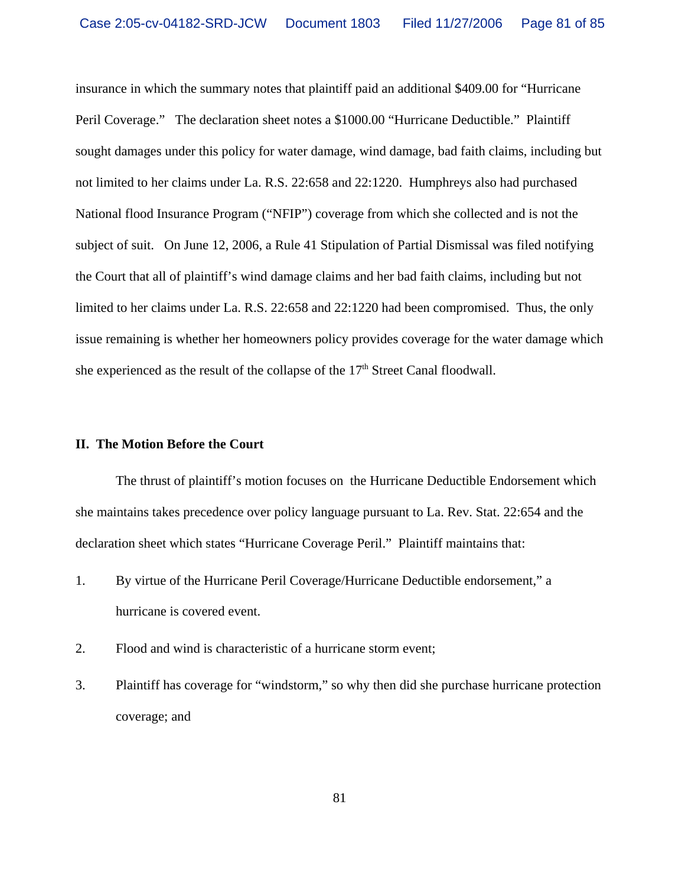insurance in which the summary notes that plaintiff paid an additional \$409.00 for "Hurricane Peril Coverage." The declaration sheet notes a \$1000.00 "Hurricane Deductible." Plaintiff sought damages under this policy for water damage, wind damage, bad faith claims, including but not limited to her claims under La. R.S. 22:658 and 22:1220. Humphreys also had purchased National flood Insurance Program ("NFIP") coverage from which she collected and is not the subject of suit. On June 12, 2006, a Rule 41 Stipulation of Partial Dismissal was filed notifying the Court that all of plaintiff's wind damage claims and her bad faith claims, including but not limited to her claims under La. R.S. 22:658 and 22:1220 had been compromised. Thus, the only issue remaining is whether her homeowners policy provides coverage for the water damage which she experienced as the result of the collapse of the  $17<sup>th</sup>$  Street Canal floodwall.

### **II. The Motion Before the Court**

The thrust of plaintiff's motion focuses on the Hurricane Deductible Endorsement which she maintains takes precedence over policy language pursuant to La. Rev. Stat. 22:654 and the declaration sheet which states "Hurricane Coverage Peril." Plaintiff maintains that:

- 1. By virtue of the Hurricane Peril Coverage/Hurricane Deductible endorsement," a hurricane is covered event.
- 2. Flood and wind is characteristic of a hurricane storm event;
- 3. Plaintiff has coverage for "windstorm," so why then did she purchase hurricane protection coverage; and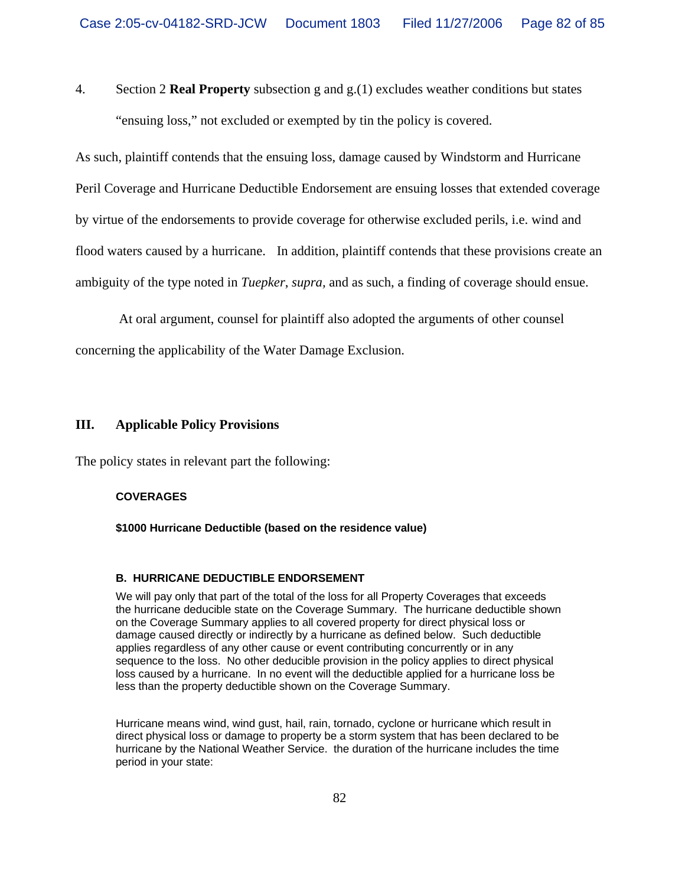4. Section 2 **Real Property** subsection g and g.(1) excludes weather conditions but states "ensuing loss," not excluded or exempted by tin the policy is covered.

As such, plaintiff contends that the ensuing loss, damage caused by Windstorm and Hurricane Peril Coverage and Hurricane Deductible Endorsement are ensuing losses that extended coverage by virtue of the endorsements to provide coverage for otherwise excluded perils, i.e. wind and flood waters caused by a hurricane. In addition, plaintiff contends that these provisions create an ambiguity of the type noted in *Tuepker*, *supra,* and as such, a finding of coverage should ensue.

 At oral argument, counsel for plaintiff also adopted the arguments of other counsel concerning the applicability of the Water Damage Exclusion.

### **III. Applicable Policy Provisions**

The policy states in relevant part the following:

#### **COVERAGES**

#### **\$1000 Hurricane Deductible (based on the residence value)**

#### **B. HURRICANE DEDUCTIBLE ENDORSEMENT**

We will pay only that part of the total of the loss for all Property Coverages that exceeds the hurricane deducible state on the Coverage Summary. The hurricane deductible shown on the Coverage Summary applies to all covered property for direct physical loss or damage caused directly or indirectly by a hurricane as defined below. Such deductible applies regardless of any other cause or event contributing concurrently or in any sequence to the loss. No other deducible provision in the policy applies to direct physical loss caused by a hurricane. In no event will the deductible applied for a hurricane loss be less than the property deductible shown on the Coverage Summary.

Hurricane means wind, wind gust, hail, rain, tornado, cyclone or hurricane which result in direct physical loss or damage to property be a storm system that has been declared to be hurricane by the National Weather Service. the duration of the hurricane includes the time period in your state: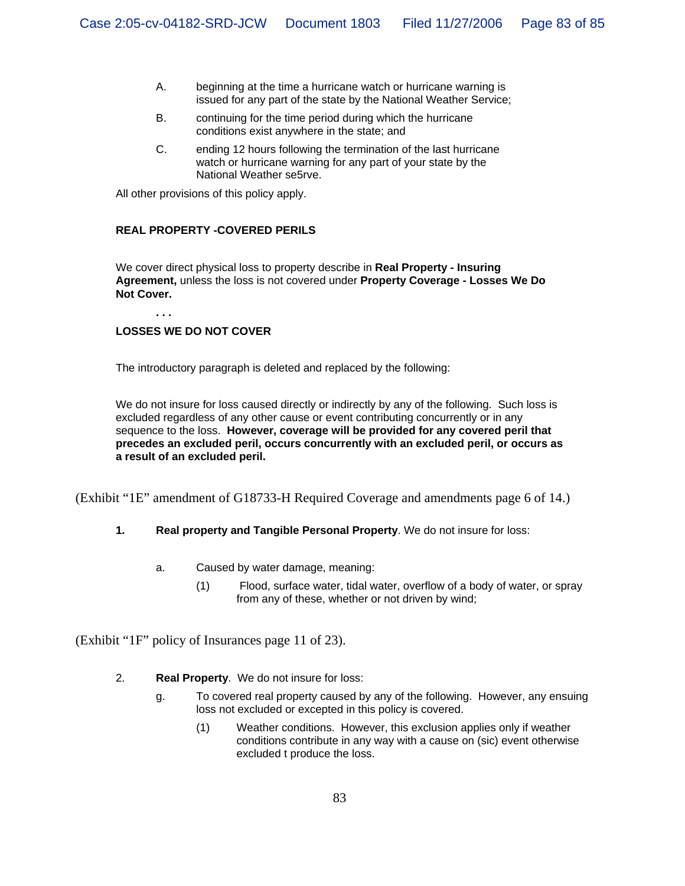- A. beginning at the time a hurricane watch or hurricane warning is issued for any part of the state by the National Weather Service;
- B. continuing for the time period during which the hurricane conditions exist anywhere in the state; and
- C. ending 12 hours following the termination of the last hurricane watch or hurricane warning for any part of your state by the National Weather se5rve.

All other provisions of this policy apply.

#### **REAL PROPERTY -COVERED PERILS**

We cover direct physical loss to property describe in **Real Property - Insuring Agreement,** unless the loss is not covered under **Property Coverage - Losses We Do Not Cover.**

#### **. . .**

### **LOSSES WE DO NOT COVER**

The introductory paragraph is deleted and replaced by the following:

We do not insure for loss caused directly or indirectly by any of the following. Such loss is excluded regardless of any other cause or event contributing concurrently or in any sequence to the loss. **However, coverage will be provided for any covered peril that precedes an excluded peril, occurs concurrently with an excluded peril, or occurs as a result of an excluded peril.**

(Exhibit "1E" amendment of G18733-H Required Coverage and amendments page 6 of 14.)

#### **1. Real property and Tangible Personal Property**. We do not insure for loss:

- a. Caused by water damage, meaning:
	- (1) Flood, surface water, tidal water, overflow of a body of water, or spray from any of these, whether or not driven by wind;

(Exhibit "1F" policy of Insurances page 11 of 23).

#### 2. **Real Property**. We do not insure for loss:

- g. To covered real property caused by any of the following. However, any ensuing loss not excluded or excepted in this policy is covered.
	- (1) Weather conditions. However, this exclusion applies only if weather conditions contribute in any way with a cause on (sic) event otherwise excluded t produce the loss.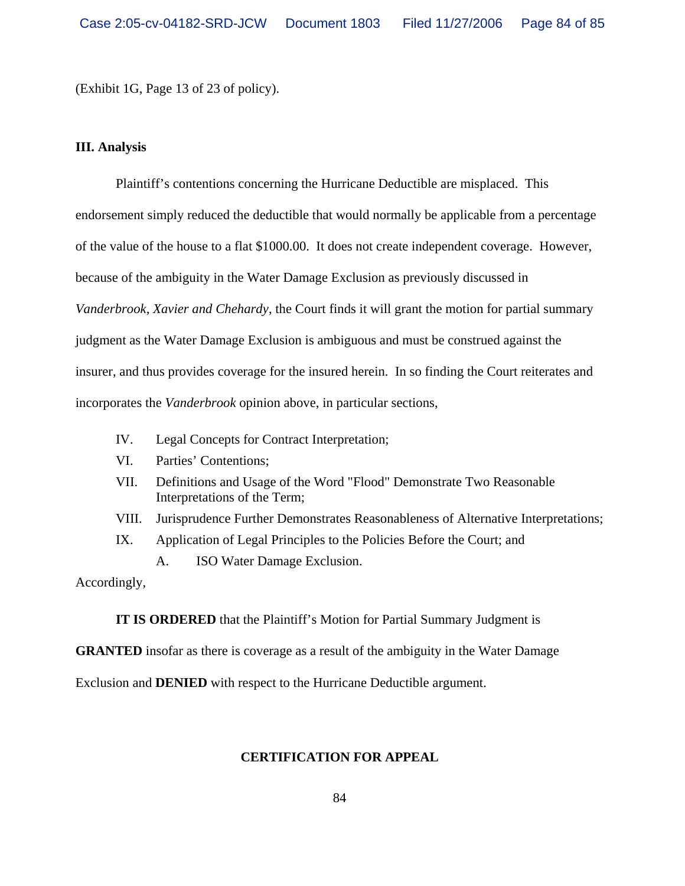(Exhibit 1G, Page 13 of 23 of policy).

#### **III. Analysis**

Plaintiff's contentions concerning the Hurricane Deductible are misplaced. This endorsement simply reduced the deductible that would normally be applicable from a percentage of the value of the house to a flat \$1000.00. It does not create independent coverage. However, because of the ambiguity in the Water Damage Exclusion as previously discussed in *Vanderbrook, Xavier and Chehardy*, the Court finds it will grant the motion for partial summary judgment as the Water Damage Exclusion is ambiguous and must be construed against the insurer, and thus provides coverage for the insured herein. In so finding the Court reiterates and incorporates the *Vanderbrook* opinion above, in particular sections,

- IV. Legal Concepts for Contract Interpretation;
- VI. Parties' Contentions;
- VII. Definitions and Usage of the Word "Flood" Demonstrate Two Reasonable Interpretations of the Term;
- VIII. Jurisprudence Further Demonstrates Reasonableness of Alternative Interpretations;
- IX. Application of Legal Principles to the Policies Before the Court; and
	- A. ISO Water Damage Exclusion.

Accordingly,

**IT IS ORDERED** that the Plaintiff's Motion for Partial Summary Judgment is

**GRANTED** insofar as there is coverage as a result of the ambiguity in the Water Damage

Exclusion and **DENIED** with respect to the Hurricane Deductible argument.

# **CERTIFICATION FOR APPEAL**